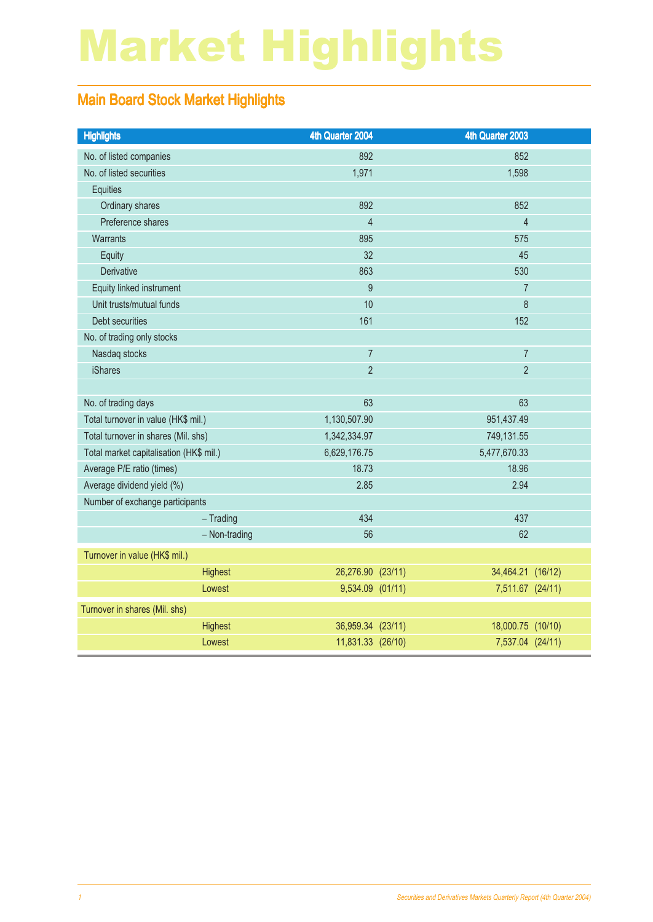# Market Highlights

#### Main Board Stock Market Highlights

| <b>Highlights</b>                       | 4th Quarter 2004  | 4th Quarter 2003  |  |
|-----------------------------------------|-------------------|-------------------|--|
| No. of listed companies                 | 892               | 852               |  |
| No. of listed securities                | 1,971             | 1,598             |  |
| <b>Equities</b>                         |                   |                   |  |
| Ordinary shares                         | 892               | 852               |  |
| Preference shares                       | $\overline{4}$    | $\overline{4}$    |  |
| Warrants                                | 895               | 575               |  |
| Equity                                  | 32                | 45                |  |
| Derivative                              | 863               | 530               |  |
| Equity linked instrument                | 9                 | $\overline{7}$    |  |
| Unit trusts/mutual funds                | 10                | 8                 |  |
| Debt securities                         | 161               | 152               |  |
| No. of trading only stocks              |                   |                   |  |
| Nasdaq stocks                           | $\overline{7}$    | $\overline{7}$    |  |
| <b>iShares</b>                          | $\overline{2}$    | $\overline{2}$    |  |
|                                         |                   |                   |  |
| No. of trading days                     | 63                | 63                |  |
| Total turnover in value (HK\$ mil.)     | 1,130,507.90      | 951,437.49        |  |
| Total turnover in shares (Mil. shs)     | 1,342,334.97      | 749,131.55        |  |
| Total market capitalisation (HK\$ mil.) | 6,629,176.75      | 5,477,670.33      |  |
| Average P/E ratio (times)               | 18.73             | 18.96             |  |
| Average dividend yield (%)              | 2.85              | 2.94              |  |
| Number of exchange participants         |                   |                   |  |
| $-$ Trading                             | 434               | 437               |  |
| - Non-trading                           | 56                | 62                |  |
| Turnover in value (HK\$ mil.)           |                   |                   |  |
| Highest                                 | 26,276.90 (23/11) | 34,464.21 (16/12) |  |
| Lowest                                  | 9,534.09 (01/11)  | 7,511.67 (24/11)  |  |
| Turnover in shares (Mil. shs)           |                   |                   |  |
| Highest                                 | 36,959.34 (23/11) | 18,000.75 (10/10) |  |
| Lowest                                  | 11,831.33 (26/10) | 7,537.04 (24/11)  |  |
|                                         |                   |                   |  |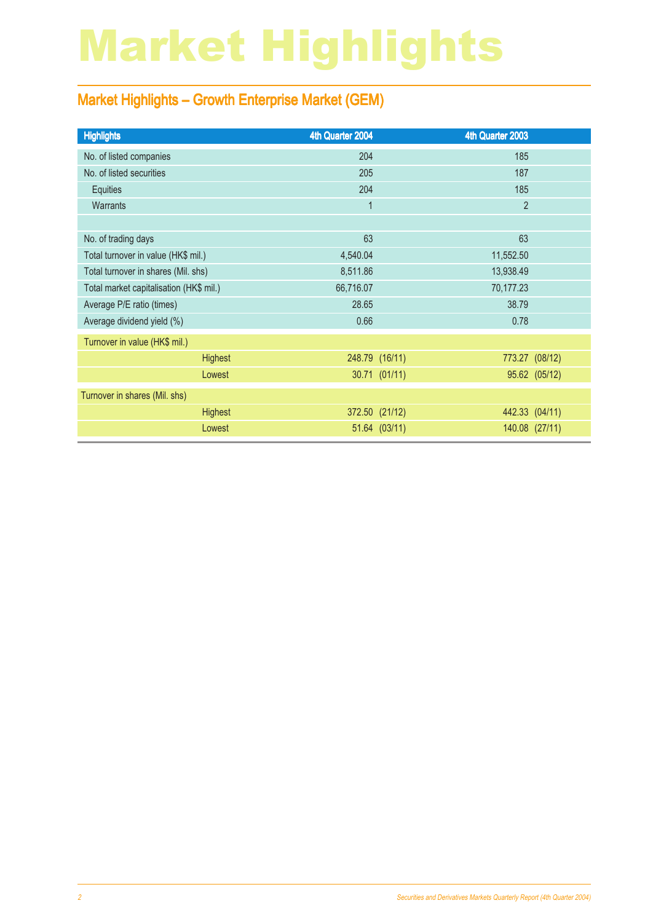# Market Highlights

#### Market Highlights – Growth Enterprise Market (GEM)

| <b>Highlights</b>                       | 4th Quarter 2004 | 4th Quarter 2003 |                |
|-----------------------------------------|------------------|------------------|----------------|
| No. of listed companies                 | 204              | 185              |                |
| No. of listed securities                | 205              | 187              |                |
| Equities                                | 204              | 185              |                |
| <b>Warrants</b>                         | $\mathbf 1$      | $\overline{2}$   |                |
|                                         |                  |                  |                |
| No. of trading days                     | 63               | 63               |                |
| Total turnover in value (HK\$ mil.)     | 4,540.04         | 11,552.50        |                |
| Total turnover in shares (Mil. shs)     | 8,511.86         | 13,938.49        |                |
| Total market capitalisation (HK\$ mil.) | 66,716.07        | 70,177.23        |                |
| Average P/E ratio (times)               | 28.65            | 38.79            |                |
| Average dividend yield (%)              | 0.66             | 0.78             |                |
| Turnover in value (HK\$ mil.)           |                  |                  |                |
| <b>Highest</b>                          |                  | 248.79 (16/11)   | 773.27 (08/12) |
| Lowest                                  |                  | 30.71 (01/11)    | 95.62 (05/12)  |
| Turnover in shares (Mil. shs)           |                  |                  |                |
| <b>Highest</b>                          |                  | 372.50 (21/12)   | 442.33 (04/11) |
| Lowest                                  |                  | 51.64 (03/11)    | 140.08 (27/11) |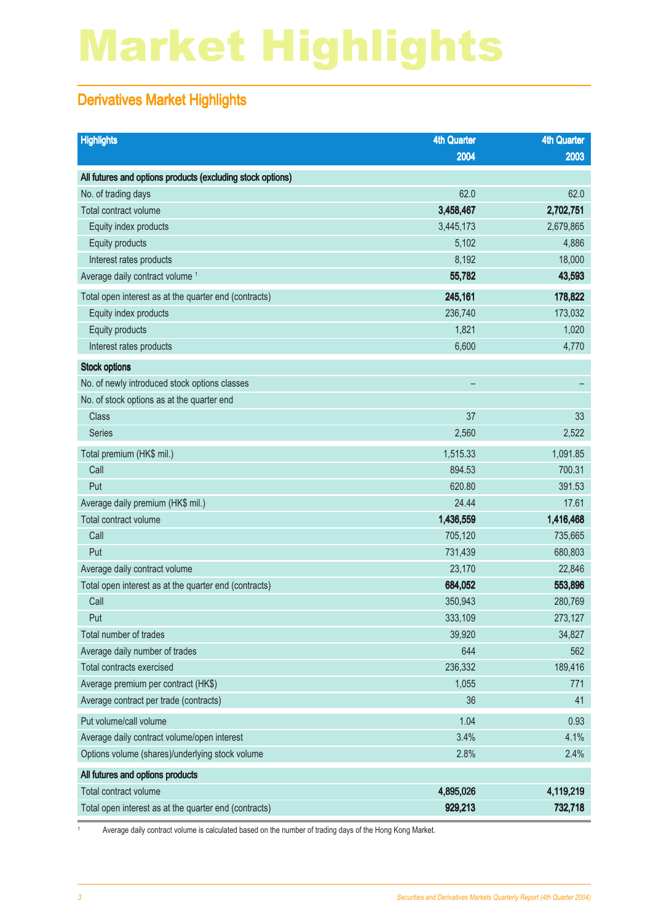# Market Highlights

#### Derivatives Market Highlights

| <b>Highlights</b>                                          | <b>4th Quarter</b> | <b>4th Quarter</b> |
|------------------------------------------------------------|--------------------|--------------------|
|                                                            | 2004               | 2003               |
| All futures and options products (excluding stock options) |                    |                    |
| No. of trading days                                        | 62.0               | 62.0               |
| Total contract volume                                      | 3,458,467          | 2,702,751          |
| Equity index products                                      | 3,445,173          | 2,679,865          |
| Equity products                                            | 5,102              | 4,886              |
| Interest rates products                                    | 8,192              | 18,000             |
| Average daily contract volume <sup>1</sup>                 | 55,782             | 43,593             |
| Total open interest as at the quarter end (contracts)      | 245,161            | 178,822            |
| Equity index products                                      | 236,740            | 173,032            |
| Equity products                                            | 1,821              | 1,020              |
| Interest rates products                                    | 6,600              | 4,770              |
| <b>Stock options</b>                                       |                    |                    |
| No. of newly introduced stock options classes              |                    |                    |
| No. of stock options as at the quarter end                 |                    |                    |
| <b>Class</b>                                               | 37                 | 33                 |
| <b>Series</b>                                              | 2,560              | 2,522              |
| Total premium (HK\$ mil.)                                  | 1,515.33           | 1,091.85           |
| Call                                                       | 894.53             | 700.31             |
| Put                                                        | 620.80             | 391.53             |
| Average daily premium (HK\$ mil.)                          | 24.44              | 17.61              |
| Total contract volume                                      | 1,436,559          | 1,416,468          |
| Call                                                       | 705,120            | 735,665            |
| Put                                                        | 731,439            | 680,803            |
| Average daily contract volume                              | 23,170             | 22,846             |
| Total open interest as at the quarter end (contracts)      | 684,052            | 553,896            |
| Call                                                       | 350,943            | 280,769            |
| Put                                                        | 333,109            | 273,127            |
| Total number of trades                                     | 39,920             | 34,827             |
| Average daily number of trades                             | 644                | 562                |
| Total contracts exercised                                  | 236,332            | 189,416            |
| Average premium per contract (HK\$)                        | 1,055              | 771                |
| Average contract per trade (contracts)                     | 36                 | 41                 |
| Put volume/call volume                                     | 1.04               | 0.93               |
| Average daily contract volume/open interest                | 3.4%               | 4.1%               |
| Options volume (shares)/underlying stock volume            | 2.8%               | 2.4%               |
| All futures and options products                           |                    |                    |
| Total contract volume                                      | 4,895,026          | 4,119,219          |
| Total open interest as at the quarter end (contracts)      | 929,213            | 732,718            |

1 Average daily contract volume is calculated based on the number of trading days of the Hong Kong Market.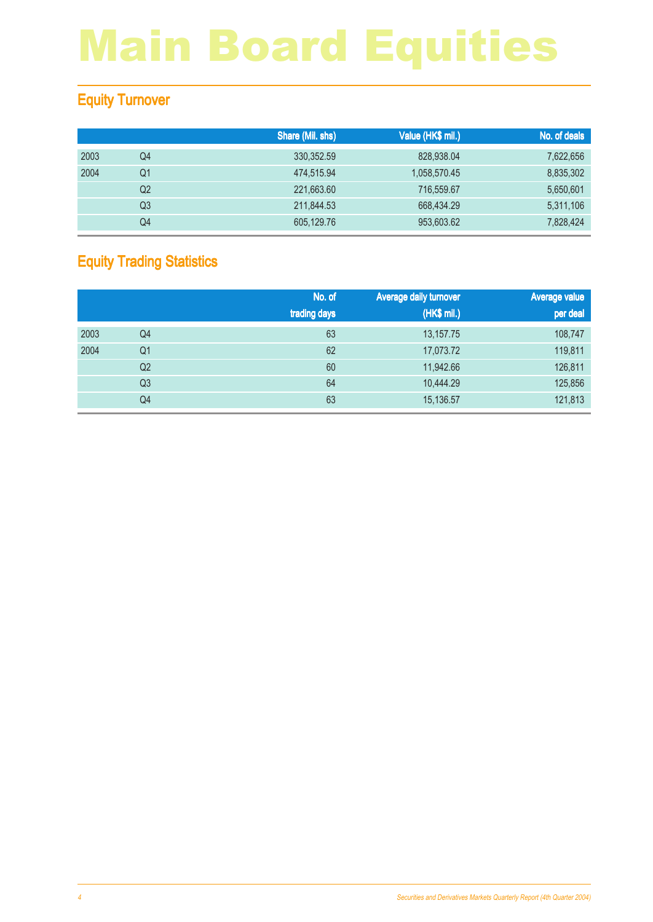#### Equity Turnover

|      |    | Share (Mil. shs) | Value (HK\$ mil.) | No. of deals |
|------|----|------------------|-------------------|--------------|
| 2003 | Q4 | 330.352.59       | 828,938.04        | 7,622,656    |
| 2004 | Q1 | 474.515.94       | 1,058,570.45      | 8,835,302    |
|      | Q2 | 221,663.60       | 716,559.67        | 5,650,601    |
|      | Q3 | 211,844.53       | 668,434.29        | 5,311,106    |
|      | Q4 | 605.129.76       | 953,603.62        | 7,828,424    |

#### Equity Trading Statistics

|      |                | No. of<br>trading days | <b>Average daily turnover</b><br>(HK\$ mil.) | <b>Average value</b><br>per deal |
|------|----------------|------------------------|----------------------------------------------|----------------------------------|
| 2003 | Q4             | 63                     | 13,157.75                                    | 108,747                          |
| 2004 | Q1             | 62                     | 17,073.72                                    | 119,811                          |
|      | Q <sub>2</sub> | 60                     | 11,942.66                                    | 126,811                          |
|      | Q <sub>3</sub> | 64                     | 10,444.29                                    | 125,856                          |
|      | Q4             | 63                     | 15,136.57                                    | 121,813                          |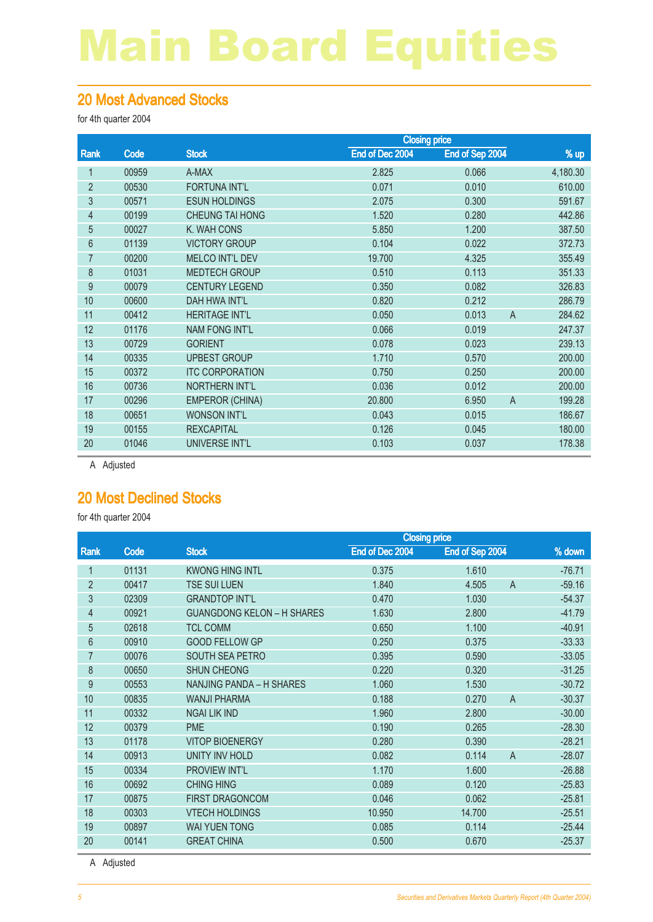#### 20 Most Advanced Stocks

for 4th quarter 2004

|                |       |                        | <b>Closing price</b> |                         |          |
|----------------|-------|------------------------|----------------------|-------------------------|----------|
| Rank           | Code  | <b>Stock</b>           | End of Dec 2004      | End of Sep 2004         | % up     |
| 1              | 00959 | A-MAX                  | 2.825                | 0.066                   | 4,180.30 |
| $\overline{2}$ | 00530 | <b>FORTUNA INT'L</b>   | 0.071                | 0.010                   | 610.00   |
| 3              | 00571 | <b>ESUN HOLDINGS</b>   | 2.075                | 0.300                   | 591.67   |
| 4              | 00199 | <b>CHEUNG TAI HONG</b> | 1.520                | 0.280                   | 442.86   |
| 5              | 00027 | K. WAH CONS            | 5.850                | 1.200                   | 387.50   |
| 6              | 01139 | <b>VICTORY GROUP</b>   | 0.104                | 0.022                   | 372.73   |
| 7              | 00200 | <b>MELCO INT'L DEV</b> | 19.700               | 4.325                   | 355.49   |
| 8              | 01031 | <b>MEDTECH GROUP</b>   | 0.510                | 0.113                   | 351.33   |
| 9              | 00079 | <b>CENTURY LEGEND</b>  | 0.350                | 0.082                   | 326.83   |
| 10             | 00600 | <b>DAH HWA INT'L</b>   | 0.820                | 0.212                   | 286.79   |
| 11             | 00412 | <b>HERITAGE INT'L</b>  | 0.050                | 0.013<br>$\overline{A}$ | 284.62   |
| 12             | 01176 | <b>NAM FONG INT'L</b>  | 0.066                | 0.019                   | 247.37   |
| 13             | 00729 | <b>GORIENT</b>         | 0.078                | 0.023                   | 239.13   |
| 14             | 00335 | <b>UPBEST GROUP</b>    | 1.710                | 0.570                   | 200.00   |
| 15             | 00372 | <b>ITC CORPORATION</b> | 0.750                | 0.250                   | 200.00   |
| 16             | 00736 | <b>NORTHERN INT'L</b>  | 0.036                | 0.012                   | 200.00   |
| 17             | 00296 | <b>EMPEROR (CHINA)</b> | 20,800               | $\overline{A}$<br>6.950 | 199.28   |
| 18             | 00651 | <b>WONSON INT'L</b>    | 0.043                | 0.015                   | 186.67   |
| 19             | 00155 | <b>REXCAPITAL</b>      | 0.126                | 0.045                   | 180.00   |
| 20             | 01046 | UNIVERSE INT'L         | 0.103                | 0.037                   | 178.38   |
|                |       |                        |                      |                         |          |

A Adjusted

#### 20 Most Declined Stocks

for 4th quarter 2004

|                |       |                                   | <b>Closing price</b> |                         |          |
|----------------|-------|-----------------------------------|----------------------|-------------------------|----------|
| Rank           | Code  | <b>Stock</b>                      | End of Dec 2004      | End of Sep 2004         | % down   |
| 1              | 01131 | <b>KWONG HING INTL</b>            | 0.375                | 1.610                   | $-76.71$ |
| $\overline{2}$ | 00417 | <b>TSE SUI LUEN</b>               | 1.840                | 4.505<br>$\overline{A}$ | $-59.16$ |
| 3              | 02309 | <b>GRANDTOP INT'L</b>             | 0.470                | 1.030                   | $-54.37$ |
| 4              | 00921 | <b>GUANGDONG KELON - H SHARES</b> | 1.630                | 2.800                   | $-41.79$ |
| 5              | 02618 | <b>TCL COMM</b>                   | 0.650                | 1.100                   | $-40.91$ |
| 6              | 00910 | <b>GOOD FELLOW GP</b>             | 0.250                | 0.375                   | $-33.33$ |
| 7              | 00076 | <b>SOUTH SEA PETRO</b>            | 0.395                | 0.590                   | $-33.05$ |
| 8              | 00650 | <b>SHUN CHEONG</b>                | 0.220                | 0.320                   | $-31.25$ |
| 9              | 00553 | NANJING PANDA - H SHARES          | 1.060                | 1.530                   | $-30.72$ |
| 10             | 00835 | <b>WANJI PHARMA</b>               | 0.188                | 0.270<br>A              | $-30.37$ |
| 11             | 00332 | <b>NGAI LIK IND</b>               | 1.960                | 2.800                   | $-30.00$ |
| 12             | 00379 | <b>PME</b>                        | 0.190                | 0.265                   | $-28.30$ |
| 13             | 01178 | <b>VITOP BIOENERGY</b>            | 0.280                | 0.390                   | $-28.21$ |
| 14             | 00913 | <b>UNITY INV HOLD</b>             | 0.082                | 0.114<br>$\overline{A}$ | $-28.07$ |
| 15             | 00334 | <b>PROVIEW INT'L</b>              | 1.170                | 1.600                   | $-26.88$ |
| 16             | 00692 | <b>CHING HING</b>                 | 0.089                | 0.120                   | $-25.83$ |
| 17             | 00875 | <b>FIRST DRAGONCOM</b>            | 0.046                | 0.062                   | $-25.81$ |
| 18             | 00303 | <b>VTECH HOLDINGS</b>             | 10.950               | 14.700                  | $-25.51$ |
| 19             | 00897 | <b>WAI YUEN TONG</b>              | 0.085                | 0.114                   | $-25.44$ |
| 20             | 00141 | <b>GREAT CHINA</b>                | 0.500                | 0.670                   | $-25.37$ |

A Adjusted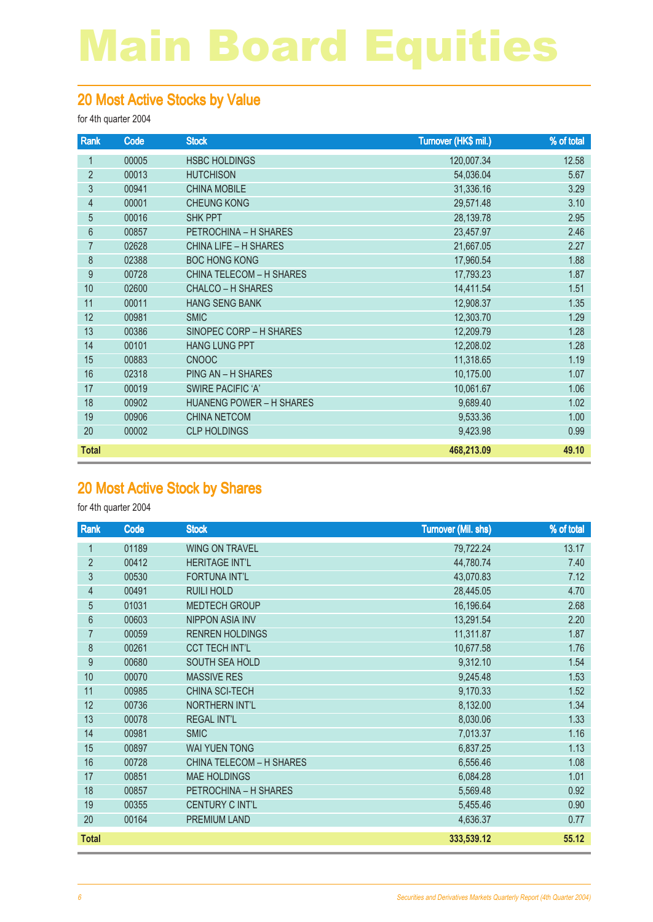#### 20 Most Active Stocks by Value

for 4th quarter 2004

| Rank             | Code  | <b>Stock</b>                    | Turnover (HK\$ mil.) | % of total |
|------------------|-------|---------------------------------|----------------------|------------|
| 1                | 00005 | <b>HSBC HOLDINGS</b>            | 120,007.34           | 12.58      |
| $\overline{2}$   | 00013 | <b>HUTCHISON</b>                | 54,036.04            | 5.67       |
| 3                | 00941 | <b>CHINA MOBILE</b>             | 31,336.16            | 3.29       |
| $\overline{4}$   | 00001 | <b>CHEUNG KONG</b>              | 29,571.48            | 3.10       |
| 5                | 00016 | <b>SHK PPT</b>                  | 28,139.78            | 2.95       |
| 6                | 00857 | PETROCHINA - H SHARES           | 23,457.97            | 2.46       |
| $\overline{7}$   | 02628 | <b>CHINA LIFE - H SHARES</b>    | 21,667.05            | 2.27       |
| 8                | 02388 | <b>BOC HONG KONG</b>            | 17,960.54            | 1.88       |
| $\boldsymbol{9}$ | 00728 | <b>CHINA TELECOM - H SHARES</b> | 17,793.23            | 1.87       |
| 10               | 02600 | <b>CHALCO - H SHARES</b>        | 14,411.54            | 1.51       |
| 11               | 00011 | <b>HANG SENG BANK</b>           | 12,908.37            | 1.35       |
| 12               | 00981 | <b>SMIC</b>                     | 12,303.70            | 1.29       |
| 13               | 00386 | SINOPEC CORP - H SHARES         | 12,209.79            | 1.28       |
| 14               | 00101 | <b>HANG LUNG PPT</b>            | 12,208.02            | 1.28       |
| 15               | 00883 | <b>CNOOC</b>                    | 11,318.65            | 1.19       |
| 16               | 02318 | PING AN - H SHARES              | 10,175.00            | 1.07       |
| 17               | 00019 | <b>SWIRE PACIFIC 'A'</b>        | 10,061.67            | 1.06       |
| 18               | 00902 | <b>HUANENG POWER - H SHARES</b> | 9,689.40             | 1.02       |
| 19               | 00906 | <b>CHINA NETCOM</b>             | 9,533.36             | 1.00       |
| 20               | 00002 | <b>CLP HOLDINGS</b>             | 9,423.98             | 0.99       |
| <b>Total</b>     |       |                                 | 468,213.09           | 49.10      |

#### 20 Most Active Stock by Shares

| Rank           | Code  | <b>Stock</b>                    | <b>Turnover (Mil. shs)</b> | % of total |
|----------------|-------|---------------------------------|----------------------------|------------|
| 1              | 01189 | <b>WING ON TRAVEL</b>           | 79,722.24                  | 13.17      |
| $\overline{2}$ | 00412 | <b>HERITAGE INT'L</b>           | 44,780.74                  | 7.40       |
| 3              | 00530 | <b>FORTUNA INT'L</b>            | 43,070.83                  | 7.12       |
| 4              | 00491 | <b>RUILI HOLD</b>               | 28,445.05                  | 4.70       |
| 5              | 01031 | MEDTECH GROUP                   | 16,196.64                  | 2.68       |
| 6              | 00603 | NIPPON ASIA INV                 | 13,291.54                  | 2.20       |
| 7              | 00059 | <b>RENREN HOLDINGS</b>          | 11,311.87                  | 1.87       |
| 8              | 00261 | <b>CCT TECH INT'L</b>           | 10,677.58                  | 1.76       |
| 9              | 00680 | SOUTH SEA HOLD                  | 9,312.10                   | 1.54       |
| 10             | 00070 | <b>MASSIVE RES</b>              | 9,245.48                   | 1.53       |
| 11             | 00985 | CHINA SCI-TECH                  | 9,170.33                   | 1.52       |
| 12             | 00736 | NORTHERN INT'L                  | 8,132.00                   | 1.34       |
| 13             | 00078 | <b>REGAL INT'L</b>              | 8,030.06                   | 1.33       |
| 14             | 00981 | <b>SMIC</b>                     | 7,013.37                   | 1.16       |
| 15             | 00897 | <b>WAI YUEN TONG</b>            | 6,837.25                   | 1.13       |
| 16             | 00728 | <b>CHINA TELECOM - H SHARES</b> | 6,556.46                   | 1.08       |
| 17             | 00851 | <b>MAE HOLDINGS</b>             | 6,084.28                   | 1.01       |
| 18             | 00857 | PETROCHINA - H SHARES           | 5,569.48                   | 0.92       |
| 19             | 00355 | <b>CENTURY C INT'L</b>          | 5,455.46                   | 0.90       |
| 20             | 00164 | PREMIUM LAND                    | 4,636.37                   | 0.77       |
| <b>Total</b>   |       |                                 | 333,539.12                 | 55.12      |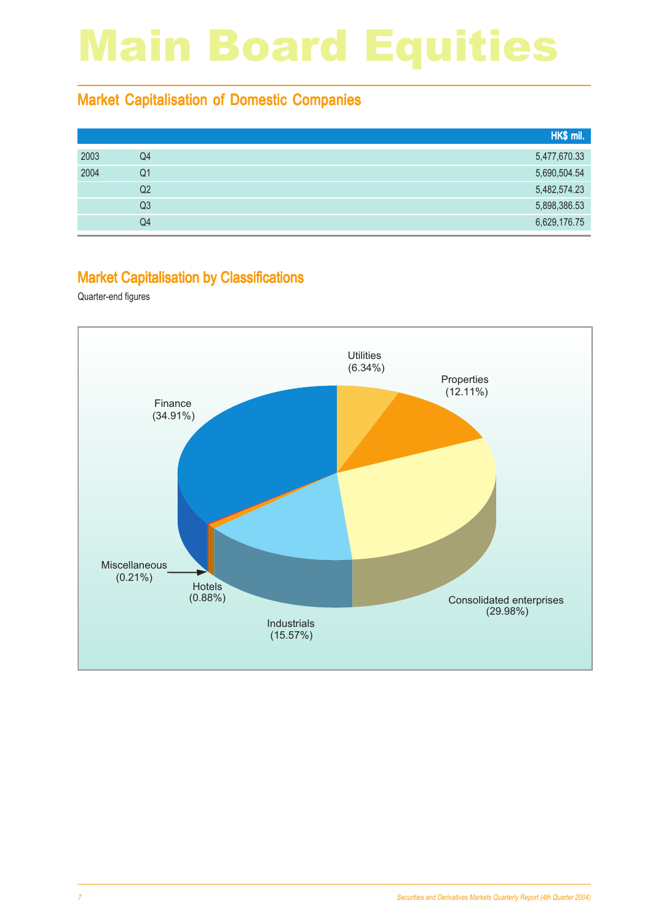#### Market Capitalisation of Domestic Companies

|    | HK\$ mil.    |
|----|--------------|
| Q4 | 5,477,670.33 |
| Q1 | 5,690,504.54 |
| Q2 | 5,482,574.23 |
| Q3 | 5,898,386.53 |
| Q4 | 6,629,176.75 |
|    |              |

#### Market Capitalisation by Classifications

Quarter-end figures

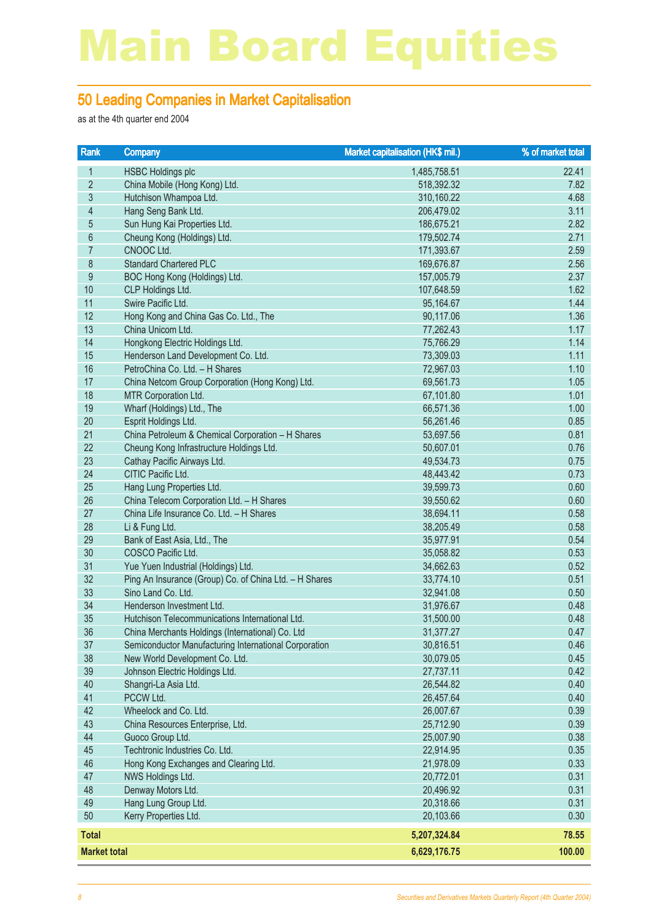#### 50 Leading Companies in Market Capitalisation

as at the 4th quarter end 2004

| Rank                | Company                                                | Market capitalisation (HK\$ mil.) | % of market total |
|---------------------|--------------------------------------------------------|-----------------------------------|-------------------|
| 1                   | <b>HSBC Holdings plc</b>                               | 1,485,758.51                      | 22.41             |
| $\overline{2}$      | China Mobile (Hong Kong) Ltd.                          | 518,392.32                        | 7.82              |
| 3                   | Hutchison Whampoa Ltd.                                 | 310,160.22                        | 4.68              |
| $\overline{4}$      | Hang Seng Bank Ltd.                                    | 206,479.02                        | 3.11              |
| $\sqrt{5}$          | Sun Hung Kai Properties Ltd.                           | 186,675.21                        | 2.82              |
| $6\,$               | Cheung Kong (Holdings) Ltd.                            | 179,502.74                        | 2.71              |
| $\overline{7}$      | CNOOC Ltd.                                             | 171,393.67                        | 2.59              |
| $\,8\,$             | <b>Standard Chartered PLC</b>                          | 169,676.87                        | 2.56              |
| $\boldsymbol{9}$    | BOC Hong Kong (Holdings) Ltd.                          | 157,005.79                        | 2.37              |
| 10                  | CLP Holdings Ltd.                                      | 107,648.59                        | 1.62              |
| 11                  | Swire Pacific Ltd.                                     | 95,164.67                         | 1.44              |
| 12                  | Hong Kong and China Gas Co. Ltd., The                  | 90,117.06                         | 1.36              |
| 13                  | China Unicom Ltd.                                      | 77,262.43                         | 1.17              |
| 14                  | Hongkong Electric Holdings Ltd.                        | 75,766.29                         | 1.14              |
| 15                  | Henderson Land Development Co. Ltd.                    | 73,309.03                         | 1.11              |
| 16                  | PetroChina Co. Ltd. - H Shares                         | 72,967.03                         | 1.10              |
| 17                  | China Netcom Group Corporation (Hong Kong) Ltd.        | 69,561.73                         | 1.05              |
| 18                  | MTR Corporation Ltd.                                   | 67,101.80                         | 1.01              |
| 19                  | Wharf (Holdings) Ltd., The                             | 66,571.36                         | 1.00              |
| 20                  | Esprit Holdings Ltd.                                   | 56,261.46                         | 0.85              |
| 21                  | China Petroleum & Chemical Corporation - H Shares      | 53,697.56                         | 0.81              |
| 22                  | Cheung Kong Infrastructure Holdings Ltd.               | 50,607.01                         | 0.76              |
| 23                  | Cathay Pacific Airways Ltd.                            | 49,534.73                         | 0.75              |
| 24                  | CITIC Pacific Ltd.                                     | 48,443.42                         | 0.73              |
| 25                  | Hang Lung Properties Ltd.                              | 39,599.73                         | 0.60              |
| 26                  | China Telecom Corporation Ltd. - H Shares              | 39,550.62                         | 0.60              |
| 27                  | China Life Insurance Co. Ltd. - H Shares               | 38,694.11                         | 0.58              |
| 28<br>29            | Li & Fung Ltd.                                         | 38,205.49                         | 0.58<br>0.54      |
| 30                  | Bank of East Asia, Ltd., The<br>COSCO Pacific Ltd.     | 35,977.91<br>35,058.82            | 0.53              |
| 31                  | Yue Yuen Industrial (Holdings) Ltd.                    | 34,662.63                         | 0.52              |
| 32                  | Ping An Insurance (Group) Co. of China Ltd. - H Shares | 33,774.10                         | 0.51              |
| 33                  | Sino Land Co. Ltd.                                     | 32,941.08                         | 0.50              |
| 34                  | Henderson Investment Ltd.                              | 31,976.67                         | 0.48              |
| 35                  | Hutchison Telecommunications International Ltd.        | 31,500.00                         | 0.48              |
| 36                  | China Merchants Holdings (International) Co. Ltd       | 31,377.27                         | 0.47              |
| 37                  | Semiconductor Manufacturing International Corporation  | 30,816.51                         | 0.46              |
| 38                  | New World Development Co. Ltd.                         | 30,079.05                         | 0.45              |
| 39                  | Johnson Electric Holdings Ltd.                         | 27,737.11                         | 0.42              |
| 40                  | Shangri-La Asia Ltd.                                   | 26,544.82                         | 0.40              |
| 41                  | PCCW Ltd.                                              | 26,457.64                         | 0.40              |
| 42                  | Wheelock and Co. Ltd.                                  | 26,007.67                         | 0.39              |
| 43                  | China Resources Enterprise, Ltd.                       | 25,712.90                         | 0.39              |
| 44                  | Guoco Group Ltd.                                       | 25,007.90                         | 0.38              |
| 45                  | Techtronic Industries Co. Ltd.                         | 22,914.95                         | 0.35              |
| 46                  | Hong Kong Exchanges and Clearing Ltd.                  | 21,978.09                         | 0.33              |
| 47                  | NWS Holdings Ltd.                                      | 20,772.01                         | 0.31              |
| 48                  | Denway Motors Ltd.                                     | 20,496.92                         | 0.31              |
| 49                  | Hang Lung Group Ltd.                                   | 20,318.66                         | 0.31              |
| 50                  | Kerry Properties Ltd.                                  | 20,103.66                         | 0.30              |
| <b>Total</b>        |                                                        | 5,207,324.84                      | 78.55             |
| <b>Market total</b> |                                                        | 6,629,176.75                      | 100.00            |
|                     |                                                        |                                   |                   |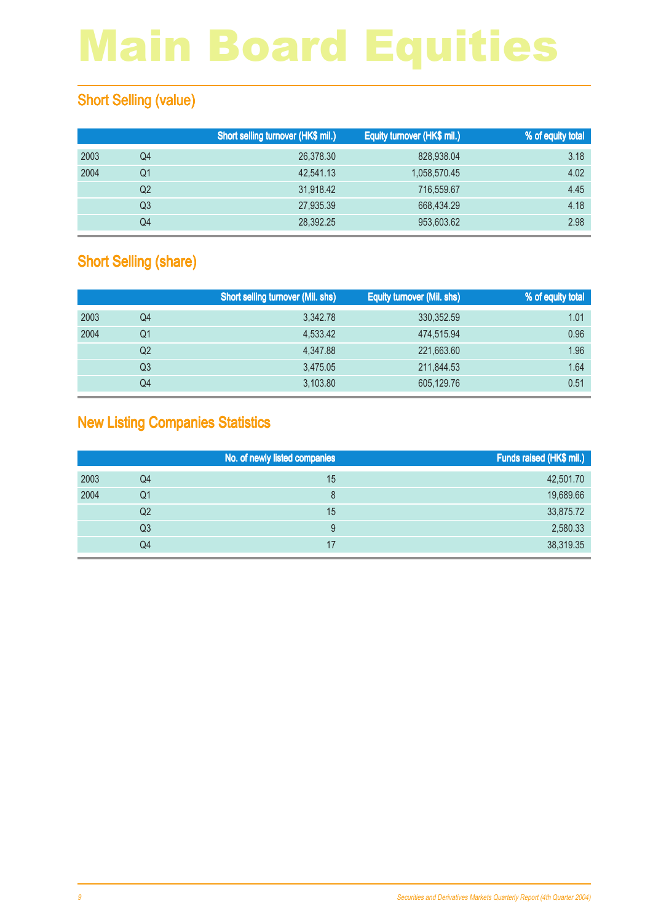#### **Short Selling (value)**

|      |    | Short selling turnover (HK\$ mil.) | Equity turnover (HK\$ mil.) | % of equity total |
|------|----|------------------------------------|-----------------------------|-------------------|
| 2003 | Q4 | 26,378.30                          | 828,938,04                  | 3.18              |
| 2004 | Q1 | 42.541.13                          | 1,058,570.45                | 4.02              |
|      | Q2 | 31,918.42                          | 716,559.67                  | 4.45              |
|      | Q3 | 27,935.39                          | 668,434.29                  | 4.18              |
|      | Q4 | 28.392.25                          | 953,603,62                  | 2.98              |

#### **Short Selling (share)**

|      |                | <b>Short selling turnover (Mil. shs)</b> | <b>Equity turnover (Mil. shs)</b> | % of equity total |
|------|----------------|------------------------------------------|-----------------------------------|-------------------|
| 2003 | Q4             | 3,342.78                                 | 330, 352.59                       | 1.01              |
| 2004 | Q1             | 4,533.42                                 | 474.515.94                        | 0.96              |
|      | Q <sub>2</sub> | 4,347.88                                 | 221,663.60                        | 1.96              |
|      | Q3             | 3.475.05                                 | 211,844.53                        | 1.64              |
|      | Q4             | 3,103.80                                 | 605,129.76                        | 0.51              |

#### New Listing Companies Statistics

|      | No. of newly listed companies |    | Funds raised (HK\$ mil.) |
|------|-------------------------------|----|--------------------------|
| 2003 | Q4                            | 15 | 42,501.70                |
| 2004 | Q1                            |    | 19,689.66                |
|      | Q <sub>2</sub>                | 15 | 33,875.72                |
|      | Q3                            | 9  | 2,580.33                 |
|      | Q4                            |    | 38,319.35                |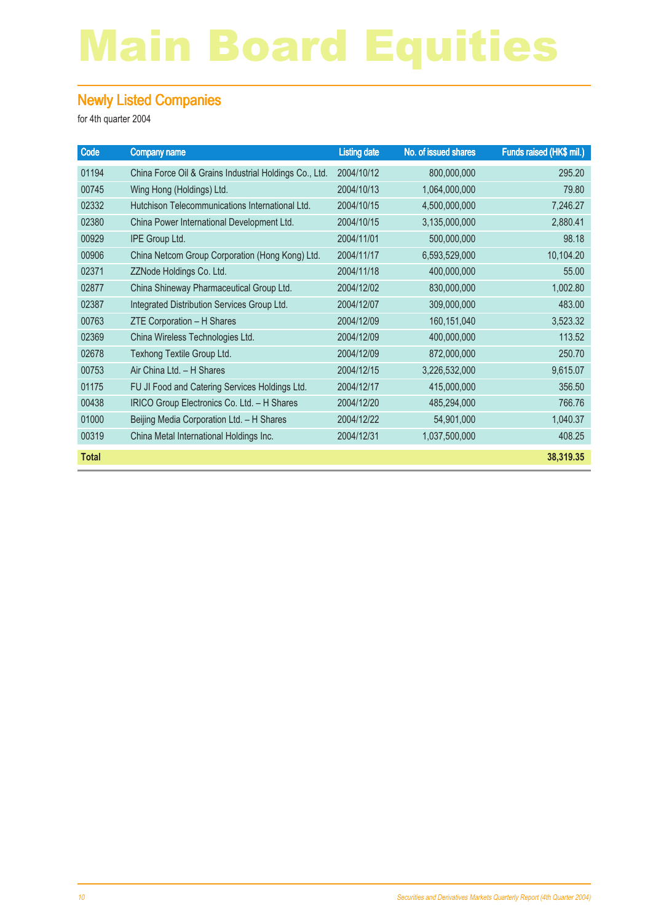#### Newly Listed Companies

| Code         | <b>Company name</b>                                    | <b>Listing date</b> | No. of issued shares | Funds raised (HK\$ mil.) |
|--------------|--------------------------------------------------------|---------------------|----------------------|--------------------------|
| 01194        | China Force Oil & Grains Industrial Holdings Co., Ltd. | 2004/10/12          | 800,000,000          | 295.20                   |
| 00745        | Wing Hong (Holdings) Ltd.                              | 2004/10/13          | 1,064,000,000        | 79.80                    |
| 02332        | Hutchison Telecommunications International Ltd.        | 2004/10/15          | 4,500,000,000        | 7,246.27                 |
| 02380        | China Power International Development Ltd.             | 2004/10/15          | 3,135,000,000        | 2,880.41                 |
| 00929        | IPE Group Ltd.                                         | 2004/11/01          | 500,000,000          | 98.18                    |
| 00906        | China Netcom Group Corporation (Hong Kong) Ltd.        | 2004/11/17          | 6,593,529,000        | 10,104.20                |
| 02371        | ZZNode Holdings Co. Ltd.                               | 2004/11/18          | 400,000,000          | 55.00                    |
| 02877        | China Shineway Pharmaceutical Group Ltd.               | 2004/12/02          | 830,000,000          | 1,002.80                 |
| 02387        | Integrated Distribution Services Group Ltd.            | 2004/12/07          | 309,000,000          | 483.00                   |
| 00763        | ZTE Corporation - H Shares                             | 2004/12/09          | 160,151,040          | 3,523.32                 |
| 02369        | China Wireless Technologies Ltd.                       | 2004/12/09          | 400,000,000          | 113.52                   |
| 02678        | Texhong Textile Group Ltd.                             | 2004/12/09          | 872,000,000          | 250.70                   |
| 00753        | Air China Ltd. - H Shares                              | 2004/12/15          | 3,226,532,000        | 9,615.07                 |
| 01175        | FU JI Food and Catering Services Holdings Ltd.         | 2004/12/17          | 415,000,000          | 356.50                   |
| 00438        | IRICO Group Electronics Co. Ltd. - H Shares            | 2004/12/20          | 485,294,000          | 766.76                   |
| 01000        | Beijing Media Corporation Ltd. - H Shares              | 2004/12/22          | 54,901,000           | 1,040.37                 |
| 00319        | China Metal International Holdings Inc.                | 2004/12/31          | 1,037,500,000        | 408.25                   |
| <b>Total</b> |                                                        |                     |                      | 38,319.35                |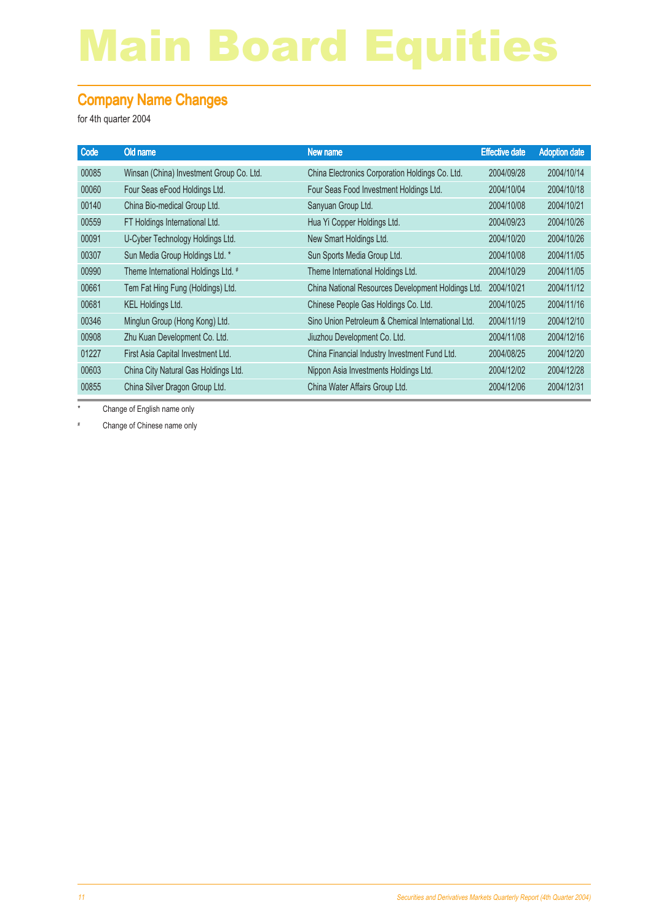#### Company Name Changes

for 4th quarter 2004

| Old name                                 | New name                                           |            | <b>Adoption date</b>                                                        |
|------------------------------------------|----------------------------------------------------|------------|-----------------------------------------------------------------------------|
| Winsan (China) Investment Group Co. Ltd. | China Electronics Corporation Holdings Co. Ltd.    | 2004/09/28 | 2004/10/14                                                                  |
| Four Seas eFood Holdings Ltd.            | Four Seas Food Investment Holdings Ltd.            | 2004/10/04 | 2004/10/18                                                                  |
| China Bio-medical Group Ltd.             | Sanyuan Group Ltd.                                 | 2004/10/08 | 2004/10/21                                                                  |
| FT Holdings International Ltd.           | Hua Yi Copper Holdings Ltd.                        | 2004/09/23 | 2004/10/26                                                                  |
| U-Cyber Technology Holdings Ltd.         | New Smart Holdings Ltd.                            | 2004/10/20 | 2004/10/26                                                                  |
| Sun Media Group Holdings Ltd. *          | Sun Sports Media Group Ltd.                        | 2004/10/08 | 2004/11/05                                                                  |
| Theme International Holdings Ltd. #      | Theme International Holdings Ltd.                  | 2004/10/29 | 2004/11/05                                                                  |
| Tem Fat Hing Fung (Holdings) Ltd.        |                                                    | 2004/10/21 | 2004/11/12                                                                  |
| <b>KEL Holdings Ltd.</b>                 | Chinese People Gas Holdings Co. Ltd.               | 2004/10/25 | 2004/11/16                                                                  |
| Minglun Group (Hong Kong) Ltd.           | Sino Union Petroleum & Chemical International Ltd. | 2004/11/19 | 2004/12/10                                                                  |
| Zhu Kuan Development Co. Ltd.            | Jiuzhou Development Co. Ltd.                       | 2004/11/08 | 2004/12/16                                                                  |
| First Asia Capital Investment Ltd.       | China Financial Industry Investment Fund Ltd.      | 2004/08/25 | 2004/12/20                                                                  |
| China City Natural Gas Holdings Ltd.     | Nippon Asia Investments Holdings Ltd.              | 2004/12/02 | 2004/12/28                                                                  |
| China Silver Dragon Group Ltd.           | China Water Affairs Group Ltd.                     | 2004/12/06 | 2004/12/31                                                                  |
|                                          |                                                    |            | <b>Effective date</b><br>China National Resources Development Holdings Ltd. |

\* Change of English name only

# Change of Chinese name only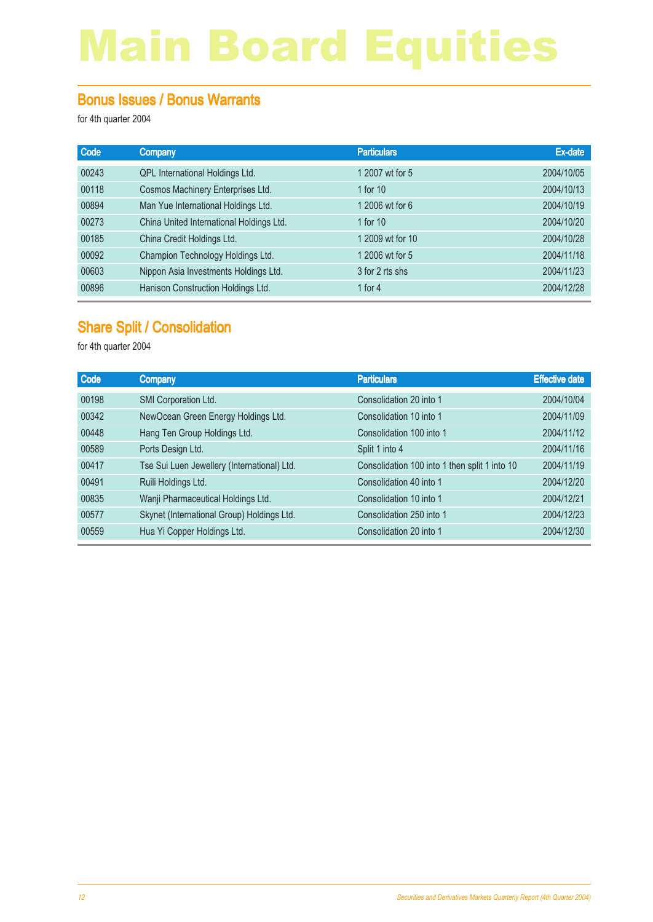#### Bonus Issues / Bonus Warrants

for 4th quarter 2004

| Code  | <b>Company</b>                           | <b>Particulars</b> | Ex-date    |
|-------|------------------------------------------|--------------------|------------|
| 00243 | QPL International Holdings Ltd.          | 1 2007 wt for 5    | 2004/10/05 |
| 00118 | Cosmos Machinery Enterprises Ltd.        | 1 for 10           | 2004/10/13 |
| 00894 | Man Yue International Holdings Ltd.      | 1 2006 wt for 6    | 2004/10/19 |
| 00273 | China United International Holdings Ltd. | 1 for $10$         | 2004/10/20 |
| 00185 | China Credit Holdings Ltd.               | 1 2009 wt for 10   | 2004/10/28 |
| 00092 | Champion Technology Holdings Ltd.        | 1 2006 wt for 5    | 2004/11/18 |
| 00603 | Nippon Asia Investments Holdings Ltd.    | 3 for 2 rts shs    | 2004/11/23 |
| 00896 | Hanison Construction Holdings Ltd.       | 1 for $4$          | 2004/12/28 |

#### Share Split / Consolidation

| Code  | <b>Company</b>                              | <b>Particulars</b>                            | <b>Effective date</b> |
|-------|---------------------------------------------|-----------------------------------------------|-----------------------|
| 00198 | SMI Corporation Ltd.                        | Consolidation 20 into 1                       | 2004/10/04            |
| 00342 | NewOcean Green Energy Holdings Ltd.         | Consolidation 10 into 1                       | 2004/11/09            |
| 00448 | Hang Ten Group Holdings Ltd.                | Consolidation 100 into 1                      | 2004/11/12            |
| 00589 | Ports Design Ltd.                           | Split 1 into 4                                | 2004/11/16            |
| 00417 | Tse Sui Luen Jewellery (International) Ltd. | Consolidation 100 into 1 then split 1 into 10 | 2004/11/19            |
| 00491 | Ruili Holdings Ltd.                         | Consolidation 40 into 1                       | 2004/12/20            |
| 00835 | Wanji Pharmaceutical Holdings Ltd.          | Consolidation 10 into 1                       | 2004/12/21            |
| 00577 | Skynet (International Group) Holdings Ltd.  | Consolidation 250 into 1                      | 2004/12/23            |
| 00559 | Hua Yi Copper Holdings Ltd.                 | Consolidation 20 into 1                       | 2004/12/30            |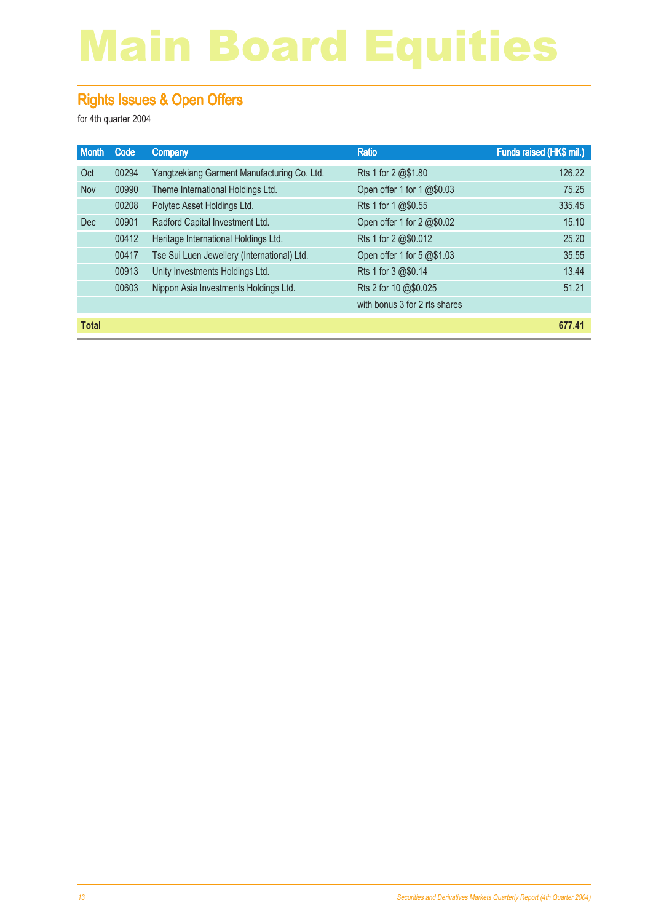#### Rights Issues & Open Offers

| <b>Month</b> | Code  | Company                                     | <b>Ratio</b>                  | Funds raised (HK\$ mil.) |
|--------------|-------|---------------------------------------------|-------------------------------|--------------------------|
| Oct          | 00294 | Yangtzekiang Garment Manufacturing Co. Ltd. | Rts 1 for 2 @\$1.80           | 126.22                   |
| Nov          | 00990 | Theme International Holdings Ltd.           | Open offer 1 for 1 @\$0.03    | 75.25                    |
|              | 00208 | Polytec Asset Holdings Ltd.                 | Rts 1 for 1 @\$0.55           | 335.45                   |
| <b>Dec</b>   | 00901 | Radford Capital Investment Ltd.             | Open offer 1 for 2 @\$0.02    | 15.10                    |
|              | 00412 | Heritage International Holdings Ltd.        | Rts 1 for 2 @\$0.012          | 25.20                    |
|              | 00417 | Tse Sui Luen Jewellery (International) Ltd. | Open offer 1 for 5 @\$1.03    | 35.55                    |
|              | 00913 | Unity Investments Holdings Ltd.             | Rts 1 for 3 @\$0.14           | 13.44                    |
|              | 00603 | Nippon Asia Investments Holdings Ltd.       | Rts 2 for 10 @\$0.025         | 51.21                    |
|              |       |                                             | with bonus 3 for 2 rts shares |                          |
| <b>Total</b> |       |                                             |                               | 677.41                   |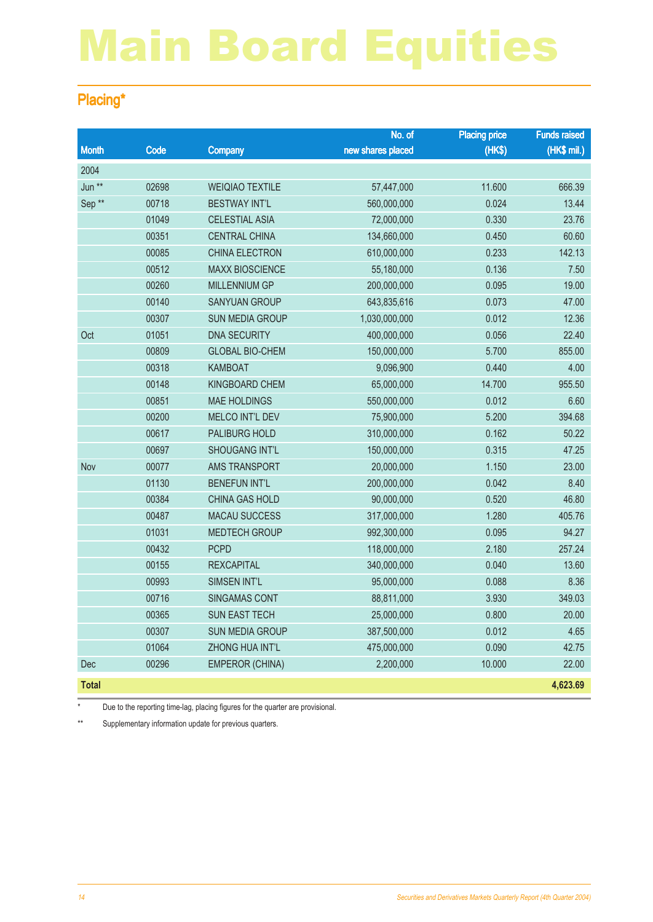#### Placing\*

|                   |       |                        | No. of            | <b>Placing price</b> | <b>Funds raised</b> |
|-------------------|-------|------------------------|-------------------|----------------------|---------------------|
| <b>Month</b>      | Code  | Company                | new shares placed | (HKS)                | (HK\$ mil.)         |
| 2004              |       |                        |                   |                      |                     |
| Jun **            | 02698 | <b>WEIQIAO TEXTILE</b> | 57,447,000        | 11.600               | 666.39              |
| Sep <sup>**</sup> | 00718 | <b>BESTWAY INT'L</b>   | 560,000,000       | 0.024                | 13.44               |
|                   | 01049 | <b>CELESTIAL ASIA</b>  | 72,000,000        | 0.330                | 23.76               |
|                   | 00351 | <b>CENTRAL CHINA</b>   | 134,660,000       | 0.450                | 60.60               |
|                   | 00085 | CHINA ELECTRON         | 610,000,000       | 0.233                | 142.13              |
|                   | 00512 | <b>MAXX BIOSCIENCE</b> | 55,180,000        | 0.136                | 7.50                |
|                   | 00260 | <b>MILLENNIUM GP</b>   | 200,000,000       | 0.095                | 19.00               |
|                   | 00140 | <b>SANYUAN GROUP</b>   | 643,835,616       | 0.073                | 47.00               |
|                   | 00307 | <b>SUN MEDIA GROUP</b> | 1,030,000,000     | 0.012                | 12.36               |
| Oct               | 01051 | <b>DNA SECURITY</b>    | 400,000,000       | 0.056                | 22.40               |
|                   | 00809 | <b>GLOBAL BIO-CHEM</b> | 150,000,000       | 5.700                | 855.00              |
|                   | 00318 | KAMBOAT                | 9,096,900         | 0.440                | 4.00                |
|                   | 00148 | <b>KINGBOARD CHEM</b>  | 65,000,000        | 14.700               | 955.50              |
|                   | 00851 | <b>MAE HOLDINGS</b>    | 550,000,000       | 0.012                | 6.60                |
|                   | 00200 | MELCO INT'L DEV        | 75,900,000        | 5.200                | 394.68              |
|                   | 00617 | PALIBURG HOLD          | 310,000,000       | 0.162                | 50.22               |
|                   | 00697 | <b>SHOUGANG INT'L</b>  | 150,000,000       | 0.315                | 47.25               |
| Nov               | 00077 | AMS TRANSPORT          | 20,000,000        | 1.150                | 23.00               |
|                   | 01130 | <b>BENEFUN INT'L</b>   | 200,000,000       | 0.042                | 8.40                |
|                   | 00384 | <b>CHINA GAS HOLD</b>  | 90,000,000        | 0.520                | 46.80               |
|                   | 00487 | <b>MACAU SUCCESS</b>   | 317,000,000       | 1.280                | 405.76              |
|                   | 01031 | <b>MEDTECH GROUP</b>   | 992,300,000       | 0.095                | 94.27               |
|                   | 00432 | <b>PCPD</b>            | 118,000,000       | 2.180                | 257.24              |
|                   | 00155 | <b>REXCAPITAL</b>      | 340,000,000       | 0.040                | 13.60               |
|                   | 00993 | SIMSEN INT'L           | 95,000,000        | 0.088                | 8.36                |
|                   | 00716 | <b>SINGAMAS CONT</b>   | 88,811,000        | 3.930                | 349.03              |
|                   | 00365 | SUN EAST TECH          | 25,000,000        | 0.800                | 20.00               |
|                   | 00307 | <b>SUN MEDIA GROUP</b> | 387,500,000       | 0.012                | 4.65                |
|                   | 01064 | ZHONG HUA INT'L        | 475,000,000       | 0.090                | 42.75               |
| Dec               | 00296 | <b>EMPEROR (CHINA)</b> | 2,200,000         | 10.000               | 22.00               |
| <b>Total</b>      |       |                        |                   |                      | 4,623.69            |

Due to the reporting time-lag, placing figures for the quarter are provisional.

\*\* Supplementary information update for previous quarters.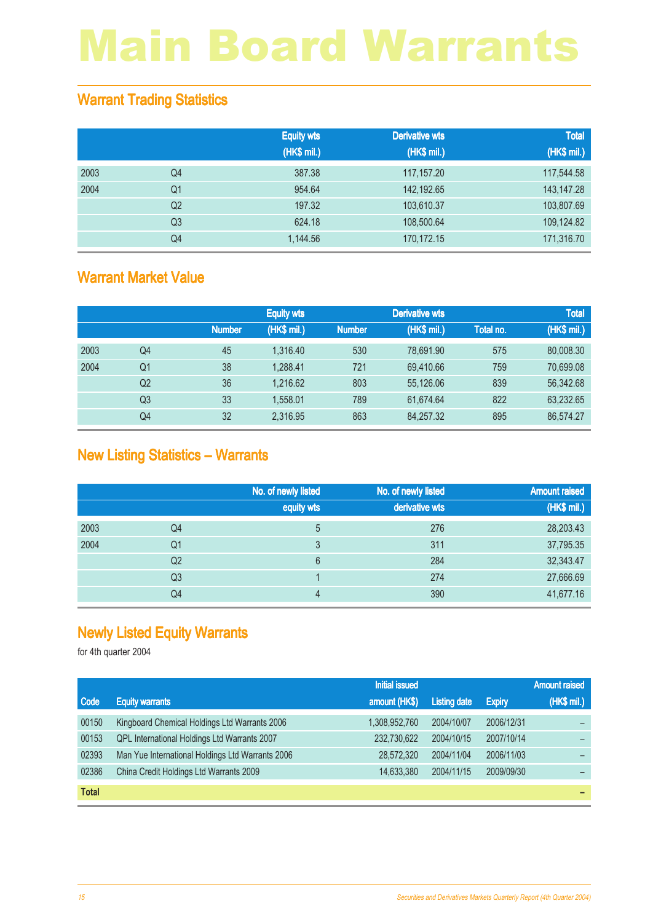#### Warrant Trading Statistics

|      |                | <b>Equity wts</b><br>(HK\$ mil.) | <b>Derivative wts</b><br>(HK\$ mil.) | <b>Total</b><br>(HK\$ mil.) |
|------|----------------|----------------------------------|--------------------------------------|-----------------------------|
| 2003 | Q4             | 387.38                           | 117,157.20                           | 117,544.58                  |
| 2004 | Q <sub>1</sub> | 954.64                           | 142,192.65                           | 143, 147. 28                |
|      | Q <sub>2</sub> | 197.32                           | 103,610.37                           | 103,807.69                  |
|      | Q <sub>3</sub> | 624.18                           | 108,500.64                           | 109,124.82                  |
|      | Q4             | 1,144.56                         | 170,172.15                           | 171,316.70                  |

#### Warrant Market Value

|      |                |               | <b>Equity wts</b> |               | <b>Derivative wts</b> |           | <b>Total</b> |
|------|----------------|---------------|-------------------|---------------|-----------------------|-----------|--------------|
|      |                | <b>Number</b> | (HK\$ mil.)       | <b>Number</b> | (HK\$ mil.)           | Total no. | (HK\$ mil.)  |
| 2003 | Q4             | 45            | 1.316.40          | 530           | 78.691.90             | 575       | 80,008.30    |
| 2004 | Q1             | 38            | 1.288.41          | 721           | 69,410.66             | 759       | 70,699.08    |
|      | Q <sub>2</sub> | 36            | 1.216.62          | 803           | 55,126.06             | 839       | 56,342.68    |
|      | Q3             | 33            | 1.558.01          | 789           | 61.674.64             | 822       | 63,232.65    |
|      | Q4             | 32            | 2.316.95          | 863           | 84,257.32             | 895       | 86,574.27    |

#### New Listing Statistics – Warrants

|      |                | No. of newly listed | No. of newly listed | <b>Amount raised</b> |
|------|----------------|---------------------|---------------------|----------------------|
|      |                | equity wts          | derivative wts      | (HK\$ mil.)          |
| 2003 | Q4             | 5                   | 276                 | 28,203.43            |
| 2004 | Q <sub>1</sub> | 3                   | 311                 | 37,795.35            |
|      | Q <sub>2</sub> | 6                   | 284                 | 32,343.47            |
|      | Q <sub>3</sub> |                     | 274                 | 27,666.69            |
|      | Q4             | 4                   | 390                 | 41,677.16            |

#### Newly Listed Equity Warrants

|              |                                                  | <b>Initial issued</b> |                     |               | <b>Amount raised</b> |
|--------------|--------------------------------------------------|-----------------------|---------------------|---------------|----------------------|
| Code         | <b>Equity warrants</b>                           | amount (HK\$)         | <b>Listing date</b> | <b>Expiry</b> | (HK\$ mil.)          |
| 00150        | Kingboard Chemical Holdings Ltd Warrants 2006    | 1,308,952,760         | 2004/10/07          | 2006/12/31    |                      |
| 00153        | QPL International Holdings Ltd Warrants 2007     | 232,730,622           | 2004/10/15          | 2007/10/14    |                      |
| 02393        | Man Yue International Holdings Ltd Warrants 2006 | 28,572,320            | 2004/11/04          | 2006/11/03    |                      |
| 02386        | China Credit Holdings Ltd Warrants 2009          | 14,633,380            | 2004/11/15          | 2009/09/30    |                      |
| <b>Total</b> |                                                  |                       |                     |               |                      |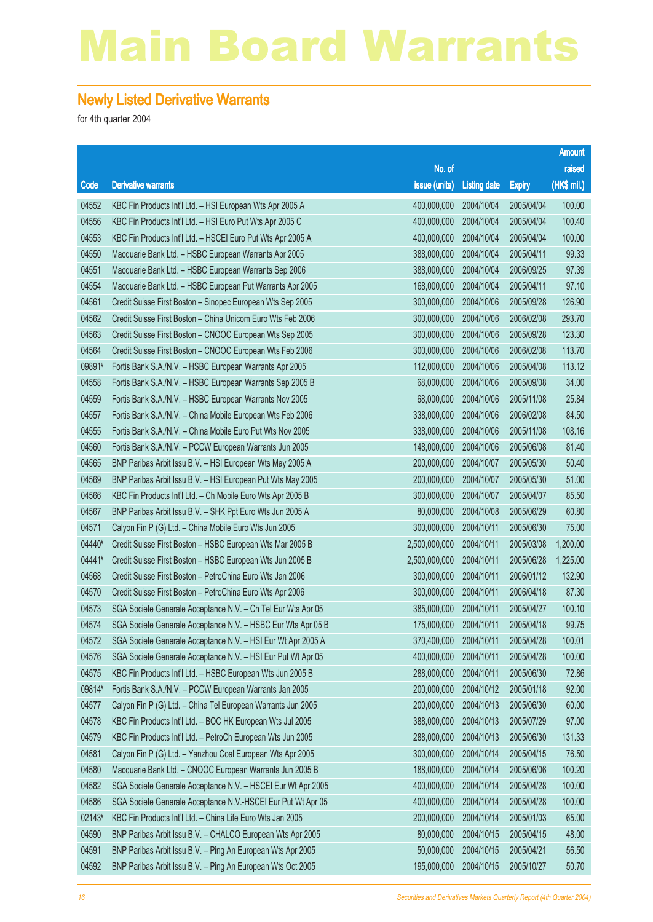#### Newly Listed Derivative Warrants

|        |                                                              |                        |                     |               | <b>Amount</b> |
|--------|--------------------------------------------------------------|------------------------|---------------------|---------------|---------------|
|        |                                                              | No. of                 |                     |               | raised        |
| Code   | <b>Derivative warrants</b>                                   | issue (units)          | <b>Listing date</b> | <b>Expiry</b> | (HK\$ mil.)   |
| 04552  | KBC Fin Products Int'l Ltd. - HSI European Wts Apr 2005 A    | 400,000,000            | 2004/10/04          | 2005/04/04    | 100.00        |
| 04556  | KBC Fin Products Int'l Ltd. - HSI Euro Put Wts Apr 2005 C    | 400,000,000            | 2004/10/04          | 2005/04/04    | 100.40        |
| 04553  | KBC Fin Products Int'l Ltd. - HSCEI Euro Put Wts Apr 2005 A  | 400,000,000            | 2004/10/04          | 2005/04/04    | 100.00        |
| 04550  | Macquarie Bank Ltd. - HSBC European Warrants Apr 2005        | 388,000,000            | 2004/10/04          | 2005/04/11    | 99.33         |
| 04551  | Macquarie Bank Ltd. - HSBC European Warrants Sep 2006        | 388,000,000            | 2004/10/04          | 2006/09/25    | 97.39         |
| 04554  | Macquarie Bank Ltd. - HSBC European Put Warrants Apr 2005    | 168,000,000            | 2004/10/04          | 2005/04/11    | 97.10         |
| 04561  | Credit Suisse First Boston - Sinopec European Wts Sep 2005   | 300,000,000            | 2004/10/06          | 2005/09/28    | 126.90        |
| 04562  | Credit Suisse First Boston - China Unicom Euro Wts Feb 2006  | 300,000,000            | 2004/10/06          | 2006/02/08    | 293.70        |
| 04563  | Credit Suisse First Boston - CNOOC European Wts Sep 2005     | 300,000,000            | 2004/10/06          | 2005/09/28    | 123.30        |
| 04564  | Credit Suisse First Boston - CNOOC European Wts Feb 2006     | 300,000,000            | 2004/10/06          | 2006/02/08    | 113.70        |
| 09891# | Fortis Bank S.A./N.V. - HSBC European Warrants Apr 2005      | 112,000,000            | 2004/10/06          | 2005/04/08    | 113.12        |
| 04558  | Fortis Bank S.A./N.V. - HSBC European Warrants Sep 2005 B    | 68,000,000             | 2004/10/06          | 2005/09/08    | 34.00         |
| 04559  | Fortis Bank S.A./N.V. - HSBC European Warrants Nov 2005      | 68,000,000             | 2004/10/06          | 2005/11/08    | 25.84         |
| 04557  | Fortis Bank S.A./N.V. - China Mobile European Wts Feb 2006   | 338,000,000            | 2004/10/06          | 2006/02/08    | 84.50         |
| 04555  | Fortis Bank S.A./N.V. - China Mobile Euro Put Wts Nov 2005   | 338,000,000            | 2004/10/06          | 2005/11/08    | 108.16        |
| 04560  | Fortis Bank S.A./N.V. - PCCW European Warrants Jun 2005      | 148,000,000            | 2004/10/06          | 2005/06/08    | 81.40         |
| 04565  | BNP Paribas Arbit Issu B.V. - HSI European Wts May 2005 A    | 200,000,000            | 2004/10/07          | 2005/05/30    | 50.40         |
| 04569  | BNP Paribas Arbit Issu B.V. - HSI European Put Wts May 2005  | 200,000,000            | 2004/10/07          | 2005/05/30    | 51.00         |
| 04566  | KBC Fin Products Int'l Ltd. - Ch Mobile Euro Wts Apr 2005 B  | 300,000,000            | 2004/10/07          | 2005/04/07    | 85.50         |
| 04567  | BNP Paribas Arbit Issu B.V. - SHK Ppt Euro Wts Jun 2005 A    | 80,000,000             | 2004/10/08          | 2005/06/29    | 60.80         |
| 04571  | Calyon Fin P (G) Ltd. - China Mobile Euro Wts Jun 2005       | 300,000,000            | 2004/10/11          | 2005/06/30    | 75.00         |
| 04440# | Credit Suisse First Boston - HSBC European Wts Mar 2005 B    | 2,500,000,000          | 2004/10/11          | 2005/03/08    | 1,200.00      |
| 04441# | Credit Suisse First Boston - HSBC European Wts Jun 2005 B    | 2,500,000,000          | 2004/10/11          | 2005/06/28    | 1,225.00      |
| 04568  | Credit Suisse First Boston - PetroChina Euro Wts Jan 2006    | 300,000,000            | 2004/10/11          | 2006/01/12    | 132.90        |
| 04570  | Credit Suisse First Boston - PetroChina Euro Wts Apr 2006    | 300,000,000            | 2004/10/11          | 2006/04/18    | 87.30         |
| 04573  | SGA Societe Generale Acceptance N.V. - Ch Tel Eur Wts Apr 05 | 385,000,000            | 2004/10/11          | 2005/04/27    | 100.10        |
| 04574  | SGA Societe Generale Acceptance N.V. - HSBC Eur Wts Apr 05 B | 175,000,000            | 2004/10/11          | 2005/04/18    | 99.75         |
| 04572  | SGA Societe Generale Acceptance N.V. - HSI Eur Wt Apr 2005 A | 370,400,000 2004/10/11 |                     | 2005/04/28    | 100.01        |
| 04576  | SGA Societe Generale Acceptance N.V. - HSI Eur Put Wt Apr 05 | 400,000,000            | 2004/10/11          | 2005/04/28    | 100.00        |
| 04575  | KBC Fin Products Int'l Ltd. - HSBC European Wts Jun 2005 B   | 288,000,000            | 2004/10/11          | 2005/06/30    | 72.86         |
| 09814# | Fortis Bank S.A./N.V. - PCCW European Warrants Jan 2005      | 200,000,000            | 2004/10/12          | 2005/01/18    | 92.00         |
| 04577  | Calyon Fin P (G) Ltd. - China Tel European Warrants Jun 2005 | 200,000,000            | 2004/10/13          | 2005/06/30    | 60.00         |
| 04578  | KBC Fin Products Int'l Ltd. - BOC HK European Wts Jul 2005   | 388,000,000            | 2004/10/13          | 2005/07/29    | 97.00         |
| 04579  | KBC Fin Products Int'l Ltd. - PetroCh European Wts Jun 2005  | 288,000,000            | 2004/10/13          | 2005/06/30    | 131.33        |
| 04581  | Calyon Fin P (G) Ltd. - Yanzhou Coal European Wts Apr 2005   | 300,000,000            | 2004/10/14          | 2005/04/15    | 76.50         |
| 04580  | Macquarie Bank Ltd. - CNOOC European Warrants Jun 2005 B     | 188,000,000            | 2004/10/14          | 2005/06/06    | 100.20        |
| 04582  | SGA Societe Generale Acceptance N.V. - HSCEI Eur Wt Apr 2005 | 400,000,000            | 2004/10/14          | 2005/04/28    | 100.00        |
| 04586  | SGA Societe Generale Acceptance N.V.-HSCEI Eur Put Wt Apr 05 | 400,000,000            | 2004/10/14          | 2005/04/28    | 100.00        |
| 02143# | KBC Fin Products Int'l Ltd. - China Life Euro Wts Jan 2005   | 200,000,000            | 2004/10/14          | 2005/01/03    | 65.00         |
| 04590  | BNP Paribas Arbit Issu B.V. - CHALCO European Wts Apr 2005   | 80,000,000             | 2004/10/15          | 2005/04/15    | 48.00         |
| 04591  | BNP Paribas Arbit Issu B.V. - Ping An European Wts Apr 2005  | 50,000,000             | 2004/10/15          | 2005/04/21    | 56.50         |
| 04592  | BNP Paribas Arbit Issu B.V. - Ping An European Wts Oct 2005  | 195,000,000            | 2004/10/15          | 2005/10/27    | 50.70         |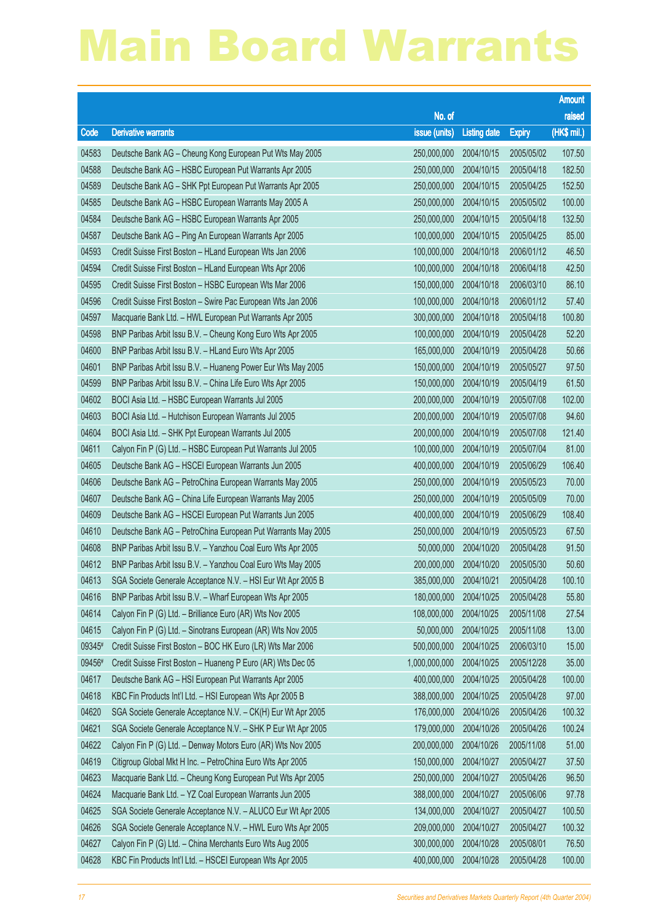|        |                                                              |                        |                     |               | <b>Amount</b> |
|--------|--------------------------------------------------------------|------------------------|---------------------|---------------|---------------|
|        |                                                              | No. of                 |                     |               | raised        |
| Code   | <b>Derivative warrants</b>                                   | issue (units)          | <b>Listing date</b> | <b>Expiry</b> | (HK\$ mil.)   |
| 04583  | Deutsche Bank AG - Cheung Kong European Put Wts May 2005     | 250,000,000            | 2004/10/15          | 2005/05/02    | 107.50        |
| 04588  | Deutsche Bank AG - HSBC European Put Warrants Apr 2005       | 250,000,000            | 2004/10/15          | 2005/04/18    | 182.50        |
| 04589  | Deutsche Bank AG - SHK Ppt European Put Warrants Apr 2005    | 250,000,000            | 2004/10/15          | 2005/04/25    | 152.50        |
| 04585  | Deutsche Bank AG - HSBC European Warrants May 2005 A         | 250,000,000            | 2004/10/15          | 2005/05/02    | 100.00        |
| 04584  | Deutsche Bank AG - HSBC European Warrants Apr 2005           | 250,000,000            | 2004/10/15          | 2005/04/18    | 132.50        |
| 04587  | Deutsche Bank AG - Ping An European Warrants Apr 2005        | 100,000,000            | 2004/10/15          | 2005/04/25    | 85.00         |
| 04593  | Credit Suisse First Boston - HLand European Wts Jan 2006     | 100,000,000            | 2004/10/18          | 2006/01/12    | 46.50         |
| 04594  | Credit Suisse First Boston - HLand European Wts Apr 2006     | 100,000,000            | 2004/10/18          | 2006/04/18    | 42.50         |
| 04595  | Credit Suisse First Boston - HSBC European Wts Mar 2006      | 150,000,000            | 2004/10/18          | 2006/03/10    | 86.10         |
| 04596  | Credit Suisse First Boston - Swire Pac European Wts Jan 2006 | 100,000,000            | 2004/10/18          | 2006/01/12    | 57.40         |
| 04597  | Macquarie Bank Ltd. - HWL European Put Warrants Apr 2005     | 300,000,000            | 2004/10/18          | 2005/04/18    | 100.80        |
| 04598  | BNP Paribas Arbit Issu B.V. - Cheung Kong Euro Wts Apr 2005  | 100,000,000            | 2004/10/19          | 2005/04/28    | 52.20         |
| 04600  | BNP Paribas Arbit Issu B.V. - HLand Euro Wts Apr 2005        | 165,000,000            | 2004/10/19          | 2005/04/28    | 50.66         |
| 04601  | BNP Paribas Arbit Issu B.V. - Huaneng Power Eur Wts May 2005 | 150,000,000            | 2004/10/19          | 2005/05/27    | 97.50         |
| 04599  | BNP Paribas Arbit Issu B.V. - China Life Euro Wts Apr 2005   | 150,000,000            | 2004/10/19          | 2005/04/19    | 61.50         |
| 04602  | BOCI Asia Ltd. - HSBC European Warrants Jul 2005             | 200,000,000            | 2004/10/19          | 2005/07/08    | 102.00        |
| 04603  | BOCI Asia Ltd. - Hutchison European Warrants Jul 2005        | 200,000,000            | 2004/10/19          | 2005/07/08    | 94.60         |
| 04604  | BOCI Asia Ltd. - SHK Ppt European Warrants Jul 2005          | 200,000,000            | 2004/10/19          | 2005/07/08    | 121.40        |
| 04611  | Calyon Fin P (G) Ltd. - HSBC European Put Warrants Jul 2005  | 100,000,000            | 2004/10/19          | 2005/07/04    | 81.00         |
| 04605  | Deutsche Bank AG - HSCEI European Warrants Jun 2005          | 400,000,000            | 2004/10/19          | 2005/06/29    | 106.40        |
| 04606  | Deutsche Bank AG - PetroChina European Warrants May 2005     | 250,000,000            | 2004/10/19          | 2005/05/23    | 70.00         |
| 04607  | Deutsche Bank AG - China Life European Warrants May 2005     | 250,000,000            | 2004/10/19          | 2005/05/09    | 70.00         |
| 04609  | Deutsche Bank AG - HSCEI European Put Warrants Jun 2005      | 400,000,000            | 2004/10/19          | 2005/06/29    | 108.40        |
| 04610  | Deutsche Bank AG - PetroChina European Put Warrants May 2005 | 250,000,000            | 2004/10/19          | 2005/05/23    | 67.50         |
| 04608  | BNP Paribas Arbit Issu B.V. - Yanzhou Coal Euro Wts Apr 2005 | 50,000,000             | 2004/10/20          | 2005/04/28    | 91.50         |
| 04612  | BNP Paribas Arbit Issu B.V. - Yanzhou Coal Euro Wts May 2005 | 200,000,000            | 2004/10/20          | 2005/05/30    | 50.60         |
| 04613  | SGA Societe Generale Acceptance N.V. - HSI Eur Wt Apr 2005 B | 385,000,000 2004/10/21 |                     | 2005/04/28    | 100.10        |
| 04616  | BNP Paribas Arbit Issu B.V. - Wharf European Wts Apr 2005    | 180,000,000            | 2004/10/25          | 2005/04/28    | 55.80         |
| 04614  | Calyon Fin P (G) Ltd. - Brilliance Euro (AR) Wts Nov 2005    | 108,000,000            | 2004/10/25          | 2005/11/08    | 27.54         |
| 04615  | Calyon Fin P (G) Ltd. - Sinotrans European (AR) Wts Nov 2005 | 50,000,000             | 2004/10/25          | 2005/11/08    | 13.00         |
| 09345# | Credit Suisse First Boston - BOC HK Euro (LR) Wts Mar 2006   | 500,000,000            | 2004/10/25          | 2006/03/10    | 15.00         |
| 09456# | Credit Suisse First Boston - Huaneng P Euro (AR) Wts Dec 05  | 1,000,000,000          | 2004/10/25          | 2005/12/28    | 35.00         |
| 04617  | Deutsche Bank AG - HSI European Put Warrants Apr 2005        | 400,000,000            | 2004/10/25          | 2005/04/28    | 100.00        |
| 04618  | KBC Fin Products Int'l Ltd. - HSI European Wts Apr 2005 B    | 388,000,000            | 2004/10/25          | 2005/04/28    | 97.00         |
| 04620  | SGA Societe Generale Acceptance N.V. - CK(H) Eur Wt Apr 2005 | 176,000,000            | 2004/10/26          | 2005/04/26    | 100.32        |
| 04621  | SGA Societe Generale Acceptance N.V. - SHK P Eur Wt Apr 2005 | 179,000,000            | 2004/10/26          | 2005/04/26    | 100.24        |
| 04622  | Calyon Fin P (G) Ltd. - Denway Motors Euro (AR) Wts Nov 2005 | 200,000,000            | 2004/10/26          | 2005/11/08    | 51.00         |
| 04619  | Citigroup Global Mkt H Inc. - PetroChina Euro Wts Apr 2005   | 150,000,000            | 2004/10/27          | 2005/04/27    | 37.50         |
| 04623  | Macquarie Bank Ltd. - Cheung Kong European Put Wts Apr 2005  | 250,000,000            | 2004/10/27          | 2005/04/26    | 96.50         |
| 04624  | Macquarie Bank Ltd. - YZ Coal European Warrants Jun 2005     | 388,000,000            | 2004/10/27          | 2005/06/06    | 97.78         |
| 04625  | SGA Societe Generale Acceptance N.V. - ALUCO Eur Wt Apr 2005 | 134,000,000            | 2004/10/27          | 2005/04/27    | 100.50        |
| 04626  | SGA Societe Generale Acceptance N.V. - HWL Euro Wts Apr 2005 | 209,000,000            | 2004/10/27          | 2005/04/27    | 100.32        |
| 04627  | Calyon Fin P (G) Ltd. - China Merchants Euro Wts Aug 2005    | 300,000,000            | 2004/10/28          | 2005/08/01    | 76.50         |
| 04628  | KBC Fin Products Int'l Ltd. - HSCEI European Wts Apr 2005    | 400,000,000            | 2004/10/28          | 2005/04/28    | 100.00        |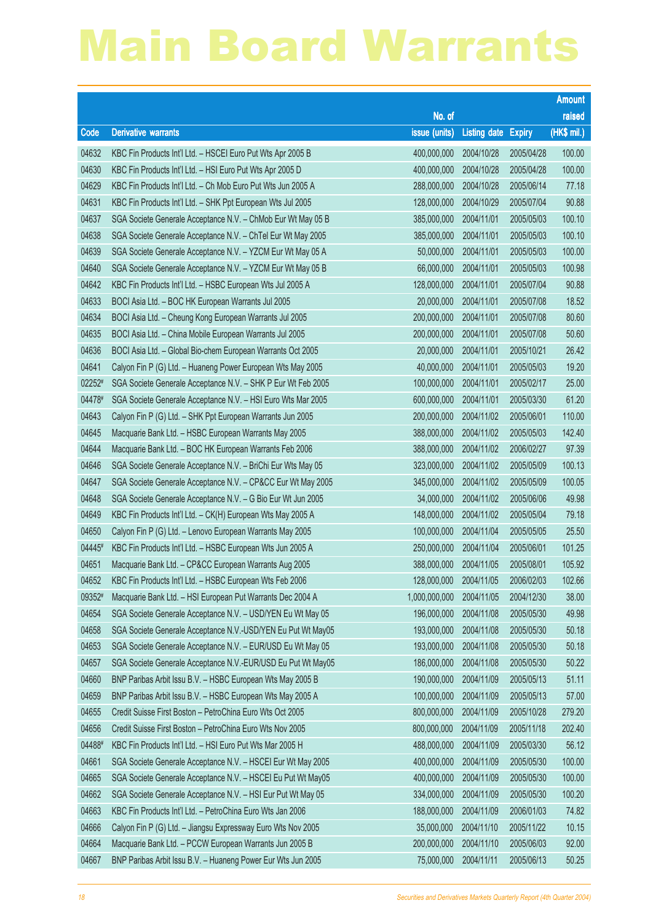|        |                                                              |                        |                     |               | <b>Amount</b> |
|--------|--------------------------------------------------------------|------------------------|---------------------|---------------|---------------|
|        |                                                              | No. of                 |                     |               | raised        |
| Code   | <b>Derivative warrants</b>                                   | issue (units)          | <b>Listing date</b> | <b>Expiry</b> | (HK\$ mil.)   |
| 04632  | KBC Fin Products Int'l Ltd. - HSCEI Euro Put Wts Apr 2005 B  | 400,000,000            | 2004/10/28          | 2005/04/28    | 100.00        |
| 04630  | KBC Fin Products Int'l Ltd. - HSI Euro Put Wts Apr 2005 D    | 400,000,000            | 2004/10/28          | 2005/04/28    | 100.00        |
| 04629  | KBC Fin Products Int'l Ltd. - Ch Mob Euro Put Wts Jun 2005 A | 288,000,000            | 2004/10/28          | 2005/06/14    | 77.18         |
| 04631  | KBC Fin Products Int'l Ltd. - SHK Ppt European Wts Jul 2005  | 128,000,000            | 2004/10/29          | 2005/07/04    | 90.88         |
| 04637  | SGA Societe Generale Acceptance N.V. - ChMob Eur Wt May 05 B | 385,000,000            | 2004/11/01          | 2005/05/03    | 100.10        |
| 04638  | SGA Societe Generale Acceptance N.V. - ChTel Eur Wt May 2005 | 385,000,000            | 2004/11/01          | 2005/05/03    | 100.10        |
| 04639  | SGA Societe Generale Acceptance N.V. - YZCM Eur Wt May 05 A  | 50,000,000             | 2004/11/01          | 2005/05/03    | 100.00        |
| 04640  | SGA Societe Generale Acceptance N.V. - YZCM Eur Wt May 05 B  | 66,000,000             | 2004/11/01          | 2005/05/03    | 100.98        |
| 04642  | KBC Fin Products Int'l Ltd. - HSBC European Wts Jul 2005 A   | 128,000,000            | 2004/11/01          | 2005/07/04    | 90.88         |
| 04633  | BOCI Asia Ltd. - BOC HK European Warrants Jul 2005           | 20,000,000             | 2004/11/01          | 2005/07/08    | 18.52         |
| 04634  | BOCI Asia Ltd. - Cheung Kong European Warrants Jul 2005      | 200,000,000            | 2004/11/01          | 2005/07/08    | 80.60         |
| 04635  | BOCI Asia Ltd. - China Mobile European Warrants Jul 2005     | 200,000,000            | 2004/11/01          | 2005/07/08    | 50.60         |
| 04636  | BOCI Asia Ltd. - Global Bio-chem European Warrants Oct 2005  | 20,000,000             | 2004/11/01          | 2005/10/21    | 26.42         |
| 04641  | Calyon Fin P (G) Ltd. - Huaneng Power European Wts May 2005  | 40,000,000             | 2004/11/01          | 2005/05/03    | 19.20         |
| 02252# | SGA Societe Generale Acceptance N.V. - SHK P Eur Wt Feb 2005 | 100,000,000            | 2004/11/01          | 2005/02/17    | 25.00         |
| 04478# | SGA Societe Generale Acceptance N.V. - HSI Euro Wts Mar 2005 | 600,000,000            | 2004/11/01          | 2005/03/30    | 61.20         |
| 04643  | Calyon Fin P (G) Ltd. - SHK Ppt European Warrants Jun 2005   | 200,000,000            | 2004/11/02          | 2005/06/01    | 110.00        |
| 04645  | Macquarie Bank Ltd. - HSBC European Warrants May 2005        | 388,000,000            | 2004/11/02          | 2005/05/03    | 142.40        |
| 04644  | Macquarie Bank Ltd. - BOC HK European Warrants Feb 2006      | 388,000,000            | 2004/11/02          | 2006/02/27    | 97.39         |
| 04646  | SGA Societe Generale Acceptance N.V. - BriChi Eur Wts May 05 | 323,000,000            | 2004/11/02          | 2005/05/09    | 100.13        |
| 04647  | SGA Societe Generale Acceptance N.V. - CP&CC Eur Wt May 2005 | 345,000,000            | 2004/11/02          | 2005/05/09    | 100.05        |
| 04648  | SGA Societe Generale Acceptance N.V. - G Bio Eur Wt Jun 2005 | 34,000,000             | 2004/11/02          | 2005/06/06    | 49.98         |
| 04649  | KBC Fin Products Int'l Ltd. - CK(H) European Wts May 2005 A  | 148,000,000            | 2004/11/02          | 2005/05/04    | 79.18         |
| 04650  | Calyon Fin P (G) Ltd. - Lenovo European Warrants May 2005    | 100,000,000            | 2004/11/04          | 2005/05/05    | 25.50         |
| 04445# | KBC Fin Products Int'l Ltd. - HSBC European Wts Jun 2005 A   | 250,000,000            | 2004/11/04          | 2005/06/01    | 101.25        |
| 04651  | Macquarie Bank Ltd. - CP&CC European Warrants Aug 2005       | 388,000,000            | 2004/11/05          | 2005/08/01    | 105.92        |
| 04652  | KBC Fin Products Int'l Ltd. - HSBC European Wts Feb 2006     | 128,000,000 2004/11/05 |                     | 2006/02/03    | 102.66        |
| 09352# | Macquarie Bank Ltd. - HSI European Put Warrants Dec 2004 A   | 1,000,000,000          | 2004/11/05          | 2004/12/30    | 38.00         |
| 04654  | SGA Societe Generale Acceptance N.V. - USD/YEN Eu Wt May 05  | 196,000,000            | 2004/11/08          | 2005/05/30    | 49.98         |
| 04658  | SGA Societe Generale Acceptance N.V.-USD/YEN Eu Put Wt May05 | 193,000,000            | 2004/11/08          | 2005/05/30    | 50.18         |
| 04653  | SGA Societe Generale Acceptance N.V. - EUR/USD Eu Wt May 05  | 193,000,000            | 2004/11/08          | 2005/05/30    | 50.18         |
| 04657  | SGA Societe Generale Acceptance N.V.-EUR/USD Eu Put Wt May05 | 186,000,000            | 2004/11/08          | 2005/05/30    | 50.22         |
| 04660  | BNP Paribas Arbit Issu B.V. - HSBC European Wts May 2005 B   | 190,000,000            | 2004/11/09          | 2005/05/13    | 51.11         |
| 04659  | BNP Paribas Arbit Issu B.V. - HSBC European Wts May 2005 A   | 100,000,000            | 2004/11/09          | 2005/05/13    | 57.00         |
| 04655  | Credit Suisse First Boston - PetroChina Euro Wts Oct 2005    | 800,000,000            | 2004/11/09          | 2005/10/28    | 279.20        |
| 04656  | Credit Suisse First Boston - PetroChina Euro Wts Nov 2005    | 800,000,000            | 2004/11/09          | 2005/11/18    | 202.40        |
| 04488# | KBC Fin Products Int'l Ltd. - HSI Euro Put Wts Mar 2005 H    | 488,000,000            | 2004/11/09          | 2005/03/30    | 56.12         |
| 04661  | SGA Societe Generale Acceptance N.V. - HSCEI Eur Wt May 2005 | 400,000,000            | 2004/11/09          | 2005/05/30    | 100.00        |
| 04665  | SGA Societe Generale Acceptance N.V. - HSCEI Eu Put Wt May05 | 400,000,000            | 2004/11/09          | 2005/05/30    | 100.00        |
| 04662  | SGA Societe Generale Acceptance N.V. - HSI Eur Put Wt May 05 | 334,000,000            | 2004/11/09          | 2005/05/30    | 100.20        |
| 04663  | KBC Fin Products Int'l Ltd. - PetroChina Euro Wts Jan 2006   | 188,000,000            | 2004/11/09          | 2006/01/03    | 74.82         |
| 04666  | Calyon Fin P (G) Ltd. - Jiangsu Expressway Euro Wts Nov 2005 | 35,000,000             | 2004/11/10          | 2005/11/22    | 10.15         |
| 04664  | Macquarie Bank Ltd. - PCCW European Warrants Jun 2005 B      | 200,000,000            | 2004/11/10          | 2005/06/03    | 92.00         |
| 04667  | BNP Paribas Arbit Issu B.V. - Huaneng Power Eur Wts Jun 2005 | 75,000,000             | 2004/11/11          | 2005/06/13    | 50.25         |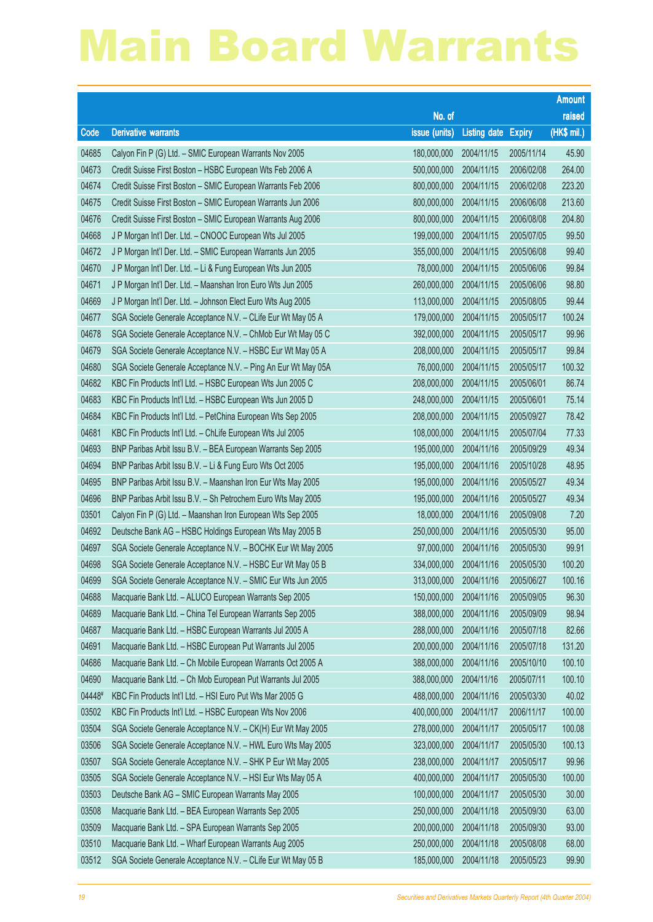|        |                                                               |                        |                     |               | <b>Amount</b> |
|--------|---------------------------------------------------------------|------------------------|---------------------|---------------|---------------|
|        |                                                               | No. of                 |                     |               | raised        |
| Code   | <b>Derivative warrants</b>                                    | issue (units)          | <b>Listing date</b> | <b>Expiry</b> | (HK\$ mil.)   |
| 04685  | Calyon Fin P (G) Ltd. - SMIC European Warrants Nov 2005       | 180,000,000            | 2004/11/15          | 2005/11/14    | 45.90         |
| 04673  | Credit Suisse First Boston - HSBC European Wts Feb 2006 A     | 500,000,000            | 2004/11/15          | 2006/02/08    | 264.00        |
| 04674  | Credit Suisse First Boston - SMIC European Warrants Feb 2006  | 800,000,000            | 2004/11/15          | 2006/02/08    | 223.20        |
| 04675  | Credit Suisse First Boston - SMIC European Warrants Jun 2006  | 800,000,000            | 2004/11/15          | 2006/06/08    | 213.60        |
| 04676  | Credit Suisse First Boston - SMIC European Warrants Aug 2006  | 800,000,000            | 2004/11/15          | 2006/08/08    | 204.80        |
| 04668  | J P Morgan Int'l Der. Ltd. - CNOOC European Wts Jul 2005      | 199,000,000            | 2004/11/15          | 2005/07/05    | 99.50         |
| 04672  | J P Morgan Int'l Der. Ltd. - SMIC European Warrants Jun 2005  | 355,000,000            | 2004/11/15          | 2005/06/08    | 99.40         |
| 04670  | J P Morgan Int'l Der. Ltd. - Li & Fung European Wts Jun 2005  | 78,000,000             | 2004/11/15          | 2005/06/06    | 99.84         |
| 04671  | J P Morgan Int'l Der. Ltd. - Maanshan Iron Euro Wts Jun 2005  | 260,000,000            | 2004/11/15          | 2005/06/06    | 98.80         |
| 04669  | J P Morgan Int'l Der. Ltd. - Johnson Elect Euro Wts Aug 2005  | 113,000,000            | 2004/11/15          | 2005/08/05    | 99.44         |
| 04677  | SGA Societe Generale Acceptance N.V. - CLife Eur Wt May 05 A  | 179,000,000            | 2004/11/15          | 2005/05/17    | 100.24        |
| 04678  | SGA Societe Generale Acceptance N.V. - ChMob Eur Wt May 05 C  | 392,000,000            | 2004/11/15          | 2005/05/17    | 99.96         |
| 04679  | SGA Societe Generale Acceptance N.V. - HSBC Eur Wt May 05 A   | 208,000,000            | 2004/11/15          | 2005/05/17    | 99.84         |
| 04680  | SGA Societe Generale Acceptance N.V. - Ping An Eur Wt May 05A | 76,000,000             | 2004/11/15          | 2005/05/17    | 100.32        |
| 04682  | KBC Fin Products Int'l Ltd. - HSBC European Wts Jun 2005 C    | 208,000,000            | 2004/11/15          | 2005/06/01    | 86.74         |
| 04683  | KBC Fin Products Int'l Ltd. - HSBC European Wts Jun 2005 D    | 248,000,000            | 2004/11/15          | 2005/06/01    | 75.14         |
| 04684  | KBC Fin Products Int'l Ltd. - PetChina European Wts Sep 2005  | 208,000,000            | 2004/11/15          | 2005/09/27    | 78.42         |
| 04681  | KBC Fin Products Int'l Ltd. - ChLife European Wts Jul 2005    | 108,000,000            | 2004/11/15          | 2005/07/04    | 77.33         |
| 04693  | BNP Paribas Arbit Issu B.V. - BEA European Warrants Sep 2005  | 195,000,000            | 2004/11/16          | 2005/09/29    | 49.34         |
| 04694  | BNP Paribas Arbit Issu B.V. - Li & Fung Euro Wts Oct 2005     | 195,000,000            | 2004/11/16          | 2005/10/28    | 48.95         |
| 04695  | BNP Paribas Arbit Issu B.V. - Maanshan Iron Eur Wts May 2005  | 195,000,000            | 2004/11/16          | 2005/05/27    | 49.34         |
| 04696  | BNP Paribas Arbit Issu B.V. - Sh Petrochem Euro Wts May 2005  | 195,000,000            | 2004/11/16          | 2005/05/27    | 49.34         |
| 03501  | Calyon Fin P (G) Ltd. - Maanshan Iron European Wts Sep 2005   | 18,000,000             | 2004/11/16          | 2005/09/08    | 7.20          |
| 04692  | Deutsche Bank AG - HSBC Holdings European Wts May 2005 B      | 250,000,000            | 2004/11/16          | 2005/05/30    | 95.00         |
| 04697  | SGA Societe Generale Acceptance N.V. - BOCHK Eur Wt May 2005  | 97,000,000             | 2004/11/16          | 2005/05/30    | 99.91         |
| 04698  | SGA Societe Generale Acceptance N.V. - HSBC Eur Wt May 05 B   | 334,000,000            | 2004/11/16          | 2005/05/30    | 100.20        |
| 04699  | SGA Societe Generale Acceptance N.V. - SMIC Eur Wts Jun 2005  | 313,000,000 2004/11/16 |                     | 2005/06/27    | 100.16        |
| 04688  | Macquarie Bank Ltd. - ALUCO European Warrants Sep 2005        | 150,000,000            | 2004/11/16          | 2005/09/05    | 96.30         |
| 04689  | Macquarie Bank Ltd. - China Tel European Warrants Sep 2005    | 388,000,000            | 2004/11/16          | 2005/09/09    | 98.94         |
| 04687  | Macquarie Bank Ltd. - HSBC European Warrants Jul 2005 A       | 288,000,000            | 2004/11/16          | 2005/07/18    | 82.66         |
| 04691  | Macquarie Bank Ltd. - HSBC European Put Warrants Jul 2005     | 200,000,000            | 2004/11/16          | 2005/07/18    | 131.20        |
| 04686  | Macquarie Bank Ltd. - Ch Mobile European Warrants Oct 2005 A  | 388,000,000            | 2004/11/16          | 2005/10/10    | 100.10        |
| 04690  | Macquarie Bank Ltd. - Ch Mob European Put Warrants Jul 2005   | 388,000,000            | 2004/11/16          | 2005/07/11    | 100.10        |
| 04448# | KBC Fin Products Int'l Ltd. - HSI Euro Put Wts Mar 2005 G     | 488,000,000            | 2004/11/16          | 2005/03/30    | 40.02         |
| 03502  | KBC Fin Products Int'l Ltd. - HSBC European Wts Nov 2006      | 400,000,000            | 2004/11/17          | 2006/11/17    | 100.00        |
| 03504  | SGA Societe Generale Acceptance N.V. - CK(H) Eur Wt May 2005  | 278,000,000            | 2004/11/17          | 2005/05/17    | 100.08        |
| 03506  | SGA Societe Generale Acceptance N.V. - HWL Euro Wts May 2005  | 323,000,000            | 2004/11/17          | 2005/05/30    | 100.13        |
| 03507  | SGA Societe Generale Acceptance N.V. - SHK P Eur Wt May 2005  | 238,000,000            | 2004/11/17          | 2005/05/17    | 99.96         |
| 03505  | SGA Societe Generale Acceptance N.V. - HSI Eur Wts May 05 A   | 400,000,000            | 2004/11/17          | 2005/05/30    | 100.00        |
| 03503  | Deutsche Bank AG - SMIC European Warrants May 2005            | 100,000,000            | 2004/11/17          | 2005/05/30    | 30.00         |
| 03508  | Macquarie Bank Ltd. - BEA European Warrants Sep 2005          | 250,000,000            | 2004/11/18          | 2005/09/30    | 63.00         |
| 03509  | Macquarie Bank Ltd. - SPA European Warrants Sep 2005          | 200,000,000            | 2004/11/18          | 2005/09/30    | 93.00         |
| 03510  | Macquarie Bank Ltd. - Wharf European Warrants Aug 2005        | 250,000,000            | 2004/11/18          | 2005/08/08    | 68.00         |
| 03512  | SGA Societe Generale Acceptance N.V. - CLife Eur Wt May 05 B  | 185,000,000            | 2004/11/18          | 2005/05/23    | 99.90         |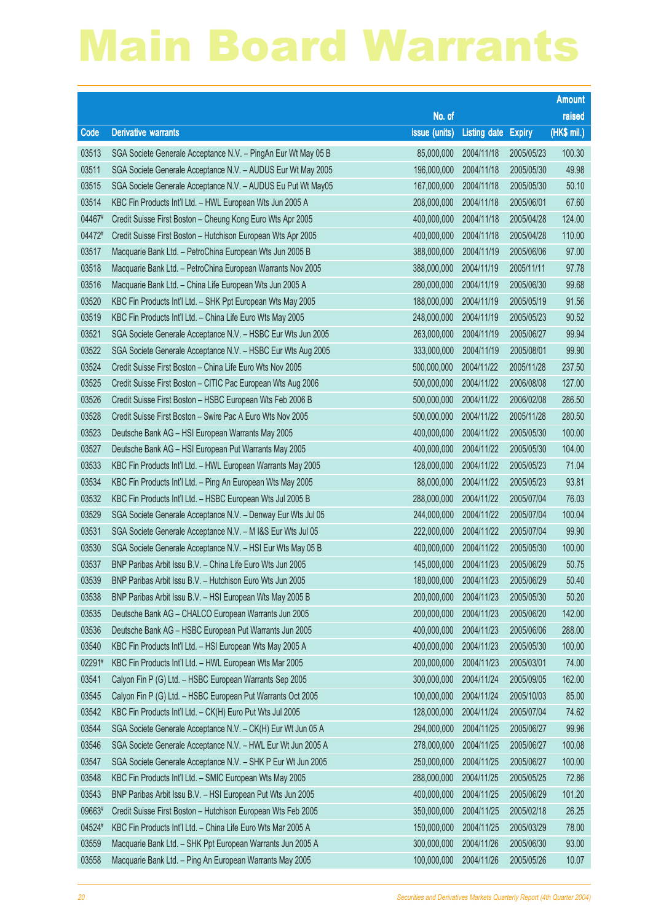|        |                                                               |                        |                     |               | <b>Amount</b> |
|--------|---------------------------------------------------------------|------------------------|---------------------|---------------|---------------|
|        |                                                               | No. of                 |                     |               | raised        |
| Code   | <b>Derivative warrants</b>                                    | issue (units)          | <b>Listing date</b> | <b>Expiry</b> | (HK\$ mil.)   |
| 03513  | SGA Societe Generale Acceptance N.V. - PingAn Eur Wt May 05 B | 85,000,000             | 2004/11/18          | 2005/05/23    | 100.30        |
| 03511  | SGA Societe Generale Acceptance N.V. - AUDUS Eur Wt May 2005  | 196,000,000            | 2004/11/18          | 2005/05/30    | 49.98         |
| 03515  | SGA Societe Generale Acceptance N.V. - AUDUS Eu Put Wt May05  | 167,000,000            | 2004/11/18          | 2005/05/30    | 50.10         |
| 03514  | KBC Fin Products Int'l Ltd. - HWL European Wts Jun 2005 A     | 208,000,000            | 2004/11/18          | 2005/06/01    | 67.60         |
| 04467# | Credit Suisse First Boston - Cheung Kong Euro Wts Apr 2005    | 400,000,000            | 2004/11/18          | 2005/04/28    | 124.00        |
| 04472# | Credit Suisse First Boston - Hutchison European Wts Apr 2005  | 400,000,000            | 2004/11/18          | 2005/04/28    | 110.00        |
| 03517  | Macquarie Bank Ltd. - PetroChina European Wts Jun 2005 B      | 388,000,000            | 2004/11/19          | 2005/06/06    | 97.00         |
| 03518  | Macquarie Bank Ltd. - PetroChina European Warrants Nov 2005   | 388,000,000            | 2004/11/19          | 2005/11/11    | 97.78         |
| 03516  | Macquarie Bank Ltd. - China Life European Wts Jun 2005 A      | 280,000,000            | 2004/11/19          | 2005/06/30    | 99.68         |
| 03520  | KBC Fin Products Int'l Ltd. - SHK Ppt European Wts May 2005   | 188,000,000            | 2004/11/19          | 2005/05/19    | 91.56         |
| 03519  | KBC Fin Products Int'l Ltd. - China Life Euro Wts May 2005    | 248,000,000            | 2004/11/19          | 2005/05/23    | 90.52         |
| 03521  | SGA Societe Generale Acceptance N.V. - HSBC Eur Wts Jun 2005  | 263,000,000            | 2004/11/19          | 2005/06/27    | 99.94         |
| 03522  | SGA Societe Generale Acceptance N.V. - HSBC Eur Wts Aug 2005  | 333,000,000            | 2004/11/19          | 2005/08/01    | 99.90         |
| 03524  | Credit Suisse First Boston - China Life Euro Wts Nov 2005     | 500,000,000            | 2004/11/22          | 2005/11/28    | 237.50        |
| 03525  | Credit Suisse First Boston - CITIC Pac European Wts Aug 2006  | 500,000,000            | 2004/11/22          | 2006/08/08    | 127.00        |
| 03526  | Credit Suisse First Boston - HSBC European Wts Feb 2006 B     | 500,000,000            | 2004/11/22          | 2006/02/08    | 286.50        |
| 03528  | Credit Suisse First Boston - Swire Pac A Euro Wts Nov 2005    | 500,000,000            | 2004/11/22          | 2005/11/28    | 280.50        |
| 03523  | Deutsche Bank AG - HSI European Warrants May 2005             | 400,000,000            | 2004/11/22          | 2005/05/30    | 100.00        |
| 03527  | Deutsche Bank AG - HSI European Put Warrants May 2005         | 400,000,000            | 2004/11/22          | 2005/05/30    | 104.00        |
| 03533  | KBC Fin Products Int'l Ltd. - HWL European Warrants May 2005  | 128,000,000            | 2004/11/22          | 2005/05/23    | 71.04         |
| 03534  | KBC Fin Products Int'l Ltd. - Ping An European Wts May 2005   | 88,000,000             | 2004/11/22          | 2005/05/23    | 93.81         |
| 03532  | KBC Fin Products Int'l Ltd. - HSBC European Wts Jul 2005 B    | 288,000,000            | 2004/11/22          | 2005/07/04    | 76.03         |
| 03529  | SGA Societe Generale Acceptance N.V. - Denway Eur Wts Jul 05  | 244,000,000            | 2004/11/22          | 2005/07/04    | 100.04        |
| 03531  | SGA Societe Generale Acceptance N.V. - M I&S Eur Wts Jul 05   | 222,000,000            | 2004/11/22          | 2005/07/04    | 99.90         |
| 03530  | SGA Societe Generale Acceptance N.V. - HSI Eur Wts May 05 B   | 400,000,000            | 2004/11/22          | 2005/05/30    | 100.00        |
| 03537  | BNP Paribas Arbit Issu B.V. - China Life Euro Wts Jun 2005    | 145,000,000            | 2004/11/23          | 2005/06/29    | 50.75         |
| 03539  | BNP Paribas Arbit Issu B.V. - Hutchison Euro Wts Jun 2005     | 180,000,000 2004/11/23 |                     | 2005/06/29    | 50.40         |
| 03538  | BNP Paribas Arbit Issu B.V. - HSI European Wts May 2005 B     | 200,000,000            | 2004/11/23          | 2005/05/30    | 50.20         |
| 03535  | Deutsche Bank AG - CHALCO European Warrants Jun 2005          | 200,000,000            | 2004/11/23          | 2005/06/20    | 142.00        |
| 03536  | Deutsche Bank AG - HSBC European Put Warrants Jun 2005        | 400,000,000            | 2004/11/23          | 2005/06/06    | 288.00        |
| 03540  | KBC Fin Products Int'l Ltd. - HSI European Wts May 2005 A     | 400,000,000            | 2004/11/23          | 2005/05/30    | 100.00        |
| 02291# | KBC Fin Products Int'l Ltd. - HWL European Wts Mar 2005       | 200,000,000            | 2004/11/23          | 2005/03/01    | 74.00         |
| 03541  | Calyon Fin P (G) Ltd. - HSBC European Warrants Sep 2005       | 300,000,000            | 2004/11/24          | 2005/09/05    | 162.00        |
| 03545  | Calyon Fin P (G) Ltd. - HSBC European Put Warrants Oct 2005   | 100,000,000            | 2004/11/24          | 2005/10/03    | 85.00         |
| 03542  | KBC Fin Products Int'l Ltd. - CK(H) Euro Put Wts Jul 2005     | 128,000,000            | 2004/11/24          | 2005/07/04    | 74.62         |
| 03544  | SGA Societe Generale Acceptance N.V. - CK(H) Eur Wt Jun 05 A  | 294,000,000            | 2004/11/25          | 2005/06/27    | 99.96         |
| 03546  | SGA Societe Generale Acceptance N.V. - HWL Eur Wt Jun 2005 A  | 278,000,000            | 2004/11/25          | 2005/06/27    | 100.08        |
| 03547  | SGA Societe Generale Acceptance N.V. - SHK P Eur Wt Jun 2005  | 250,000,000            | 2004/11/25          | 2005/06/27    | 100.00        |
| 03548  | KBC Fin Products Int'l Ltd. - SMIC European Wts May 2005      | 288,000,000            | 2004/11/25          | 2005/05/25    | 72.86         |
| 03543  | BNP Paribas Arbit Issu B.V. - HSI European Put Wts Jun 2005   | 400,000,000            | 2004/11/25          | 2005/06/29    | 101.20        |
| 09663# | Credit Suisse First Boston - Hutchison European Wts Feb 2005  | 350,000,000            | 2004/11/25          | 2005/02/18    | 26.25         |
| 04524# | KBC Fin Products Int'l Ltd. - China Life Euro Wts Mar 2005 A  | 150,000,000            | 2004/11/25          | 2005/03/29    | 78.00         |
| 03559  | Macquarie Bank Ltd. - SHK Ppt European Warrants Jun 2005 A    | 300,000,000            | 2004/11/26          | 2005/06/30    | 93.00         |
| 03558  | Macquarie Bank Ltd. - Ping An European Warrants May 2005      | 100,000,000            | 2004/11/26          | 2005/05/26    | 10.07         |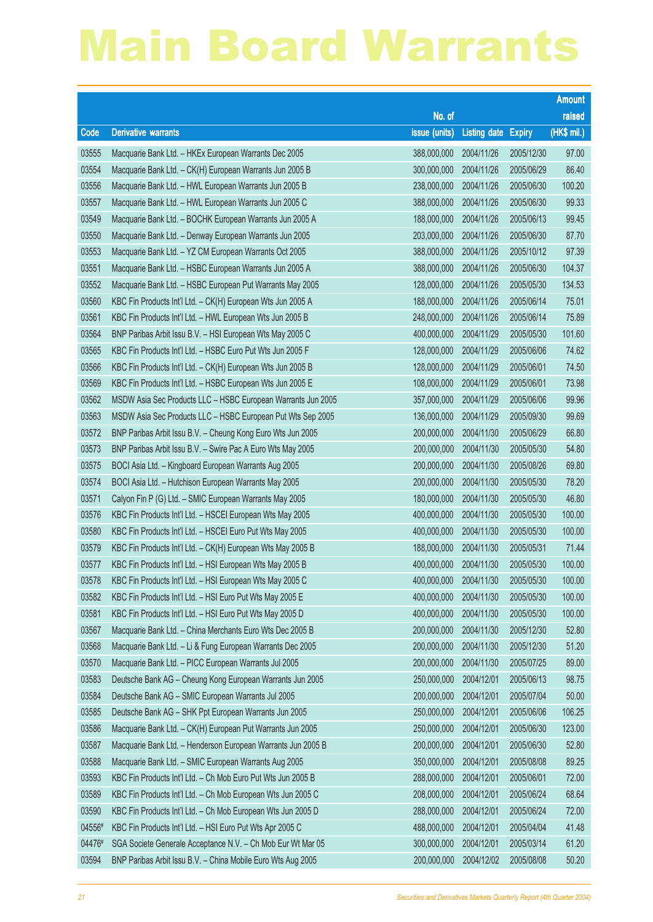|        |                                                              |                        |                     |               | <b>Amount</b> |
|--------|--------------------------------------------------------------|------------------------|---------------------|---------------|---------------|
|        |                                                              | No. of                 |                     |               | raised        |
| Code   | <b>Derivative warrants</b>                                   | issue (units)          | <b>Listing date</b> | <b>Expiry</b> | (HK\$ mil.)   |
| 03555  | Macquarie Bank Ltd. - HKEx European Warrants Dec 2005        | 388,000,000            | 2004/11/26          | 2005/12/30    | 97.00         |
| 03554  | Macquarie Bank Ltd. - CK(H) European Warrants Jun 2005 B     | 300,000,000            | 2004/11/26          | 2005/06/29    | 86.40         |
| 03556  | Macquarie Bank Ltd. - HWL European Warrants Jun 2005 B       | 238,000,000            | 2004/11/26          | 2005/06/30    | 100.20        |
| 03557  | Macquarie Bank Ltd. - HWL European Warrants Jun 2005 C       | 388,000,000            | 2004/11/26          | 2005/06/30    | 99.33         |
| 03549  | Macquarie Bank Ltd. - BOCHK European Warrants Jun 2005 A     | 188,000,000            | 2004/11/26          | 2005/06/13    | 99.45         |
| 03550  | Macquarie Bank Ltd. - Denway European Warrants Jun 2005      | 203,000,000            | 2004/11/26          | 2005/06/30    | 87.70         |
| 03553  | Macquarie Bank Ltd. - YZ CM European Warrants Oct 2005       | 388,000,000            | 2004/11/26          | 2005/10/12    | 97.39         |
| 03551  | Macquarie Bank Ltd. - HSBC European Warrants Jun 2005 A      | 388,000,000            | 2004/11/26          | 2005/06/30    | 104.37        |
| 03552  | Macquarie Bank Ltd. - HSBC European Put Warrants May 2005    | 128,000,000            | 2004/11/26          | 2005/05/30    | 134.53        |
| 03560  | KBC Fin Products Int'l Ltd. - CK(H) European Wts Jun 2005 A  | 188,000,000            | 2004/11/26          | 2005/06/14    | 75.01         |
| 03561  | KBC Fin Products Int'l Ltd. - HWL European Wts Jun 2005 B    | 248,000,000            | 2004/11/26          | 2005/06/14    | 75.89         |
| 03564  | BNP Paribas Arbit Issu B.V. - HSI European Wts May 2005 C    | 400,000,000            | 2004/11/29          | 2005/05/30    | 101.60        |
| 03565  | KBC Fin Products Int'l Ltd. - HSBC Euro Put Wts Jun 2005 F   | 128,000,000            | 2004/11/29          | 2005/06/06    | 74.62         |
| 03566  | KBC Fin Products Int'l Ltd. - CK(H) European Wts Jun 2005 B  | 128,000,000            | 2004/11/29          | 2005/06/01    | 74.50         |
| 03569  | KBC Fin Products Int'l Ltd. - HSBC European Wts Jun 2005 E   | 108,000,000            | 2004/11/29          | 2005/06/01    | 73.98         |
| 03562  | MSDW Asia Sec Products LLC - HSBC European Warrants Jun 2005 | 357,000,000            | 2004/11/29          | 2005/06/06    | 99.96         |
| 03563  | MSDW Asia Sec Products LLC - HSBC European Put Wts Sep 2005  | 136,000,000            | 2004/11/29          | 2005/09/30    | 99.69         |
| 03572  | BNP Paribas Arbit Issu B.V. - Cheung Kong Euro Wts Jun 2005  | 200,000,000            | 2004/11/30          | 2005/06/29    | 66.80         |
| 03573  | BNP Paribas Arbit Issu B.V. - Swire Pac A Euro Wts May 2005  | 200,000,000            | 2004/11/30          | 2005/05/30    | 54.80         |
| 03575  | BOCI Asia Ltd. - Kingboard European Warrants Aug 2005        | 200,000,000            | 2004/11/30          | 2005/08/26    | 69.80         |
| 03574  | BOCI Asia Ltd. - Hutchison European Warrants May 2005        | 200,000,000            | 2004/11/30          | 2005/05/30    | 78.20         |
| 03571  | Calyon Fin P (G) Ltd. - SMIC European Warrants May 2005      | 180,000,000            | 2004/11/30          | 2005/05/30    | 46.80         |
| 03576  | KBC Fin Products Int'l Ltd. - HSCEI European Wts May 2005    | 400,000,000            | 2004/11/30          | 2005/05/30    | 100.00        |
| 03580  | KBC Fin Products Int'l Ltd. - HSCEI Euro Put Wts May 2005    | 400,000,000            | 2004/11/30          | 2005/05/30    | 100.00        |
| 03579  | KBC Fin Products Int'l Ltd. - CK(H) European Wts May 2005 B  | 188,000,000            | 2004/11/30          | 2005/05/31    | 71.44         |
| 03577  | KBC Fin Products Int'l Ltd. - HSI European Wts May 2005 B    | 400,000,000            | 2004/11/30          | 2005/05/30    | 100.00        |
| 03578  | KBC Fin Products Int'l Ltd. - HSI European Wts May 2005 C    | 400,000,000 2004/11/30 |                     | 2005/05/30    | 100.00        |
| 03582  | KBC Fin Products Int'l Ltd. - HSI Euro Put Wts May 2005 E    | 400,000,000            | 2004/11/30          | 2005/05/30    | 100.00        |
| 03581  | KBC Fin Products Int'l Ltd. - HSI Euro Put Wts May 2005 D    | 400,000,000            | 2004/11/30          | 2005/05/30    | 100.00        |
| 03567  | Macquarie Bank Ltd. - China Merchants Euro Wts Dec 2005 B    | 200,000,000            | 2004/11/30          | 2005/12/30    | 52.80         |
| 03568  | Macquarie Bank Ltd. - Li & Fung European Warrants Dec 2005   | 200,000,000            | 2004/11/30          | 2005/12/30    | 51.20         |
| 03570  | Macquarie Bank Ltd. - PICC European Warrants Jul 2005        | 200,000,000            | 2004/11/30          | 2005/07/25    | 89.00         |
| 03583  | Deutsche Bank AG - Cheung Kong European Warrants Jun 2005    | 250,000,000            | 2004/12/01          | 2005/06/13    | 98.75         |
| 03584  | Deutsche Bank AG - SMIC European Warrants Jul 2005           | 200,000,000            | 2004/12/01          | 2005/07/04    | 50.00         |
| 03585  | Deutsche Bank AG - SHK Ppt European Warrants Jun 2005        | 250,000,000            | 2004/12/01          | 2005/06/06    | 106.25        |
| 03586  | Macquarie Bank Ltd. - CK(H) European Put Warrants Jun 2005   | 250,000,000            | 2004/12/01          | 2005/06/30    | 123.00        |
| 03587  | Macquarie Bank Ltd. - Henderson European Warrants Jun 2005 B | 200,000,000            | 2004/12/01          | 2005/06/30    | 52.80         |
| 03588  | Macquarie Bank Ltd. - SMIC European Warrants Aug 2005        | 350,000,000            | 2004/12/01          | 2005/08/08    | 89.25         |
| 03593  | KBC Fin Products Int'l Ltd. - Ch Mob Euro Put Wts Jun 2005 B | 288,000,000            | 2004/12/01          | 2005/06/01    | 72.00         |
| 03589  | KBC Fin Products Int'l Ltd. - Ch Mob European Wts Jun 2005 C | 208,000,000            | 2004/12/01          | 2005/06/24    | 68.64         |
| 03590  | KBC Fin Products Int'l Ltd. - Ch Mob European Wts Jun 2005 D | 288,000,000            | 2004/12/01          | 2005/06/24    | 72.00         |
| 04556# | KBC Fin Products Int'l Ltd. - HSI Euro Put Wts Apr 2005 C    | 488,000,000            | 2004/12/01          | 2005/04/04    | 41.48         |
| 04476# | SGA Societe Generale Acceptance N.V. - Ch Mob Eur Wt Mar 05  | 300,000,000            | 2004/12/01          | 2005/03/14    | 61.20         |
| 03594  | BNP Paribas Arbit Issu B.V. - China Mobile Euro Wts Aug 2005 | 200,000,000            | 2004/12/02          | 2005/08/08    | 50.20         |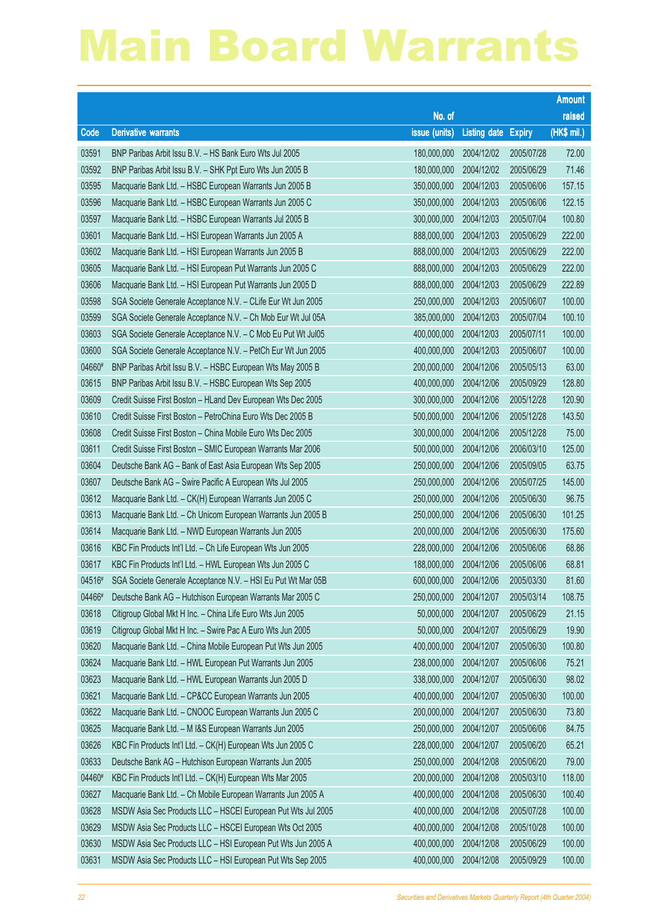|        |                                                              |                        |              |               | <b>Amount</b> |
|--------|--------------------------------------------------------------|------------------------|--------------|---------------|---------------|
|        |                                                              | No. of                 |              |               | raised        |
| Code   | <b>Derivative warrants</b>                                   | issue (units)          | Listing date | <b>Expiry</b> | (HK\$ mil.)   |
| 03591  | BNP Paribas Arbit Issu B.V. - HS Bank Euro Wts Jul 2005      | 180,000,000            | 2004/12/02   | 2005/07/28    | 72.00         |
| 03592  | BNP Paribas Arbit Issu B.V. - SHK Ppt Euro Wts Jun 2005 B    | 180,000,000            | 2004/12/02   | 2005/06/29    | 71.46         |
| 03595  | Macquarie Bank Ltd. - HSBC European Warrants Jun 2005 B      | 350,000,000            | 2004/12/03   | 2005/06/06    | 157.15        |
| 03596  | Macquarie Bank Ltd. - HSBC European Warrants Jun 2005 C      | 350,000,000            | 2004/12/03   | 2005/06/06    | 122.15        |
| 03597  | Macquarie Bank Ltd. - HSBC European Warrants Jul 2005 B      | 300,000,000            | 2004/12/03   | 2005/07/04    | 100.80        |
| 03601  | Macquarie Bank Ltd. - HSI European Warrants Jun 2005 A       | 888,000,000            | 2004/12/03   | 2005/06/29    | 222.00        |
| 03602  | Macquarie Bank Ltd. - HSI European Warrants Jun 2005 B       | 888,000,000            | 2004/12/03   | 2005/06/29    | 222.00        |
| 03605  | Macquarie Bank Ltd. - HSI European Put Warrants Jun 2005 C   | 888,000,000            | 2004/12/03   | 2005/06/29    | 222.00        |
| 03606  | Macquarie Bank Ltd. - HSI European Put Warrants Jun 2005 D   | 888,000,000            | 2004/12/03   | 2005/06/29    | 222.89        |
| 03598  | SGA Societe Generale Acceptance N.V. - CLife Eur Wt Jun 2005 | 250,000,000            | 2004/12/03   | 2005/06/07    | 100.00        |
| 03599  | SGA Societe Generale Acceptance N.V. - Ch Mob Eur Wt Jul 05A | 385,000,000            | 2004/12/03   | 2005/07/04    | 100.10        |
| 03603  | SGA Societe Generale Acceptance N.V. - C Mob Eu Put Wt Jul05 | 400,000,000            | 2004/12/03   | 2005/07/11    | 100.00        |
| 03600  | SGA Societe Generale Acceptance N.V. - PetCh Eur Wt Jun 2005 | 400,000,000            | 2004/12/03   | 2005/06/07    | 100.00        |
| 04660# | BNP Paribas Arbit Issu B.V. - HSBC European Wts May 2005 B   | 200,000,000            | 2004/12/06   | 2005/05/13    | 63.00         |
| 03615  | BNP Paribas Arbit Issu B.V. - HSBC European Wts Sep 2005     | 400,000,000            | 2004/12/06   | 2005/09/29    | 128.80        |
| 03609  | Credit Suisse First Boston - HLand Dev European Wts Dec 2005 | 300,000,000            | 2004/12/06   | 2005/12/28    | 120.90        |
| 03610  | Credit Suisse First Boston - PetroChina Euro Wts Dec 2005 B  | 500,000,000            | 2004/12/06   | 2005/12/28    | 143.50        |
| 03608  | Credit Suisse First Boston - China Mobile Euro Wts Dec 2005  | 300,000,000            | 2004/12/06   | 2005/12/28    | 75.00         |
| 03611  | Credit Suisse First Boston - SMIC European Warrants Mar 2006 | 500,000,000            | 2004/12/06   | 2006/03/10    | 125.00        |
| 03604  | Deutsche Bank AG - Bank of East Asia European Wts Sep 2005   | 250,000,000            | 2004/12/06   | 2005/09/05    | 63.75         |
| 03607  | Deutsche Bank AG - Swire Pacific A European Wts Jul 2005     | 250,000,000            | 2004/12/06   | 2005/07/25    | 145.00        |
| 03612  | Macquarie Bank Ltd. - CK(H) European Warrants Jun 2005 C     | 250,000,000            | 2004/12/06   | 2005/06/30    | 96.75         |
| 03613  | Macquarie Bank Ltd. - Ch Unicom European Warrants Jun 2005 B | 250,000,000            | 2004/12/06   | 2005/06/30    | 101.25        |
| 03614  | Macquarie Bank Ltd. - NWD European Warrants Jun 2005         | 200,000,000            | 2004/12/06   | 2005/06/30    | 175.60        |
| 03616  | KBC Fin Products Int'l Ltd. - Ch Life European Wts Jun 2005  | 228,000,000            | 2004/12/06   | 2005/06/06    | 68.86         |
| 03617  | KBC Fin Products Int'l Ltd. - HWL European Wts Jun 2005 C    | 188,000,000            | 2004/12/06   | 2005/06/06    | 68.81         |
| 04516# | SGA Societe Generale Acceptance N.V. - HSI Eu Put Wt Mar 05B | 600,000,000 2004/12/06 |              | 2005/03/30    | 81.60         |
| 04466# | Deutsche Bank AG - Hutchison European Warrants Mar 2005 C    | 250,000,000            | 2004/12/07   | 2005/03/14    | 108.75        |
| 03618  | Citigroup Global Mkt H Inc. - China Life Euro Wts Jun 2005   | 50,000,000             | 2004/12/07   | 2005/06/29    | 21.15         |
| 03619  | Citigroup Global Mkt H Inc. - Swire Pac A Euro Wts Jun 2005  | 50,000,000             | 2004/12/07   | 2005/06/29    | 19.90         |
| 03620  | Macquarie Bank Ltd. - China Mobile European Put Wts Jun 2005 | 400,000,000            | 2004/12/07   | 2005/06/30    | 100.80        |
| 03624  | Macquarie Bank Ltd. - HWL European Put Warrants Jun 2005     | 238,000,000            | 2004/12/07   | 2005/06/06    | 75.21         |
| 03623  | Macquarie Bank Ltd. - HWL European Warrants Jun 2005 D       | 338,000,000            | 2004/12/07   | 2005/06/30    | 98.02         |
| 03621  | Macquarie Bank Ltd. - CP&CC European Warrants Jun 2005       | 400,000,000            | 2004/12/07   | 2005/06/30    | 100.00        |
| 03622  | Macquarie Bank Ltd. - CNOOC European Warrants Jun 2005 C     | 200,000,000            | 2004/12/07   | 2005/06/30    | 73.80         |
| 03625  | Macquarie Bank Ltd. - M I&S European Warrants Jun 2005       | 250,000,000            | 2004/12/07   | 2005/06/06    | 84.75         |
| 03626  | KBC Fin Products Int'l Ltd. - CK(H) European Wts Jun 2005 C  | 228,000,000            | 2004/12/07   | 2005/06/20    | 65.21         |
| 03633  | Deutsche Bank AG - Hutchison European Warrants Jun 2005      | 250,000,000            | 2004/12/08   | 2005/06/20    | 79.00         |
| 04460# | KBC Fin Products Int'l Ltd. - CK(H) European Wts Mar 2005    | 200,000,000            | 2004/12/08   | 2005/03/10    | 118.00        |
| 03627  | Macquarie Bank Ltd. - Ch Mobile European Warrants Jun 2005 A | 400,000,000            | 2004/12/08   | 2005/06/30    | 100.40        |
| 03628  | MSDW Asia Sec Products LLC - HSCEI European Put Wts Jul 2005 | 400,000,000            | 2004/12/08   | 2005/07/28    | 100.00        |
| 03629  | MSDW Asia Sec Products LLC - HSCEI European Wts Oct 2005     | 400,000,000            | 2004/12/08   | 2005/10/28    | 100.00        |
| 03630  | MSDW Asia Sec Products LLC - HSI European Put Wts Jun 2005 A | 400,000,000            | 2004/12/08   | 2005/06/29    | 100.00        |
| 03631  | MSDW Asia Sec Products LLC - HSI European Put Wts Sep 2005   | 400,000,000            | 2004/12/08   | 2005/09/29    | 100.00        |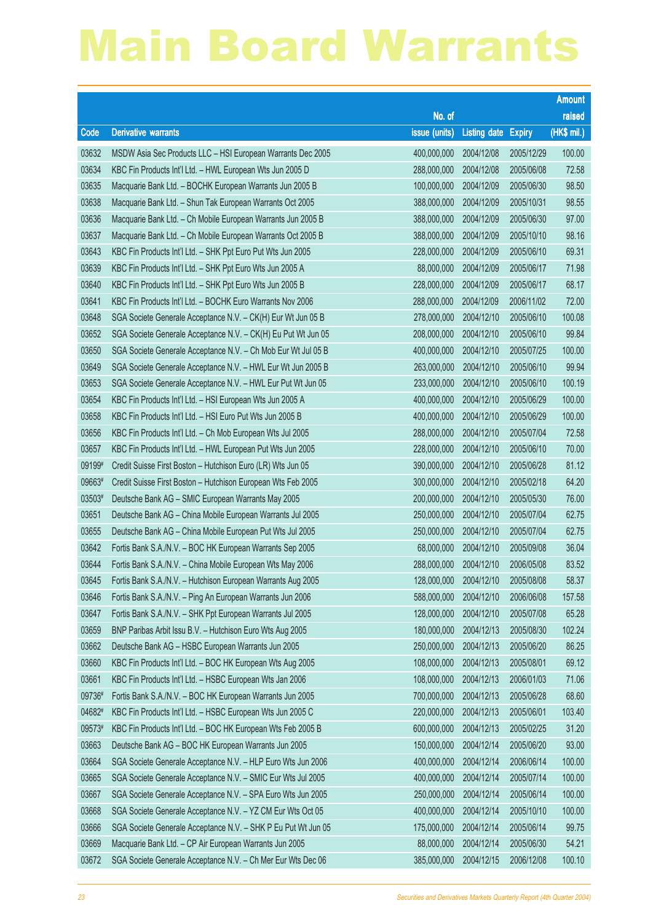|        |                                                               |                        |                     |               | <b>Amount</b> |
|--------|---------------------------------------------------------------|------------------------|---------------------|---------------|---------------|
|        |                                                               | No. of                 |                     |               | raised        |
| Code   | <b>Derivative warrants</b>                                    | issue (units)          | <b>Listing date</b> | <b>Expiry</b> | (HK\$ mil.)   |
| 03632  | MSDW Asia Sec Products LLC - HSI European Warrants Dec 2005   | 400,000,000            | 2004/12/08          | 2005/12/29    | 100.00        |
| 03634  | KBC Fin Products Int'l Ltd. - HWL European Wts Jun 2005 D     | 288,000,000            | 2004/12/08          | 2005/06/08    | 72.58         |
| 03635  | Macquarie Bank Ltd. - BOCHK European Warrants Jun 2005 B      | 100,000,000            | 2004/12/09          | 2005/06/30    | 98.50         |
| 03638  | Macquarie Bank Ltd. - Shun Tak European Warrants Oct 2005     | 388,000,000            | 2004/12/09          | 2005/10/31    | 98.55         |
| 03636  | Macquarie Bank Ltd. - Ch Mobile European Warrants Jun 2005 B  | 388,000,000            | 2004/12/09          | 2005/06/30    | 97.00         |
| 03637  | Macquarie Bank Ltd. - Ch Mobile European Warrants Oct 2005 B  | 388,000,000            | 2004/12/09          | 2005/10/10    | 98.16         |
| 03643  | KBC Fin Products Int'l Ltd. - SHK Ppt Euro Put Wts Jun 2005   | 228,000,000            | 2004/12/09          | 2005/06/10    | 69.31         |
| 03639  | KBC Fin Products Int'l Ltd. - SHK Ppt Euro Wts Jun 2005 A     | 88,000,000             | 2004/12/09          | 2005/06/17    | 71.98         |
| 03640  | KBC Fin Products Int'l Ltd. - SHK Ppt Euro Wts Jun 2005 B     | 228,000,000            | 2004/12/09          | 2005/06/17    | 68.17         |
| 03641  | KBC Fin Products Int'l Ltd. - BOCHK Euro Warrants Nov 2006    | 288,000,000            | 2004/12/09          | 2006/11/02    | 72.00         |
| 03648  | SGA Societe Generale Acceptance N.V. - CK(H) Eur Wt Jun 05 B  | 278,000,000            | 2004/12/10          | 2005/06/10    | 100.08        |
| 03652  | SGA Societe Generale Acceptance N.V. - CK(H) Eu Put Wt Jun 05 | 208,000,000            | 2004/12/10          | 2005/06/10    | 99.84         |
| 03650  | SGA Societe Generale Acceptance N.V. - Ch Mob Eur Wt Jul 05 B | 400,000,000            | 2004/12/10          | 2005/07/25    | 100.00        |
| 03649  | SGA Societe Generale Acceptance N.V. - HWL Eur Wt Jun 2005 B  | 263,000,000            | 2004/12/10          | 2005/06/10    | 99.94         |
| 03653  | SGA Societe Generale Acceptance N.V. - HWL Eur Put Wt Jun 05  | 233,000,000            | 2004/12/10          | 2005/06/10    | 100.19        |
| 03654  | KBC Fin Products Int'l Ltd. - HSI European Wts Jun 2005 A     | 400,000,000            | 2004/12/10          | 2005/06/29    | 100.00        |
| 03658  | KBC Fin Products Int'l Ltd. - HSI Euro Put Wts Jun 2005 B     | 400,000,000            | 2004/12/10          | 2005/06/29    | 100.00        |
| 03656  | KBC Fin Products Int'l Ltd. - Ch Mob European Wts Jul 2005    | 288,000,000            | 2004/12/10          | 2005/07/04    | 72.58         |
| 03657  | KBC Fin Products Int'l Ltd. - HWL European Put Wts Jun 2005   | 228,000,000            | 2004/12/10          | 2005/06/10    | 70.00         |
| 09199# | Credit Suisse First Boston - Hutchison Euro (LR) Wts Jun 05   | 390,000,000            | 2004/12/10          | 2005/06/28    | 81.12         |
| 09663# | Credit Suisse First Boston - Hutchison European Wts Feb 2005  | 300,000,000            | 2004/12/10          | 2005/02/18    | 64.20         |
| 03503# | Deutsche Bank AG - SMIC European Warrants May 2005            | 200,000,000            | 2004/12/10          | 2005/05/30    | 76.00         |
| 03651  | Deutsche Bank AG - China Mobile European Warrants Jul 2005    | 250,000,000            | 2004/12/10          | 2005/07/04    | 62.75         |
| 03655  | Deutsche Bank AG - China Mobile European Put Wts Jul 2005     | 250,000,000            | 2004/12/10          | 2005/07/04    | 62.75         |
| 03642  | Fortis Bank S.A./N.V. - BOC HK European Warrants Sep 2005     | 68,000,000             | 2004/12/10          | 2005/09/08    | 36.04         |
| 03644  | Fortis Bank S.A./N.V. - China Mobile European Wts May 2006    | 288,000,000            | 2004/12/10          | 2006/05/08    | 83.52         |
| 03645  | Fortis Bank S.A./N.V. - Hutchison European Warrants Aug 2005  | 128,000,000 2004/12/10 |                     | 2005/08/08    | 58.37         |
| 03646  | Fortis Bank S.A./N.V. - Ping An European Warrants Jun 2006    | 588,000,000            | 2004/12/10          | 2006/06/08    | 157.58        |
| 03647  | Fortis Bank S.A./N.V. - SHK Ppt European Warrants Jul 2005    | 128,000,000            | 2004/12/10          | 2005/07/08    | 65.28         |
| 03659  | BNP Paribas Arbit Issu B.V. - Hutchison Euro Wts Aug 2005     | 180,000,000            | 2004/12/13          | 2005/08/30    | 102.24        |
| 03662  | Deutsche Bank AG - HSBC European Warrants Jun 2005            | 250,000,000            | 2004/12/13          | 2005/06/20    | 86.25         |
| 03660  | KBC Fin Products Int'l Ltd. - BOC HK European Wts Aug 2005    | 108,000,000            | 2004/12/13          | 2005/08/01    | 69.12         |
| 03661  | KBC Fin Products Int'l Ltd. - HSBC European Wts Jan 2006      | 108,000,000            | 2004/12/13          | 2006/01/03    | 71.06         |
| 09736# | Fortis Bank S.A./N.V. - BOC HK European Warrants Jun 2005     | 700,000,000            | 2004/12/13          | 2005/06/28    | 68.60         |
| 04682# | KBC Fin Products Int'l Ltd. - HSBC European Wts Jun 2005 C    | 220,000,000            | 2004/12/13          | 2005/06/01    | 103.40        |
| 09573# | KBC Fin Products Int'l Ltd. - BOC HK European Wts Feb 2005 B  | 600,000,000            | 2004/12/13          | 2005/02/25    | 31.20         |
| 03663  | Deutsche Bank AG - BOC HK European Warrants Jun 2005          | 150,000,000            | 2004/12/14          | 2005/06/20    | 93.00         |
| 03664  | SGA Societe Generale Acceptance N.V. - HLP Euro Wts Jun 2006  | 400,000,000            | 2004/12/14          | 2006/06/14    | 100.00        |
| 03665  | SGA Societe Generale Acceptance N.V. - SMIC Eur Wts Jul 2005  | 400,000,000            | 2004/12/14          | 2005/07/14    | 100.00        |
| 03667  | SGA Societe Generale Acceptance N.V. - SPA Euro Wts Jun 2005  | 250,000,000            | 2004/12/14          | 2005/06/14    | 100.00        |
| 03668  | SGA Societe Generale Acceptance N.V. - YZ CM Eur Wts Oct 05   | 400,000,000            | 2004/12/14          | 2005/10/10    | 100.00        |
| 03666  | SGA Societe Generale Acceptance N.V. - SHK P Eu Put Wt Jun 05 | 175,000,000            | 2004/12/14          | 2005/06/14    | 99.75         |
| 03669  | Macquarie Bank Ltd. - CP Air European Warrants Jun 2005       | 88,000,000             | 2004/12/14          | 2005/06/30    | 54.21         |
| 03672  | SGA Societe Generale Acceptance N.V. - Ch Mer Eur Wts Dec 06  | 385,000,000            | 2004/12/15          | 2006/12/08    | 100.10        |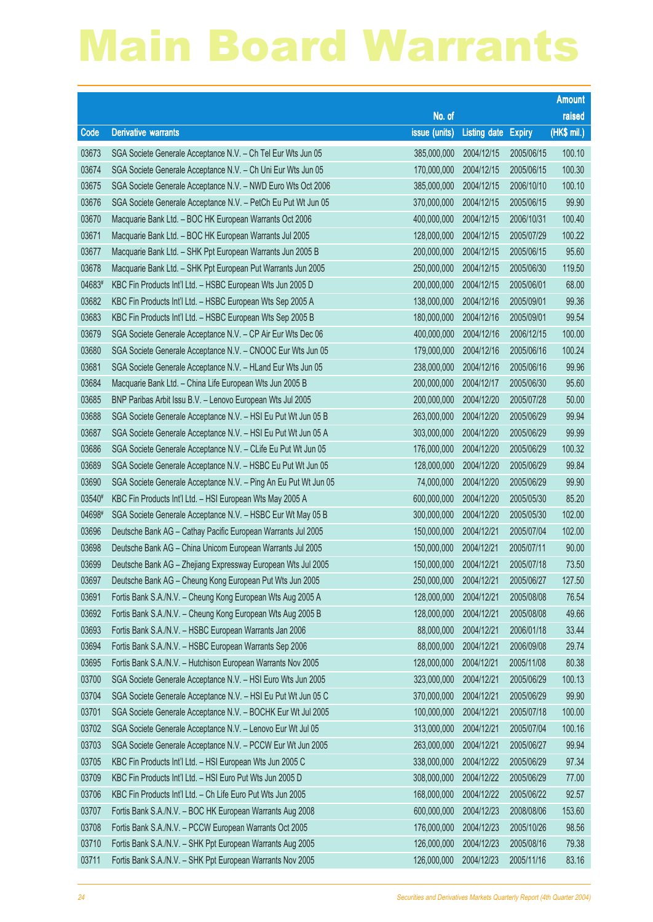|        |                                                                 |                        |                     |               | <b>Amount</b> |
|--------|-----------------------------------------------------------------|------------------------|---------------------|---------------|---------------|
|        |                                                                 | No. of                 |                     |               | raised        |
| Code   | <b>Derivative warrants</b>                                      | issue (units)          | <b>Listing date</b> | <b>Expiry</b> | (HK\$ mil.)   |
| 03673  | SGA Societe Generale Acceptance N.V. - Ch Tel Eur Wts Jun 05    | 385,000,000            | 2004/12/15          | 2005/06/15    | 100.10        |
| 03674  | SGA Societe Generale Acceptance N.V. - Ch Uni Eur Wts Jun 05    | 170,000,000            | 2004/12/15          | 2005/06/15    | 100.30        |
| 03675  | SGA Societe Generale Acceptance N.V. - NWD Euro Wts Oct 2006    | 385,000,000            | 2004/12/15          | 2006/10/10    | 100.10        |
| 03676  | SGA Societe Generale Acceptance N.V. - PetCh Eu Put Wt Jun 05   | 370,000,000            | 2004/12/15          | 2005/06/15    | 99.90         |
| 03670  | Macquarie Bank Ltd. - BOC HK European Warrants Oct 2006         | 400,000,000            | 2004/12/15          | 2006/10/31    | 100.40        |
| 03671  | Macquarie Bank Ltd. - BOC HK European Warrants Jul 2005         | 128,000,000            | 2004/12/15          | 2005/07/29    | 100.22        |
| 03677  | Macquarie Bank Ltd. - SHK Ppt European Warrants Jun 2005 B      | 200,000,000            | 2004/12/15          | 2005/06/15    | 95.60         |
| 03678  | Macquarie Bank Ltd. - SHK Ppt European Put Warrants Jun 2005    | 250,000,000            | 2004/12/15          | 2005/06/30    | 119.50        |
| 04683# | KBC Fin Products Int'l Ltd. - HSBC European Wts Jun 2005 D      | 200,000,000            | 2004/12/15          | 2005/06/01    | 68.00         |
| 03682  | KBC Fin Products Int'l Ltd. - HSBC European Wts Sep 2005 A      | 138,000,000            | 2004/12/16          | 2005/09/01    | 99.36         |
| 03683  | KBC Fin Products Int'l Ltd. - HSBC European Wts Sep 2005 B      | 180,000,000            | 2004/12/16          | 2005/09/01    | 99.54         |
| 03679  | SGA Societe Generale Acceptance N.V. - CP Air Eur Wts Dec 06    | 400,000,000            | 2004/12/16          | 2006/12/15    | 100.00        |
| 03680  | SGA Societe Generale Acceptance N.V. - CNOOC Eur Wts Jun 05     | 179,000,000            | 2004/12/16          | 2005/06/16    | 100.24        |
| 03681  | SGA Societe Generale Acceptance N.V. - HLand Eur Wts Jun 05     | 238,000,000            | 2004/12/16          | 2005/06/16    | 99.96         |
| 03684  | Macquarie Bank Ltd. - China Life European Wts Jun 2005 B        | 200,000,000            | 2004/12/17          | 2005/06/30    | 95.60         |
| 03685  | BNP Paribas Arbit Issu B.V. - Lenovo European Wts Jul 2005      | 200,000,000            | 2004/12/20          | 2005/07/28    | 50.00         |
| 03688  | SGA Societe Generale Acceptance N.V. - HSI Eu Put Wt Jun 05 B   | 263,000,000            | 2004/12/20          | 2005/06/29    | 99.94         |
| 03687  | SGA Societe Generale Acceptance N.V. - HSI Eu Put Wt Jun 05 A   | 303,000,000            | 2004/12/20          | 2005/06/29    | 99.99         |
| 03686  | SGA Societe Generale Acceptance N.V. - CLife Eu Put Wt Jun 05   | 176,000,000            | 2004/12/20          | 2005/06/29    | 100.32        |
| 03689  | SGA Societe Generale Acceptance N.V. - HSBC Eu Put Wt Jun 05    | 128,000,000            | 2004/12/20          | 2005/06/29    | 99.84         |
| 03690  | SGA Societe Generale Acceptance N.V. - Ping An Eu Put Wt Jun 05 | 74,000,000             | 2004/12/20          | 2005/06/29    | 99.90         |
| 03540# | KBC Fin Products Int'l Ltd. - HSI European Wts May 2005 A       | 600,000,000            | 2004/12/20          | 2005/05/30    | 85.20         |
| 04698# | SGA Societe Generale Acceptance N.V. - HSBC Eur Wt May 05 B     | 300,000,000            | 2004/12/20          | 2005/05/30    | 102.00        |
| 03696  | Deutsche Bank AG - Cathay Pacific European Warrants Jul 2005    | 150,000,000            | 2004/12/21          | 2005/07/04    | 102.00        |
| 03698  | Deutsche Bank AG - China Unicom European Warrants Jul 2005      | 150,000,000            | 2004/12/21          | 2005/07/11    | 90.00         |
| 03699  | Deutsche Bank AG - Zhejiang Expressway European Wts Jul 2005    | 150,000,000            | 2004/12/21          | 2005/07/18    | 73.50         |
| 03697  | Deutsche Bank AG - Cheung Kong European Put Wts Jun 2005        | 250,000,000 2004/12/21 |                     | 2005/06/27    | 127.50        |
| 03691  | Fortis Bank S.A./N.V. - Cheung Kong European Wts Aug 2005 A     | 128,000,000            | 2004/12/21          | 2005/08/08    | 76.54         |
| 03692  | Fortis Bank S.A./N.V. - Cheung Kong European Wts Aug 2005 B     | 128,000,000            | 2004/12/21          | 2005/08/08    | 49.66         |
| 03693  | Fortis Bank S.A./N.V. - HSBC European Warrants Jan 2006         | 88,000,000             | 2004/12/21          | 2006/01/18    | 33.44         |
| 03694  | Fortis Bank S.A./N.V. - HSBC European Warrants Sep 2006         | 88,000,000             | 2004/12/21          | 2006/09/08    | 29.74         |
| 03695  | Fortis Bank S.A./N.V. - Hutchison European Warrants Nov 2005    | 128,000,000            | 2004/12/21          | 2005/11/08    | 80.38         |
| 03700  | SGA Societe Generale Acceptance N.V. - HSI Euro Wts Jun 2005    | 323,000,000            | 2004/12/21          | 2005/06/29    | 100.13        |
| 03704  | SGA Societe Generale Acceptance N.V. - HSI Eu Put Wt Jun 05 C   | 370,000,000            | 2004/12/21          | 2005/06/29    | 99.90         |
| 03701  | SGA Societe Generale Acceptance N.V. - BOCHK Eur Wt Jul 2005    | 100,000,000            | 2004/12/21          | 2005/07/18    | 100.00        |
| 03702  | SGA Societe Generale Acceptance N.V. - Lenovo Eur Wt Jul 05     | 313,000,000            | 2004/12/21          | 2005/07/04    | 100.16        |
| 03703  | SGA Societe Generale Acceptance N.V. - PCCW Eur Wt Jun 2005     | 263,000,000            | 2004/12/21          | 2005/06/27    | 99.94         |
| 03705  | KBC Fin Products Int'l Ltd. - HSI European Wts Jun 2005 C       | 338,000,000            | 2004/12/22          | 2005/06/29    | 97.34         |
| 03709  | KBC Fin Products Int'l Ltd. - HSI Euro Put Wts Jun 2005 D       | 308,000,000            | 2004/12/22          | 2005/06/29    | 77.00         |
| 03706  | KBC Fin Products Int'l Ltd. - Ch Life Euro Put Wts Jun 2005     | 168,000,000            | 2004/12/22          | 2005/06/22    | 92.57         |
| 03707  | Fortis Bank S.A./N.V. - BOC HK European Warrants Aug 2008       | 600,000,000            | 2004/12/23          | 2008/08/06    | 153.60        |
| 03708  | Fortis Bank S.A./N.V. - PCCW European Warrants Oct 2005         | 176,000,000            | 2004/12/23          | 2005/10/26    | 98.56         |
| 03710  | Fortis Bank S.A./N.V. - SHK Ppt European Warrants Aug 2005      | 126,000,000            | 2004/12/23          | 2005/08/16    | 79.38         |
| 03711  | Fortis Bank S.A./N.V. - SHK Ppt European Warrants Nov 2005      | 126,000,000            | 2004/12/23          | 2005/11/16    | 83.16         |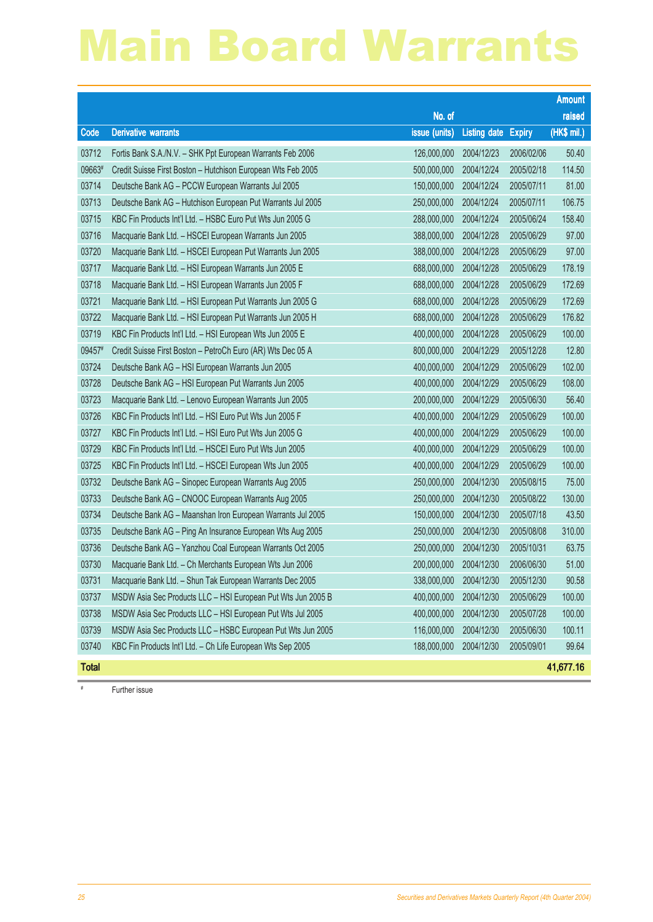|              |                                                              |                        |                            |            | Amount      |
|--------------|--------------------------------------------------------------|------------------------|----------------------------|------------|-------------|
|              |                                                              | No. of                 |                            |            | raised      |
| Code         | <b>Derivative warrants</b>                                   | issue (units)          | <b>Listing date Expiry</b> |            | (HK\$ mil.) |
| 03712        | Fortis Bank S.A./N.V. - SHK Ppt European Warrants Feb 2006   | 126,000,000            | 2004/12/23                 | 2006/02/06 | 50.40       |
| 09663#       | Credit Suisse First Boston - Hutchison European Wts Feb 2005 | 500,000,000            | 2004/12/24                 | 2005/02/18 | 114.50      |
| 03714        | Deutsche Bank AG - PCCW European Warrants Jul 2005           | 150,000,000            | 2004/12/24                 | 2005/07/11 | 81.00       |
| 03713        | Deutsche Bank AG - Hutchison European Put Warrants Jul 2005  | 250,000,000            | 2004/12/24                 | 2005/07/11 | 106.75      |
| 03715        | KBC Fin Products Int'l Ltd. - HSBC Euro Put Wts Jun 2005 G   | 288,000,000            | 2004/12/24                 | 2005/06/24 | 158.40      |
| 03716        | Macquarie Bank Ltd. - HSCEI European Warrants Jun 2005       | 388,000,000            | 2004/12/28                 | 2005/06/29 | 97.00       |
| 03720        | Macquarie Bank Ltd. - HSCEI European Put Warrants Jun 2005   | 388,000,000            | 2004/12/28                 | 2005/06/29 | 97.00       |
| 03717        | Macquarie Bank Ltd. - HSI European Warrants Jun 2005 E       | 688,000,000            | 2004/12/28                 | 2005/06/29 | 178.19      |
| 03718        | Macquarie Bank Ltd. - HSI European Warrants Jun 2005 F       | 688,000,000            | 2004/12/28                 | 2005/06/29 | 172.69      |
| 03721        | Macquarie Bank Ltd. - HSI European Put Warrants Jun 2005 G   | 688,000,000            | 2004/12/28                 | 2005/06/29 | 172.69      |
| 03722        | Macquarie Bank Ltd. - HSI European Put Warrants Jun 2005 H   | 688,000,000            | 2004/12/28                 | 2005/06/29 | 176.82      |
| 03719        | KBC Fin Products Int'l Ltd. - HSI European Wts Jun 2005 E    | 400,000,000            | 2004/12/28                 | 2005/06/29 | 100.00      |
| 09457#       | Credit Suisse First Boston - PetroCh Euro (AR) Wts Dec 05 A  | 800,000,000            | 2004/12/29                 | 2005/12/28 | 12.80       |
| 03724        | Deutsche Bank AG - HSI European Warrants Jun 2005            | 400,000,000            | 2004/12/29                 | 2005/06/29 | 102.00      |
| 03728        | Deutsche Bank AG - HSI European Put Warrants Jun 2005        | 400,000,000            | 2004/12/29                 | 2005/06/29 | 108.00      |
| 03723        | Macquarie Bank Ltd. - Lenovo European Warrants Jun 2005      | 200,000,000            | 2004/12/29                 | 2005/06/30 | 56.40       |
| 03726        | KBC Fin Products Int'l Ltd. - HSI Euro Put Wts Jun 2005 F    | 400,000,000            | 2004/12/29                 | 2005/06/29 | 100.00      |
| 03727        | KBC Fin Products Int'l Ltd. - HSI Euro Put Wts Jun 2005 G    | 400,000,000            | 2004/12/29                 | 2005/06/29 | 100.00      |
| 03729        | KBC Fin Products Int'l Ltd. - HSCEI Euro Put Wts Jun 2005    | 400,000,000            | 2004/12/29                 | 2005/06/29 | 100.00      |
| 03725        | KBC Fin Products Int'l Ltd. - HSCEI European Wts Jun 2005    | 400,000,000            | 2004/12/29                 | 2005/06/29 | 100.00      |
| 03732        | Deutsche Bank AG - Sinopec European Warrants Aug 2005        | 250,000,000            | 2004/12/30                 | 2005/08/15 | 75.00       |
| 03733        | Deutsche Bank AG - CNOOC European Warrants Aug 2005          | 250,000,000            | 2004/12/30                 | 2005/08/22 | 130.00      |
| 03734        | Deutsche Bank AG - Maanshan Iron European Warrants Jul 2005  | 150,000,000            | 2004/12/30                 | 2005/07/18 | 43.50       |
| 03735        | Deutsche Bank AG - Ping An Insurance European Wts Aug 2005   | 250,000,000            | 2004/12/30                 | 2005/08/08 | 310.00      |
| 03736        | Deutsche Bank AG - Yanzhou Coal European Warrants Oct 2005   | 250,000,000            | 2004/12/30                 | 2005/10/31 | 63.75       |
| 03730        | Macquarie Bank Ltd. - Ch Merchants European Wts Jun 2006     | 200,000,000            | 2004/12/30                 | 2006/06/30 | 51.00       |
| 03731        | Macquarie Bank Ltd. - Shun Tak European Warrants Dec 2005    | 338,000,000 2004/12/30 |                            | 2005/12/30 | 90.58       |
| 03737        | MSDW Asia Sec Products LLC - HSI European Put Wts Jun 2005 B | 400,000,000            | 2004/12/30                 | 2005/06/29 | 100.00      |
| 03738        | MSDW Asia Sec Products LLC - HSI European Put Wts Jul 2005   | 400,000,000            | 2004/12/30                 | 2005/07/28 | 100.00      |
| 03739        | MSDW Asia Sec Products LLC - HSBC European Put Wts Jun 2005  | 116,000,000            | 2004/12/30                 | 2005/06/30 | 100.11      |
| 03740        | KBC Fin Products Int'l Ltd. - Ch Life European Wts Sep 2005  | 188,000,000            | 2004/12/30                 | 2005/09/01 | 99.64       |
| <b>Total</b> |                                                              |                        |                            |            | 41,677.16   |

Further issue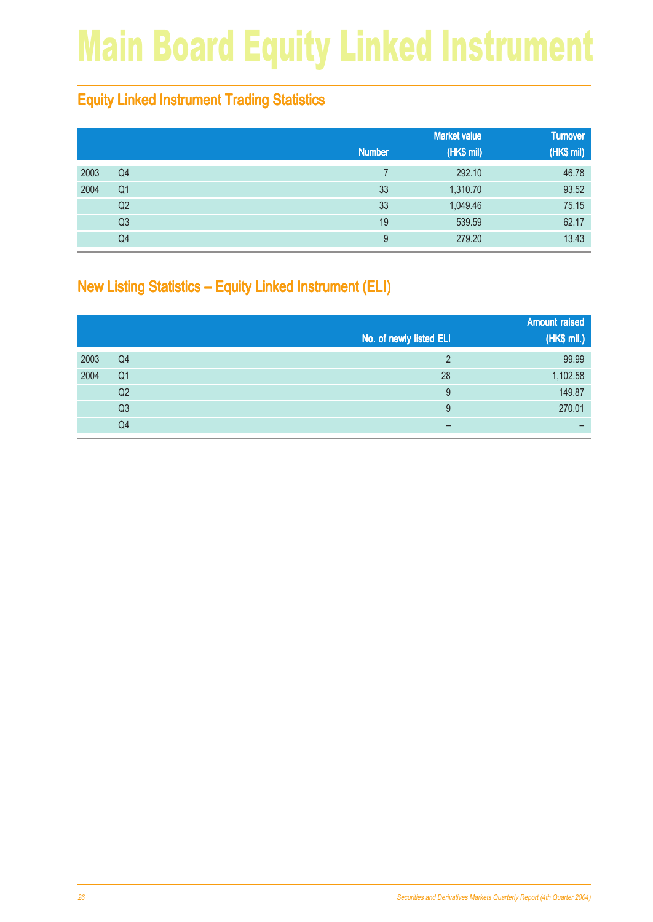## Main Board Equity Linked Instrument

#### Equity Linked Instrument Trading Statistics

|      |                |               | <b>Market value</b> | <b>Turnover</b> |
|------|----------------|---------------|---------------------|-----------------|
|      |                | <b>Number</b> | (HK\$ mil)          | (HK\$ mil)      |
| 2003 | Q <sub>4</sub> |               | 292.10              | 46.78           |
| 2004 | Q <sub>1</sub> | 33            | 1,310.70            | 93.52           |
|      | Q2             | 33            | 1,049.46            | 75.15           |
|      | Q3             | 19            | 539.59              | 62.17           |
|      | Q4             | 9             | 279.20              | 13.43           |

#### New Listing Statistics – Equity Linked Instrument (ELI)

|      |                |                         | <b>Amount raised</b> |
|------|----------------|-------------------------|----------------------|
|      |                | No. of newly listed ELI | (HK\$ mil.)          |
| 2003 | Q <sub>4</sub> | ⌒                       | 99.99                |
| 2004 | Q <sub>1</sub> | 28                      | 1,102.58             |
|      | Q2             | 9                       | 149.87               |
|      | Q <sub>3</sub> | 9                       | 270.01               |
|      | Q4             | –                       | -                    |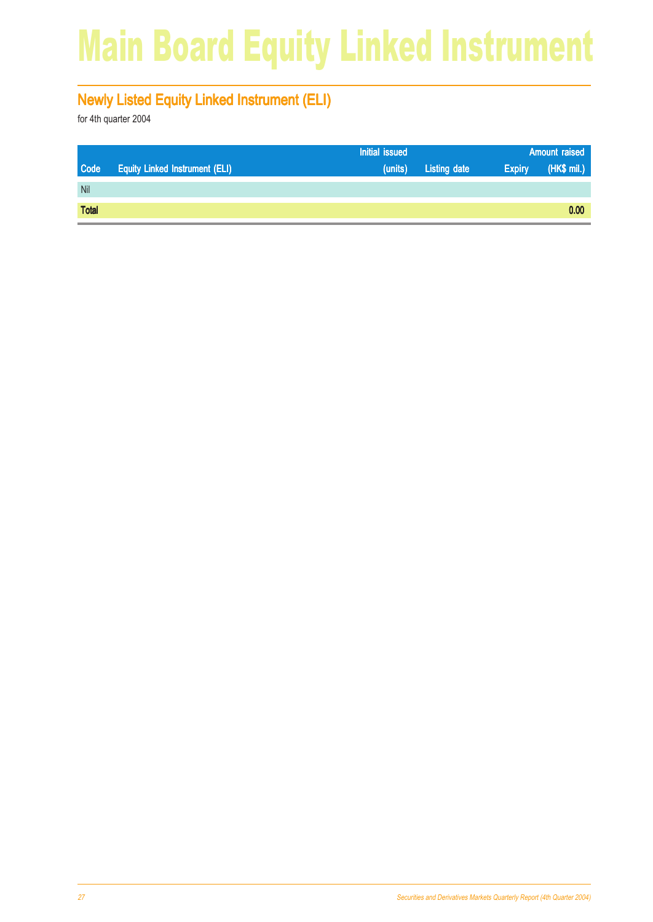## Main Board Equity Linked Instrument

#### Newly Listed Equity Linked Instrument (ELI)

|              |                                       | Initial issued |                     |               | <b>Amount raised</b> |  |
|--------------|---------------------------------------|----------------|---------------------|---------------|----------------------|--|
| <b>Code</b>  | <b>Equity Linked Instrument (ELI)</b> | (units)        | <b>Listing date</b> | <b>Expiry</b> | (HK\$ mil.)          |  |
| Nil          |                                       |                |                     |               |                      |  |
| <b>Total</b> |                                       |                |                     |               | 0.00                 |  |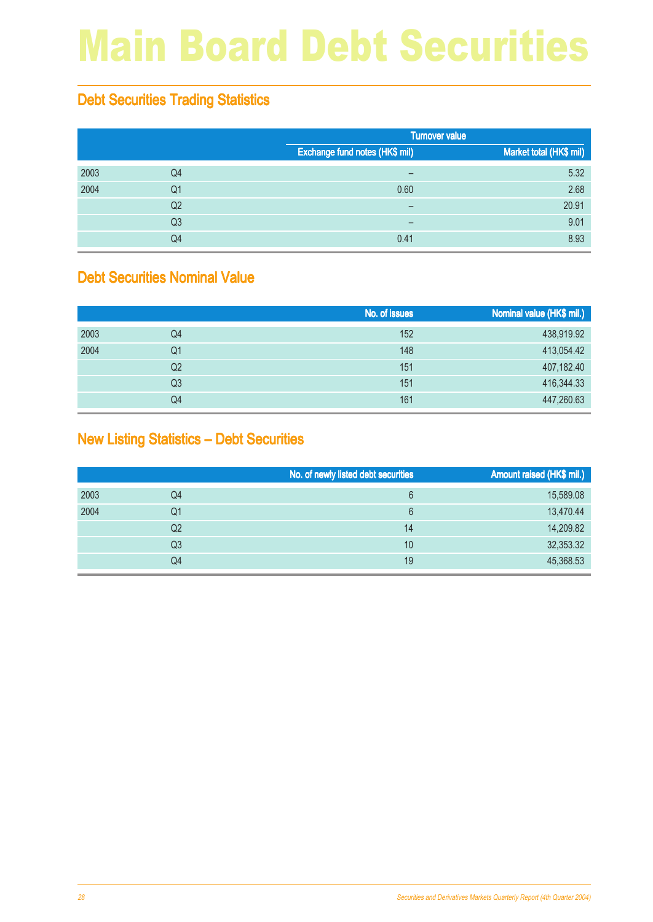## Main Board Debt Securities

#### Debt Securities Trading Statistics

|      |                |                                | <b>Turnover value</b>   |
|------|----------------|--------------------------------|-------------------------|
|      |                | Exchange fund notes (HK\$ mil) | Market total (HK\$ mil) |
| 2003 | Q4             | $\qquad \qquad$                | 5.32                    |
| 2004 | Q <sub>1</sub> | 0.60                           | 2.68                    |
|      | Q <sub>2</sub> | $\overline{\phantom{0}}$       | 20.91                   |
|      | Q <sub>3</sub> | -                              | 9.01                    |
|      | Q4             | 0.41                           | 8.93                    |

#### Debt Securities Nominal Value

|      |                | No. of issues | Nominal value (HK\$ mil.) |
|------|----------------|---------------|---------------------------|
| 2003 | Q4             | 152           | 438,919.92                |
| 2004 | Q1             | 148           | 413,054.42                |
|      | Q <sub>2</sub> | 151           | 407,182.40                |
|      | Q3             | 151           | 416,344.33                |
|      | Q4             | 161           | 447,260.63                |

#### New Listing Statistics – Debt Securities

|      |                | No. of newly listed debt securities | Amount raised (HK\$ mil.) |
|------|----------------|-------------------------------------|---------------------------|
| 2003 | Q4             | 6                                   | 15,589.08                 |
| 2004 | Q1             | 6                                   | 13,470.44                 |
|      | Q <sub>2</sub> | 14                                  | 14,209.82                 |
|      | Q3             | 10                                  | 32,353.32                 |
|      | Q4             | 19                                  | 45,368.53                 |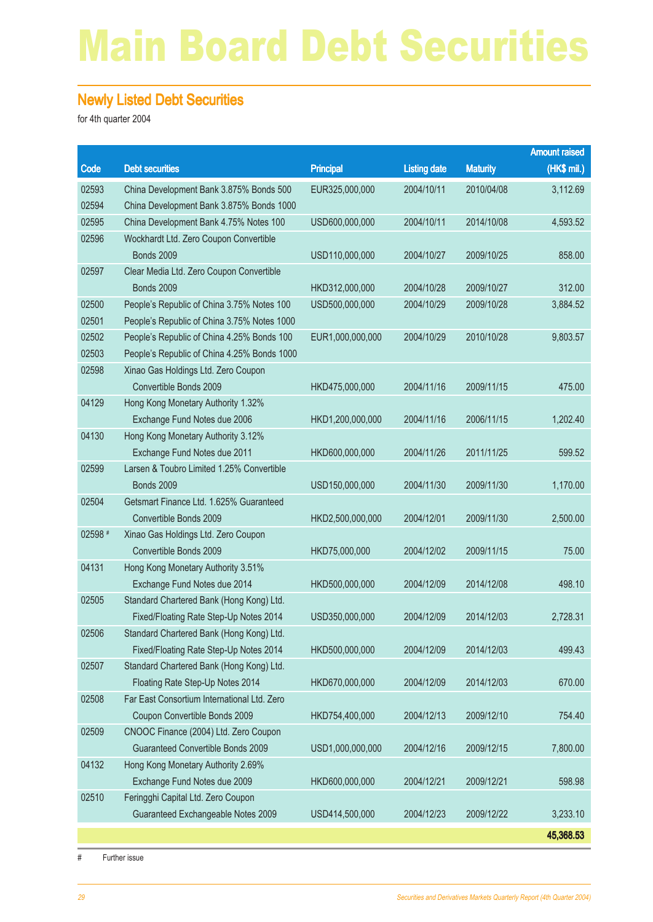## Main Board Debt Securities

#### Newly Listed Debt Securities

for 4th quarter 2004

|         |                                                                              |                  |                     |                 | <b>Amount raised</b> |
|---------|------------------------------------------------------------------------------|------------------|---------------------|-----------------|----------------------|
| Code    | <b>Debt securities</b>                                                       | <b>Principal</b> | <b>Listing date</b> | <b>Maturity</b> | (HK\$ mil.)          |
| 02593   | China Development Bank 3.875% Bonds 500                                      | EUR325,000,000   | 2004/10/11          | 2010/04/08      | 3,112.69             |
| 02594   | China Development Bank 3.875% Bonds 1000                                     |                  |                     |                 |                      |
| 02595   | China Development Bank 4.75% Notes 100                                       | USD600,000,000   | 2004/10/11          | 2014/10/08      | 4,593.52             |
| 02596   | Wockhardt Ltd. Zero Coupon Convertible                                       |                  |                     |                 |                      |
|         | <b>Bonds 2009</b>                                                            | USD110,000,000   | 2004/10/27          | 2009/10/25      | 858.00               |
| 02597   | Clear Media Ltd. Zero Coupon Convertible                                     |                  |                     |                 |                      |
|         | <b>Bonds 2009</b>                                                            | HKD312,000,000   | 2004/10/28          | 2009/10/27      | 312.00               |
| 02500   | People's Republic of China 3.75% Notes 100                                   | USD500,000,000   | 2004/10/29          | 2009/10/28      | 3,884.52             |
| 02501   | People's Republic of China 3.75% Notes 1000                                  |                  |                     |                 |                      |
| 02502   | People's Republic of China 4.25% Bonds 100                                   | EUR1,000,000,000 | 2004/10/29          | 2010/10/28      | 9,803.57             |
| 02503   | People's Republic of China 4.25% Bonds 1000                                  |                  |                     |                 |                      |
| 02598   | Xinao Gas Holdings Ltd. Zero Coupon                                          |                  |                     |                 |                      |
|         | Convertible Bonds 2009                                                       | HKD475,000,000   | 2004/11/16          | 2009/11/15      | 475.00               |
| 04129   | Hong Kong Monetary Authority 1.32%                                           |                  |                     |                 |                      |
|         | Exchange Fund Notes due 2006                                                 | HKD1,200,000,000 | 2004/11/16          | 2006/11/15      | 1,202.40             |
| 04130   | Hong Kong Monetary Authority 3.12%                                           |                  |                     |                 |                      |
|         | Exchange Fund Notes due 2011                                                 | HKD600,000,000   | 2004/11/26          | 2011/11/25      | 599.52               |
| 02599   | Larsen & Toubro Limited 1.25% Convertible                                    |                  |                     |                 |                      |
|         | <b>Bonds 2009</b>                                                            | USD150,000,000   | 2004/11/30          | 2009/11/30      | 1,170.00             |
| 02504   | Getsmart Finance Ltd. 1.625% Guaranteed                                      |                  |                     |                 |                      |
|         | Convertible Bonds 2009                                                       | HKD2,500,000,000 | 2004/12/01          | 2009/11/30      | 2,500.00             |
| 02598 # | Xinao Gas Holdings Ltd. Zero Coupon                                          |                  |                     |                 |                      |
|         | Convertible Bonds 2009                                                       | HKD75,000,000    | 2004/12/02          | 2009/11/15      | 75.00                |
| 04131   | Hong Kong Monetary Authority 3.51%                                           |                  |                     |                 |                      |
|         | Exchange Fund Notes due 2014                                                 | HKD500,000,000   | 2004/12/09          | 2014/12/08      | 498.10               |
| 02505   | Standard Chartered Bank (Hong Kong) Ltd.                                     |                  |                     |                 |                      |
|         | Fixed/Floating Rate Step-Up Notes 2014                                       | USD350,000,000   | 2004/12/09          | 2014/12/03      | 2,728.31             |
| 02506   | Standard Chartered Bank (Hong Kong) Ltd.                                     |                  |                     |                 |                      |
|         | Fixed/Floating Rate Step-Up Notes 2014                                       | HKD500,000,000   | 2004/12/09          | 2014/12/03      | 499.43               |
| 02507   | Standard Chartered Bank (Hong Kong) Ltd.<br>Floating Rate Step-Up Notes 2014 | HKD670,000,000   | 2004/12/09          | 2014/12/03      | 670.00               |
| 02508   | Far East Consortium International Ltd. Zero                                  |                  |                     |                 |                      |
|         | Coupon Convertible Bonds 2009                                                | HKD754,400,000   | 2004/12/13          | 2009/12/10      | 754.40               |
| 02509   | CNOOC Finance (2004) Ltd. Zero Coupon                                        |                  |                     |                 |                      |
|         | Guaranteed Convertible Bonds 2009                                            | USD1,000,000,000 | 2004/12/16          | 2009/12/15      | 7,800.00             |
| 04132   | Hong Kong Monetary Authority 2.69%                                           |                  |                     |                 |                      |
|         | Exchange Fund Notes due 2009                                                 | HKD600,000,000   | 2004/12/21          | 2009/12/21      | 598.98               |
| 02510   | Feringghi Capital Ltd. Zero Coupon                                           |                  |                     |                 |                      |
|         | Guaranteed Exchangeable Notes 2009                                           | USD414,500,000   | 2004/12/23          | 2009/12/22      | 3,233.10             |
|         |                                                                              |                  |                     |                 |                      |
|         |                                                                              |                  |                     |                 | 45,368.53            |

# Further issue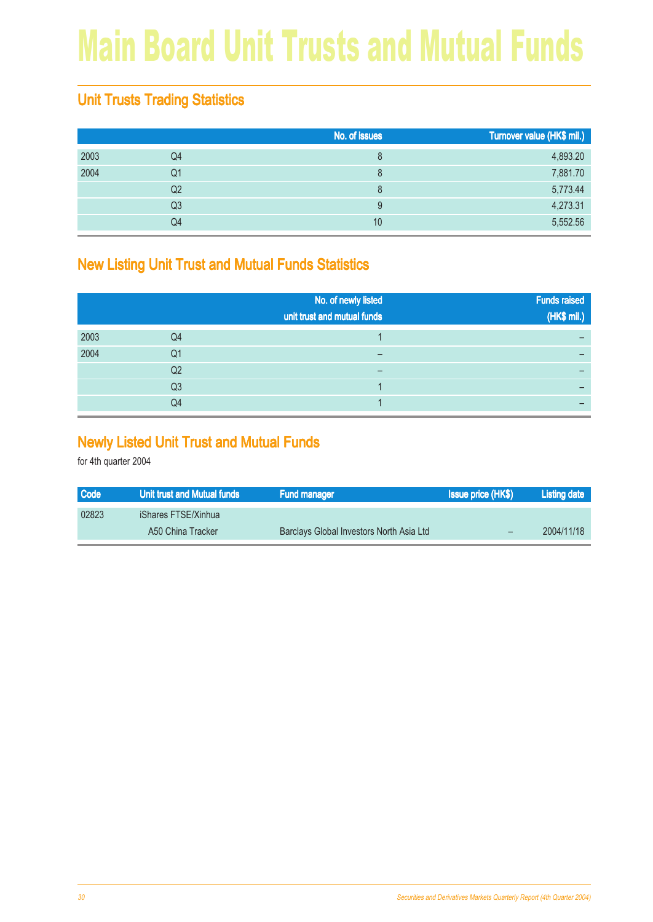## Main Board Unit Trusts and Mutual Funds

#### Unit Trusts Trading Statistics

|      |                | No. of issues | Turnover value (HK\$ mil.) |
|------|----------------|---------------|----------------------------|
| 2003 | Q4             | 8             | 4,893.20                   |
| 2004 | Q1             | 8             | 7,881.70                   |
|      | Q <sub>2</sub> | 8             | 5,773.44                   |
|      | Q3             |               | 4,273.31                   |
|      | Q4             | 10            | 5,552.56                   |

#### New Listing Unit Trust and Mutual Funds Statistics

|      |                | No. of newly listed<br>unit trust and mutual funds | <b>Funds raised</b><br>(HK\$ mil.) |
|------|----------------|----------------------------------------------------|------------------------------------|
| 2003 | Q4             |                                                    |                                    |
| 2004 | Q1             |                                                    |                                    |
|      | Q2             |                                                    |                                    |
|      | Q <sub>3</sub> |                                                    |                                    |
|      | Q4             |                                                    |                                    |

#### Newly Listed Unit Trust and Mutual Funds

| <b>Code</b> | Unit trust and Mutual funds | <b>Fund manager</b>                      | <b>Issue price (HK\$)</b> | Listing date |
|-------------|-----------------------------|------------------------------------------|---------------------------|--------------|
| 02823       | <b>iShares FTSE/Xinhua</b>  |                                          |                           |              |
|             | A50 China Tracker           | Barclays Global Investors North Asia Ltd |                           | 2004/11/18   |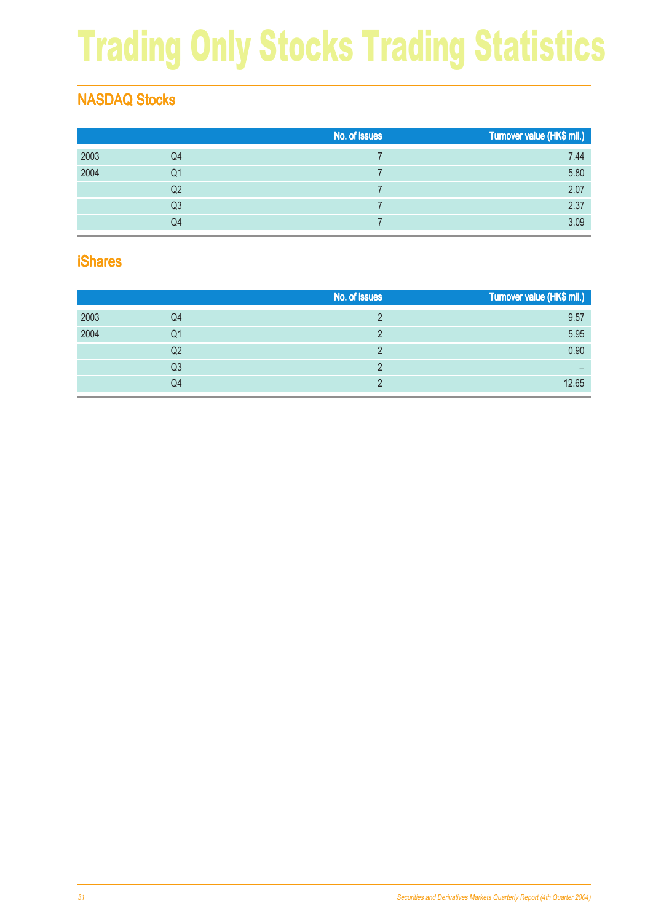## Trading Only Stocks Trading Statistics

#### NASDAQ Stocks

|      |                | No. of issues | Turnover value (HK\$ mil.) |
|------|----------------|---------------|----------------------------|
| 2003 | Q4             |               | 7.44                       |
| 2004 | Q1             |               | 5.80                       |
|      | Q <sub>2</sub> |               | 2.07                       |
|      | Q3             |               | 2.37                       |
|      | Q4             |               | 3.09                       |

#### iShares

|      |                | No. of issues | Turnover value (HK\$ mil.) |
|------|----------------|---------------|----------------------------|
| 2003 | Q4             |               | 9.57                       |
| 2004 | Q1             |               | 5.95                       |
|      | Q <sub>2</sub> |               | 0.90                       |
|      | Q3             |               |                            |
|      | Q4             |               | 12.65                      |
|      |                |               |                            |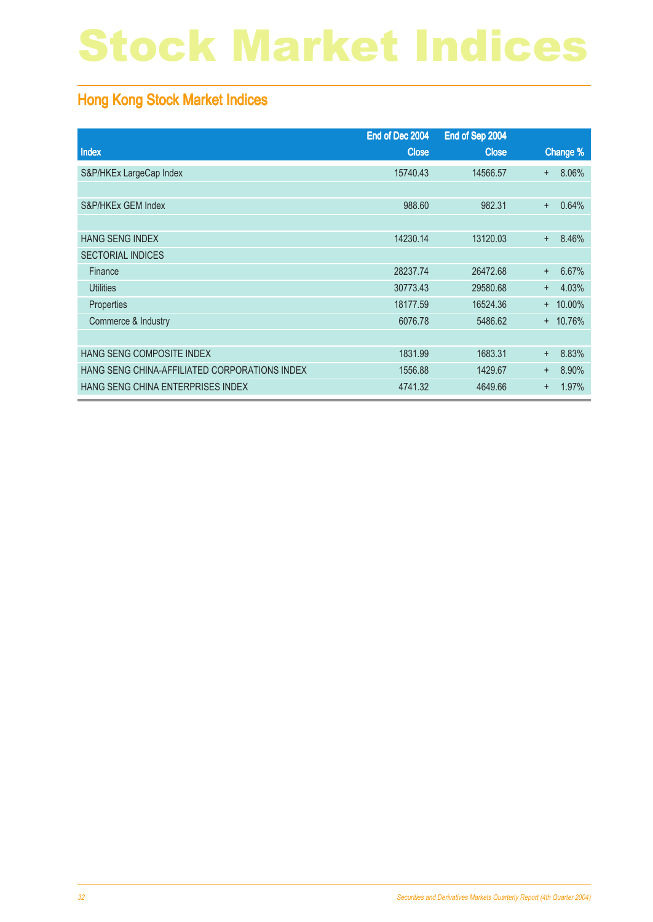## Stock Market Indices

#### Hong Kong Stock Market Indices

|                                               | End of Dec 2004 | End of Sep 2004 |                    |
|-----------------------------------------------|-----------------|-----------------|--------------------|
| Index                                         | <b>Close</b>    | <b>Close</b>    | Change %           |
| S&P/HKEx LargeCap Index                       | 15740.43        | 14566.57        | 8.06%<br>$\ddot{}$ |
|                                               |                 |                 |                    |
| S&P/HKEx GEM Index                            | 988.60          | 982.31          | 0.64%<br>$\ddot{}$ |
|                                               |                 |                 |                    |
| <b>HANG SENG INDEX</b>                        | 14230.14        | 13120.03        | 8.46%<br>$+$       |
| <b>SECTORIAL INDICES</b>                      |                 |                 |                    |
| Finance                                       | 28237.74        | 26472.68        | 6.67%<br>$+$       |
| <b>Utilities</b>                              | 30773.43        | 29580.68        | 4.03%<br>$+$       |
| Properties                                    | 18177.59        | 16524.36        | $+ 10.00\%$        |
| Commerce & Industry                           | 6076.78         | 5486.62         | $+ 10.76%$         |
|                                               |                 |                 |                    |
| HANG SENG COMPOSITE INDEX                     | 1831.99         | 1683.31         | 8.83%<br>$\ddot{}$ |
| HANG SENG CHINA-AFFILIATED CORPORATIONS INDEX | 1556.88         | 1429.67         | 8.90%<br>$+$       |
| HANG SENG CHINA ENTERPRISES INDEX             | 4741.32         | 4649.66         | 1.97%<br>$\ddot{}$ |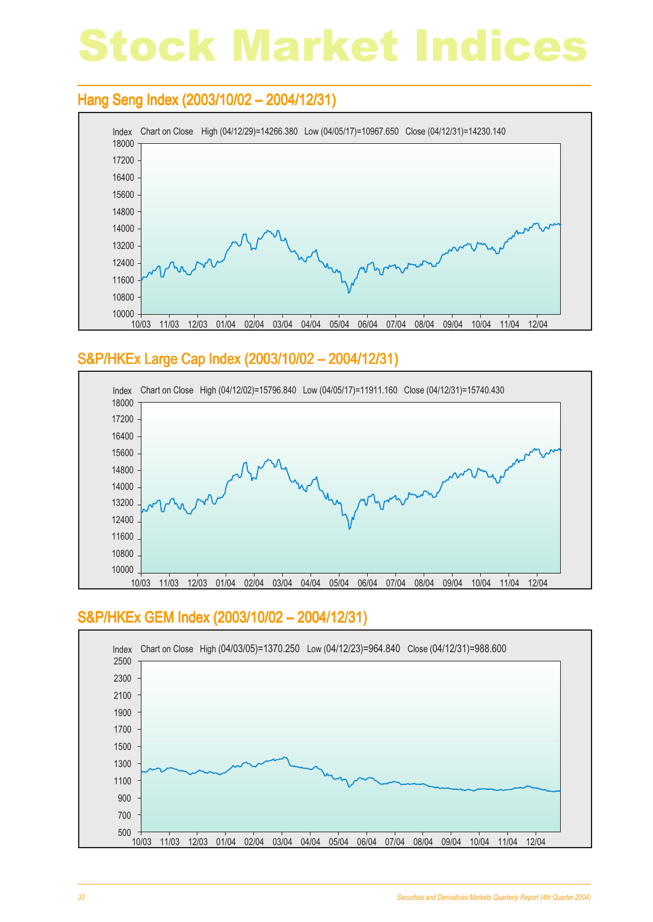## Stock Market Indices

#### Hang Seng Index (2003/10/02 - 2004/12/31)



#### S&P/HKEx Large Cap Index (2003/10/02 – 2004/12/31) Large Cap Index – 2004/12/31)



#### S&P/HKEx GEM Index (2003/10/02 – 2004/12/31)

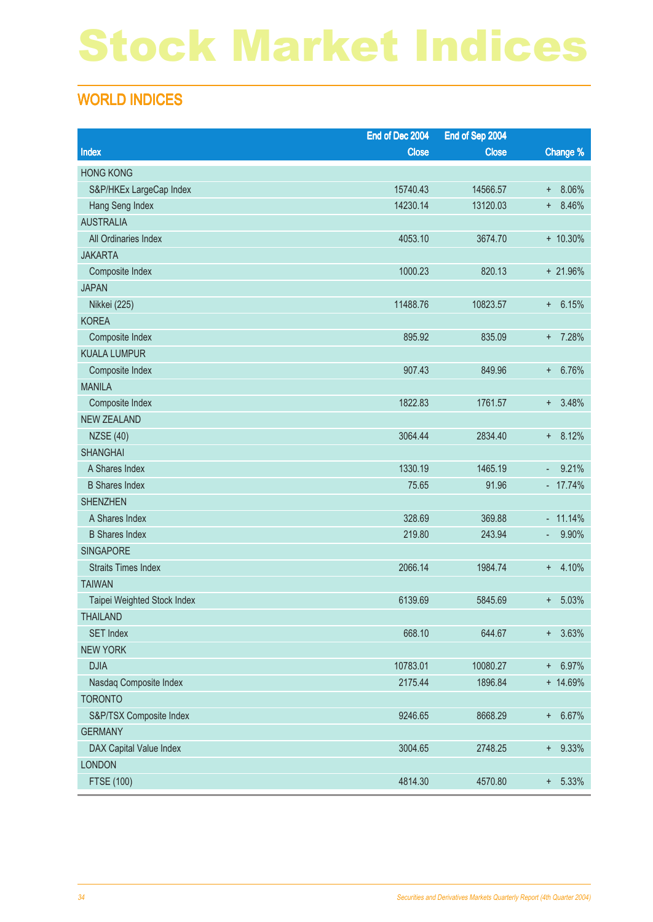## Stock Market Indices

#### WORLD INDICES

|                             | End of Dec 2004 | End of Sep 2004 |              |
|-----------------------------|-----------------|-----------------|--------------|
| Index                       | <b>Close</b>    | <b>Close</b>    | Change %     |
| <b>HONG KONG</b>            |                 |                 |              |
| S&P/HKEx LargeCap Index     | 15740.43        | 14566.57        | 8.06%<br>$+$ |
| Hang Seng Index             | 14230.14        | 13120.03        | 8.46%<br>$+$ |
| <b>AUSTRALIA</b>            |                 |                 |              |
| All Ordinaries Index        | 4053.10         | 3674.70         | $+ 10.30\%$  |
| <b>JAKARTA</b>              |                 |                 |              |
| Composite Index             | 1000.23         | 820.13          | + 21.96%     |
| <b>JAPAN</b>                |                 |                 |              |
| Nikkei (225)                | 11488.76        | 10823.57        | 6.15%<br>$+$ |
| <b>KOREA</b>                |                 |                 |              |
| Composite Index             | 895.92          | 835.09          | 7.28%<br>$+$ |
| <b>KUALA LUMPUR</b>         |                 |                 |              |
| Composite Index             | 907.43          | 849.96          | 6.76%<br>$+$ |
| <b>MANILA</b>               |                 |                 |              |
| Composite Index             | 1822.83         | 1761.57         | 3.48%<br>$+$ |
| <b>NEW ZEALAND</b>          |                 |                 |              |
| <b>NZSE (40)</b>            | 3064.44         | 2834.40         | 8.12%<br>$+$ |
| <b>SHANGHAI</b>             |                 |                 |              |
| A Shares Index              | 1330.19         | 1465.19         | 9.21%<br>٠   |
| <b>B</b> Shares Index       | 75.65           | 91.96           | $-17.74%$    |
| <b>SHENZHEN</b>             |                 |                 |              |
| A Shares Index              | 328.69          | 369.88          | $-11.14%$    |
| <b>B</b> Shares Index       | 219.80          | 243.94          | 9.90%<br>۰   |
| <b>SINGAPORE</b>            |                 |                 |              |
| <b>Straits Times Index</b>  | 2066.14         | 1984.74         | 4.10%<br>$+$ |
| <b>TAIWAN</b>               |                 |                 |              |
| Taipei Weighted Stock Index | 6139.69         | 5845.69         | 5.03%<br>÷   |
| <b>THAILAND</b>             |                 |                 |              |
| <b>SET Index</b>            | 668.10          | 644.67          | $+ 3.63%$    |
| <b>NEW YORK</b>             |                 |                 |              |
| <b>DJIA</b>                 | 10783.01        | 10080.27        | 6.97%<br>$+$ |
| Nasdaq Composite Index      | 2175.44         | 1896.84         | + 14.69%     |
| <b>TORONTO</b>              |                 |                 |              |
| S&P/TSX Composite Index     | 9246.65         | 8668.29         | + 6.67%      |
| <b>GERMANY</b>              |                 |                 |              |
| DAX Capital Value Index     | 3004.65         | 2748.25         | $+ 9.33%$    |
| <b>LONDON</b>               |                 |                 |              |
| FTSE (100)                  | 4814.30         | 4570.80         | 5.33%<br>$+$ |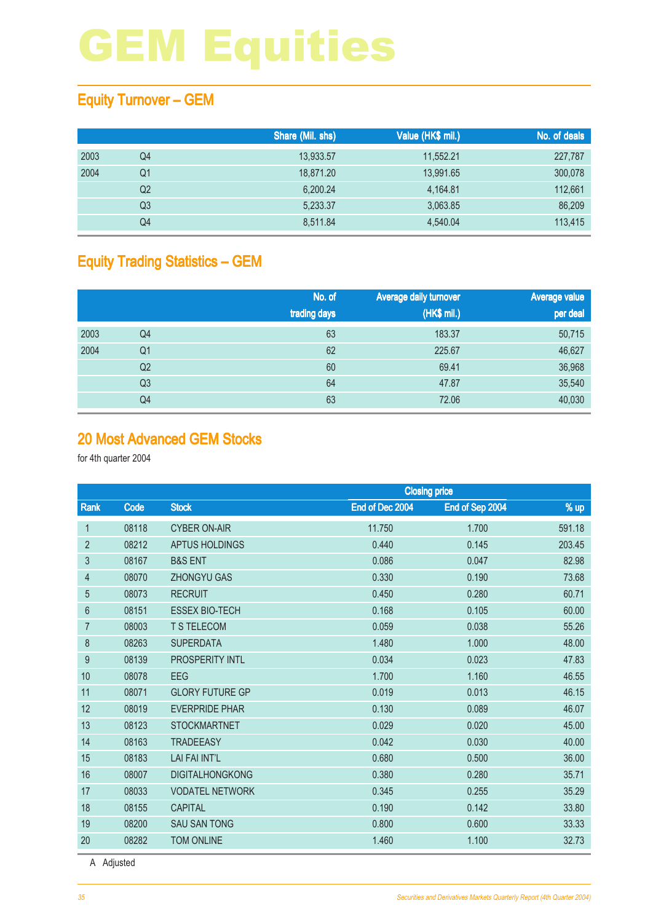#### Equity Turnover – GEM

|      |                | Share (Mil. shs) | Value (HK\$ mil.) | No. of deals |
|------|----------------|------------------|-------------------|--------------|
| 2003 | Q4             | 13,933.57        | 11,552.21         | 227,787      |
| 2004 | Q1             | 18.871.20        | 13.991.65         | 300,078      |
|      | Q <sub>2</sub> | 6,200.24         | 4.164.81          | 112,661      |
|      | Q3             | 5,233.37         | 3,063.85          | 86,209       |
|      | Q4             | 8.511.84         | 4,540.04          | 113,415      |

#### Equity Trading Statistics – GEM

|      |                | No. of<br>trading days | Average daily turnover<br>(HK\$ mil.) | <b>Average value</b><br>per deal |
|------|----------------|------------------------|---------------------------------------|----------------------------------|
| 2003 | Q4             | 63                     | 183.37                                | 50,715                           |
| 2004 | Q <sub>1</sub> | 62                     | 225.67                                | 46,627                           |
|      | Q <sub>2</sub> | 60                     | 69.41                                 | 36,968                           |
|      | Q <sub>3</sub> | 64                     | 47.87                                 | 35,540                           |
|      | Q4             | 63                     | 72.06                                 | 40,030                           |

#### 20 Most Advanced GEM Stocks

for 4th quarter 2004

|                |       | <b>Closing price</b>   |                 |                 |        |
|----------------|-------|------------------------|-----------------|-----------------|--------|
| Rank           | Code  | <b>Stock</b>           | End of Dec 2004 | End of Sep 2004 | % up   |
| $\mathbf{1}$   | 08118 | <b>CYBER ON-AIR</b>    | 11.750          | 1.700           | 591.18 |
| $\overline{2}$ | 08212 | <b>APTUS HOLDINGS</b>  | 0.440           | 0.145           | 203.45 |
| 3              | 08167 | <b>B&amp;S ENT</b>     | 0.086           | 0.047           | 82.98  |
| 4              | 08070 | <b>ZHONGYU GAS</b>     | 0.330           | 0.190           | 73.68  |
| 5              | 08073 | <b>RECRUIT</b>         | 0.450           | 0.280           | 60.71  |
| $6\phantom{1}$ | 08151 | <b>ESSEX BIO-TECH</b>  | 0.168           | 0.105           | 60.00  |
| $\overline{7}$ | 08003 | <b>T S TELECOM</b>     | 0.059           | 0.038           | 55.26  |
| 8              | 08263 | <b>SUPERDATA</b>       | 1.480           | 1.000           | 48.00  |
| 9              | 08139 | PROSPERITY INTL        | 0.034           | 0.023           | 47.83  |
| 10             | 08078 | EEG                    | 1.700           | 1.160           | 46.55  |
| 11             | 08071 | <b>GLORY FUTURE GP</b> | 0.019           | 0.013           | 46.15  |
| 12             | 08019 | <b>EVERPRIDE PHAR</b>  | 0.130           | 0.089           | 46.07  |
| 13             | 08123 | <b>STOCKMARTNET</b>    | 0.029           | 0.020           | 45.00  |
| 14             | 08163 | <b>TRADEEASY</b>       | 0.042           | 0.030           | 40.00  |
| 15             | 08183 | <b>LAI FAI INT'L</b>   | 0.680           | 0.500           | 36.00  |
| 16             | 08007 | <b>DIGITALHONGKONG</b> | 0.380           | 0.280           | 35.71  |
| 17             | 08033 | <b>VODATEL NETWORK</b> | 0.345           | 0.255           | 35.29  |
| 18             | 08155 | <b>CAPITAL</b>         | 0.190           | 0.142           | 33.80  |
| 19             | 08200 | <b>SAU SAN TONG</b>    | 0.800           | 0.600           | 33.33  |
| 20             | 08282 | <b>TOM ONLINE</b>      | 1.460           | 1.100           | 32.73  |
|                |       |                        |                 |                 |        |

A Adjusted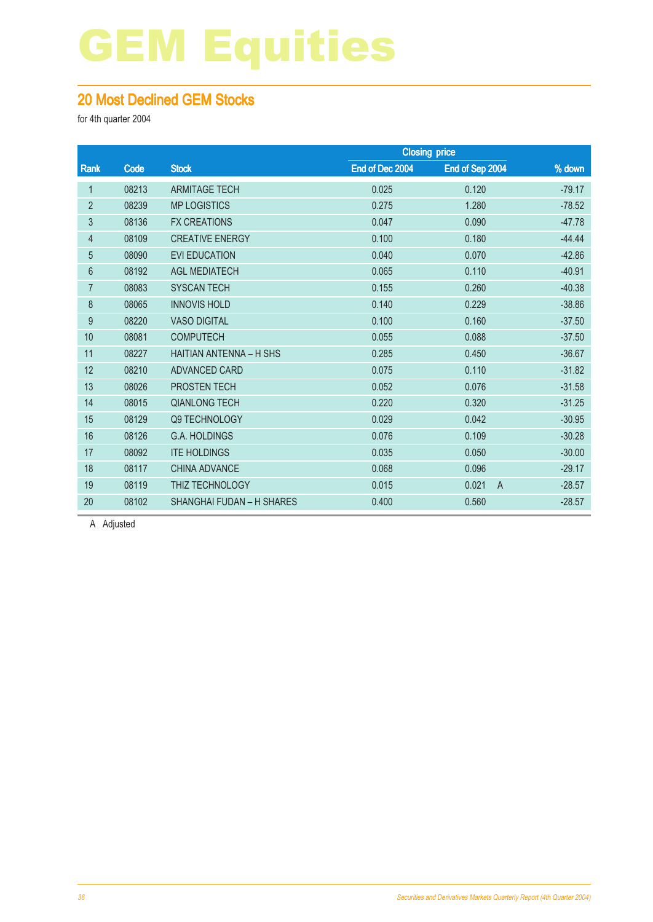#### 20 Most Declined GEM Stocks

for 4th quarter 2004

|                |       |                                  |                 | <b>Closing price</b>    |          |
|----------------|-------|----------------------------------|-----------------|-------------------------|----------|
| Rank           | Code  | <b>Stock</b>                     | End of Dec 2004 | End of Sep 2004         | % down   |
| $\mathbf 1$    | 08213 | <b>ARMITAGE TECH</b>             | 0.025           | 0.120                   | $-79.17$ |
| $\overline{2}$ | 08239 | <b>MP LOGISTICS</b>              | 0.275           | 1.280                   | $-78.52$ |
| 3              | 08136 | <b>FX CREATIONS</b>              | 0.047           | 0.090                   | $-47.78$ |
| 4              | 08109 | <b>CREATIVE ENERGY</b>           | 0.100           | 0.180                   | $-44.44$ |
| 5              | 08090 | <b>EVI EDUCATION</b>             | 0.040           | 0.070                   | $-42.86$ |
| $6\phantom{1}$ | 08192 | <b>AGL MEDIATECH</b>             | 0.065           | 0.110                   | $-40.91$ |
| $\overline{7}$ | 08083 | <b>SYSCAN TECH</b>               | 0.155           | 0.260                   | $-40.38$ |
| 8              | 08065 | <b>INNOVIS HOLD</b>              | 0.140           | 0.229                   | $-38.86$ |
| 9              | 08220 | <b>VASO DIGITAL</b>              | 0.100           | 0.160                   | $-37.50$ |
| 10             | 08081 | <b>COMPUTECH</b>                 | 0.055           | 0.088                   | $-37.50$ |
| 11             | 08227 | <b>HAITIAN ANTENNA - H SHS</b>   | 0.285           | 0.450                   | $-36.67$ |
| 12             | 08210 | ADVANCED CARD                    | 0.075           | 0.110                   | $-31.82$ |
| 13             | 08026 | PROSTEN TECH                     | 0.052           | 0.076                   | $-31.58$ |
| 14             | 08015 | <b>QIANLONG TECH</b>             | 0.220           | 0.320                   | $-31.25$ |
| 15             | 08129 | Q9 TECHNOLOGY                    | 0.029           | 0.042                   | $-30.95$ |
| 16             | 08126 | <b>G.A. HOLDINGS</b>             | 0.076           | 0.109                   | $-30.28$ |
| 17             | 08092 | <b>ITE HOLDINGS</b>              | 0.035           | 0.050                   | $-30.00$ |
| 18             | 08117 | <b>CHINA ADVANCE</b>             | 0.068           | 0.096                   | $-29.17$ |
| 19             | 08119 | THIZ TECHNOLOGY                  | 0.015           | 0.021<br>$\overline{A}$ | $-28.57$ |
| 20             | 08102 | <b>SHANGHAI FUDAN - H SHARES</b> | 0.400           | 0.560                   | $-28.57$ |
|                |       |                                  |                 |                         |          |

A Adjusted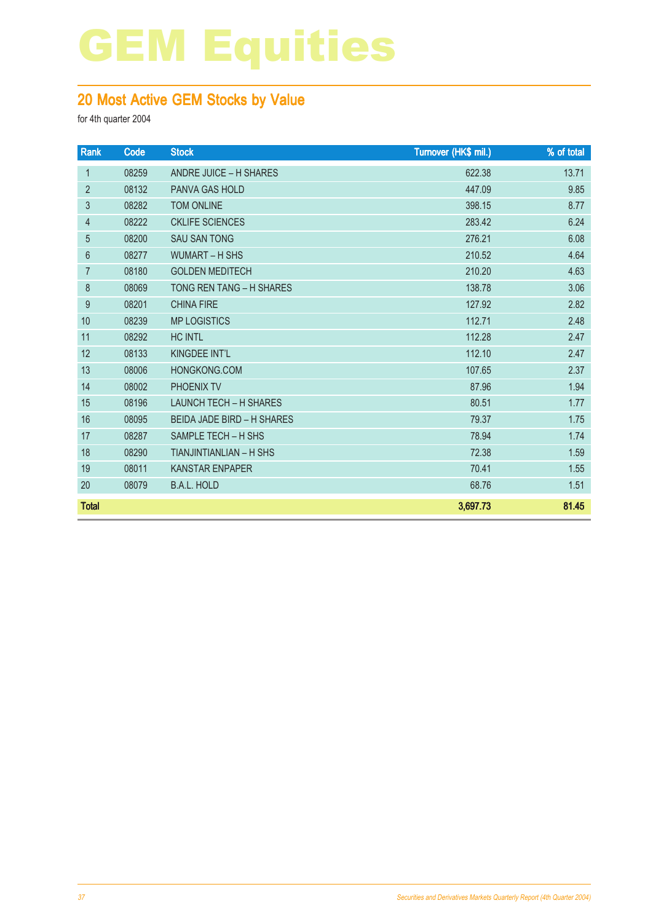#### 20 Most Active GEM Stocks by Value

| Rank           | Code  | <b>Stock</b>                      | Turnover (HK\$ mil.) | % of total |
|----------------|-------|-----------------------------------|----------------------|------------|
| $\mathbf{1}$   | 08259 | <b>ANDRE JUICE - H SHARES</b>     | 622.38               | 13.71      |
| $\overline{2}$ | 08132 | <b>PANVA GAS HOLD</b>             | 447.09               | 9.85       |
| 3              | 08282 | <b>TOM ONLINE</b>                 | 398.15               | 8.77       |
| $\overline{4}$ | 08222 | <b>CKLIFE SCIENCES</b>            | 283.42               | 6.24       |
| 5              | 08200 | <b>SAU SAN TONG</b>               | 276.21               | 6.08       |
| $6\phantom{1}$ | 08277 | <b>WUMART - H SHS</b>             | 210.52               | 4.64       |
| $\overline{7}$ | 08180 | <b>GOLDEN MEDITECH</b>            | 210.20               | 4.63       |
| 8              | 08069 | TONG REN TANG - H SHARES          | 138.78               | 3.06       |
| 9              | 08201 | <b>CHINA FIRE</b>                 | 127.92               | 2.82       |
| 10             | 08239 | <b>MP LOGISTICS</b>               | 112.71               | 2.48       |
| 11             | 08292 | <b>HC INTL</b>                    | 112.28               | 2.47       |
| 12             | 08133 | KINGDEE INT'L                     | 112.10               | 2.47       |
| 13             | 08006 | HONGKONG.COM                      | 107.65               | 2.37       |
| 14             | 08002 | PHOENIX TV                        | 87.96                | 1.94       |
| 15             | 08196 | <b>LAUNCH TECH - H SHARES</b>     | 80.51                | 1.77       |
| 16             | 08095 | <b>BEIDA JADE BIRD - H SHARES</b> | 79.37                | 1.75       |
| 17             | 08287 | SAMPLE TECH - H SHS               | 78.94                | 1.74       |
| 18             | 08290 | TIANJINTIANLIAN - H SHS           | 72.38                | 1.59       |
| 19             | 08011 | <b>KANSTAR ENPAPER</b>            | 70.41                | 1.55       |
| 20             | 08079 | <b>B.A.L. HOLD</b>                | 68.76                | 1.51       |
| <b>Total</b>   |       |                                   | 3,697.73             | 81.45      |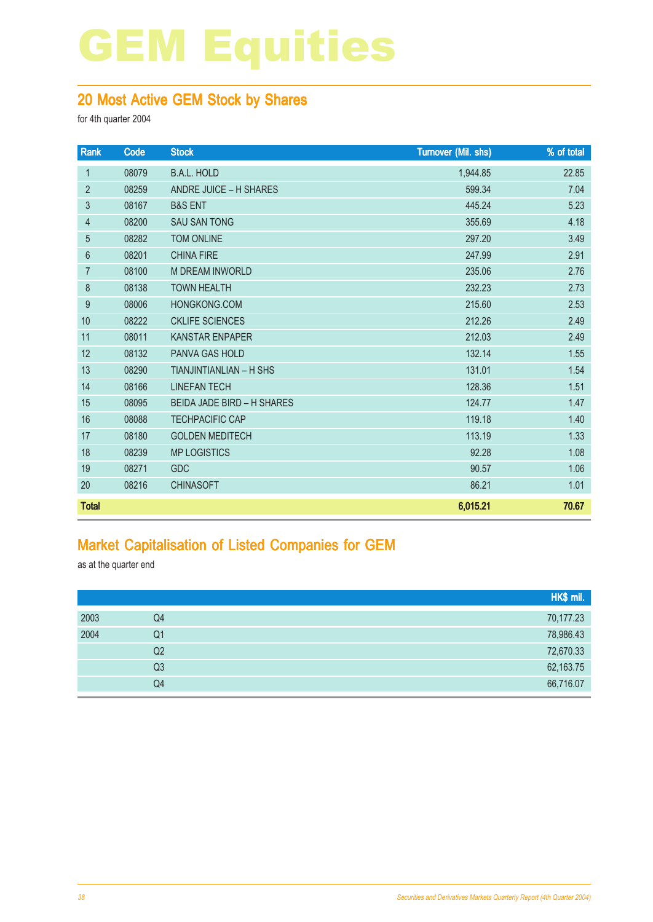#### 20 Most Active GEM Stock by Shares

for 4th quarter 2004

| Rank           | Code  | <b>Stock</b>                      | <b>Turnover (Mil. shs)</b> | % of total |
|----------------|-------|-----------------------------------|----------------------------|------------|
| 1              | 08079 | <b>B.A.L. HOLD</b>                | 1,944.85                   | 22.85      |
| $\overline{2}$ | 08259 | ANDRE JUICE - H SHARES            | 599.34                     | 7.04       |
| 3              | 08167 | <b>B&amp;S ENT</b>                | 445.24                     | 5.23       |
| $\overline{4}$ | 08200 | <b>SAU SAN TONG</b>               | 355.69                     | 4.18       |
| 5              | 08282 | <b>TOM ONLINE</b>                 | 297.20                     | 3.49       |
| $6\phantom{1}$ | 08201 | <b>CHINA FIRE</b>                 | 247.99                     | 2.91       |
| $\overline{7}$ | 08100 | <b>M DREAM INWORLD</b>            | 235.06                     | 2.76       |
| 8              | 08138 | <b>TOWN HEALTH</b>                | 232.23                     | 2.73       |
| 9              | 08006 | HONGKONG.COM                      | 215.60                     | 2.53       |
| 10             | 08222 | <b>CKLIFE SCIENCES</b>            | 212.26                     | 2.49       |
| 11             | 08011 | <b>KANSTAR ENPAPER</b>            | 212.03                     | 2.49       |
| 12             | 08132 | <b>PANVA GAS HOLD</b>             | 132.14                     | 1.55       |
| 13             | 08290 | <b>TIANJINTIANLIAN - H SHS</b>    | 131.01                     | 1.54       |
| 14             | 08166 | <b>LINEFAN TECH</b>               | 128.36                     | 1.51       |
| 15             | 08095 | <b>BEIDA JADE BIRD - H SHARES</b> | 124.77                     | 1.47       |
| 16             | 08088 | <b>TECHPACIFIC CAP</b>            | 119.18                     | 1.40       |
| 17             | 08180 | <b>GOLDEN MEDITECH</b>            | 113.19                     | 1.33       |
| 18             | 08239 | <b>MP LOGISTICS</b>               | 92.28                      | 1.08       |
| 19             | 08271 | <b>GDC</b>                        | 90.57                      | 1.06       |
| 20             | 08216 | <b>CHINASOFT</b>                  | 86.21                      | 1.01       |
| <b>Total</b>   |       |                                   | 6,015.21                   | 70.67      |

#### Market Capitalisation of Listed Companies for GEM

as at the quarter end

|      |                | HK\$ mil. |
|------|----------------|-----------|
| 2003 | Q4             | 70,177.23 |
| 2004 | Q <sub>1</sub> | 78,986.43 |
|      | Q2             | 72,670.33 |
|      | Q <sub>3</sub> | 62,163.75 |
|      | Q4             | 66,716.07 |
|      |                |           |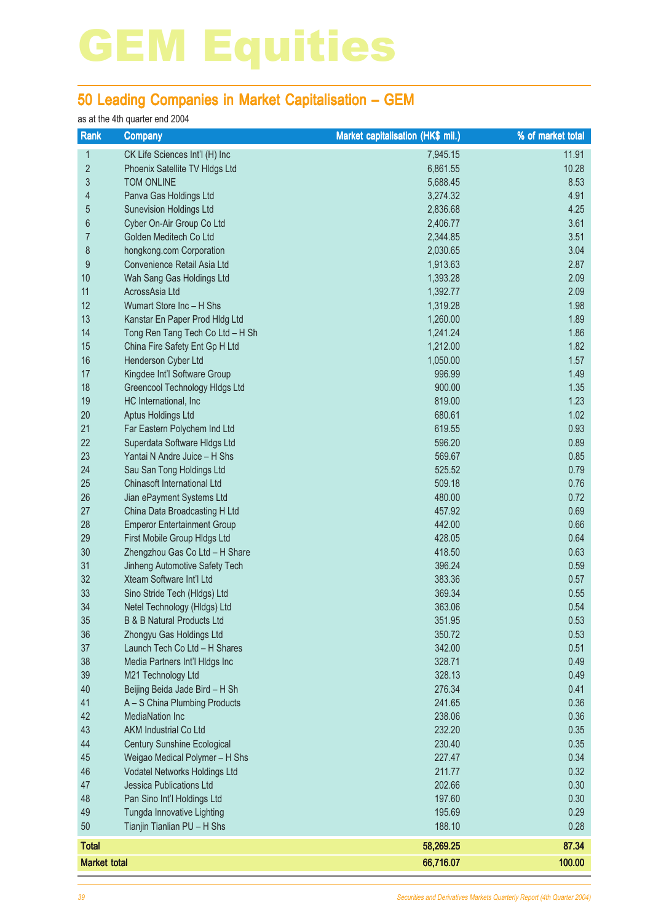#### 50 Leading Companies in Market Capitalisation – GEM

#### as at the 4th quarter end 2004

| Rank                | <b>Company</b>                        | Market capitalisation (HK\$ mil.) | % of market total |
|---------------------|---------------------------------------|-----------------------------------|-------------------|
| 1                   | CK Life Sciences Int'l (H) Inc        | 7,945.15                          | 11.91             |
| $\overline{2}$      | Phoenix Satellite TV Hldgs Ltd        | 6,861.55                          | 10.28             |
| 3                   | TOM ONLINE                            | 5,688.45                          | 8.53              |
| 4                   | Panva Gas Holdings Ltd                | 3,274.32                          | 4.91              |
| 5                   | <b>Sunevision Holdings Ltd</b>        | 2,836.68                          | 4.25              |
| $6\,$               | Cyber On-Air Group Co Ltd             | 2,406.77                          | 3.61              |
| $\overline{7}$      | Golden Meditech Co Ltd                | 2,344.85                          | 3.51              |
| $\bf 8$             | hongkong.com Corporation              | 2,030.65                          | 3.04              |
| $\boldsymbol{9}$    | Convenience Retail Asia Ltd           | 1,913.63                          | 2.87              |
| 10                  | Wah Sang Gas Holdings Ltd             | 1,393.28                          | 2.09              |
| 11                  | AcrossAsia Ltd                        | 1,392.77                          | 2.09              |
| 12                  | Wumart Store Inc - H Shs              | 1,319.28                          | 1.98              |
| 13                  | Kanstar En Paper Prod Hldg Ltd        | 1,260.00                          | 1.89              |
| 14                  | Tong Ren Tang Tech Co Ltd - H Sh      | 1,241.24                          | 1.86              |
| 15                  | China Fire Safety Ent Gp H Ltd        | 1,212.00                          | 1.82              |
| 16                  | Henderson Cyber Ltd                   | 1,050.00                          | 1.57              |
| 17                  | Kingdee Int'l Software Group          | 996.99                            | 1.49              |
| 18                  | Greencool Technology Hidgs Ltd        | 900.00                            | 1.35              |
| 19                  | HC International, Inc                 | 819.00                            | 1.23              |
| 20                  | Aptus Holdings Ltd                    | 680.61                            | 1.02              |
| 21                  | Far Eastern Polychem Ind Ltd          | 619.55                            | 0.93              |
| 22                  | Superdata Software Hldgs Ltd          | 596.20                            | 0.89              |
| 23                  | Yantai N Andre Juice - H Shs          | 569.67                            | 0.85              |
| 24                  | Sau San Tong Holdings Ltd             | 525.52                            | 0.79              |
| 25                  | Chinasoft International Ltd           | 509.18                            | 0.76              |
| 26                  | Jian ePayment Systems Ltd             | 480.00                            | 0.72              |
| 27                  | China Data Broadcasting H Ltd         | 457.92                            | 0.69              |
| 28                  | <b>Emperor Entertainment Group</b>    | 442.00                            | 0.66              |
| 29                  | First Mobile Group HIdgs Ltd          | 428.05                            | 0.64              |
| 30                  | Zhengzhou Gas Co Ltd - H Share        | 418.50                            | 0.63              |
| 31                  | Jinheng Automotive Safety Tech        | 396.24                            | 0.59              |
| 32                  | Xteam Software Int'l Ltd              | 383.36                            | 0.57              |
| 33                  | Sino Stride Tech (Hldgs) Ltd          | 369.34                            | 0.55              |
| 34                  | Netel Technology (HIdgs) Ltd          | 363.06                            | 0.54              |
| 35                  | <b>B &amp; B Natural Products Ltd</b> | 351.95                            | 0.53              |
| 36                  | Zhongyu Gas Holdings Ltd              | 350.72                            | 0.53              |
| 37                  | Launch Tech Co Ltd - H Shares         | 342.00                            | 0.51              |
| 38                  | Media Partners Int'l Hldgs Inc        | 328.71                            | 0.49              |
| 39                  | M21 Technology Ltd                    | 328.13                            | 0.49              |
| 40                  | Beijing Beida Jade Bird - H Sh        | 276.34                            | 0.41              |
| 41                  | A - S China Plumbing Products         | 241.65                            | 0.36              |
| 42                  | <b>MediaNation Inc</b>                | 238.06                            | 0.36              |
| 43                  | <b>AKM Industrial Co Ltd</b>          | 232.20                            | 0.35              |
| 44                  | <b>Century Sunshine Ecological</b>    | 230.40                            | 0.35              |
| 45                  | Weigao Medical Polymer - H Shs        | 227.47                            | 0.34              |
| 46                  | Vodatel Networks Holdings Ltd         | 211.77                            | 0.32              |
| 47                  | <b>Jessica Publications Ltd</b>       | 202.66                            | 0.30              |
| 48                  | Pan Sino Int'l Holdings Ltd           | 197.60                            | 0.30              |
| 49                  | Tungda Innovative Lighting            | 195.69                            | 0.29              |
| 50                  | Tianjin Tianlian PU - H Shs           | 188.10                            | 0.28              |
| <b>Total</b>        |                                       | 58,269.25                         | 87.34             |
| <b>Market total</b> |                                       | 66,716.07                         | 100.00            |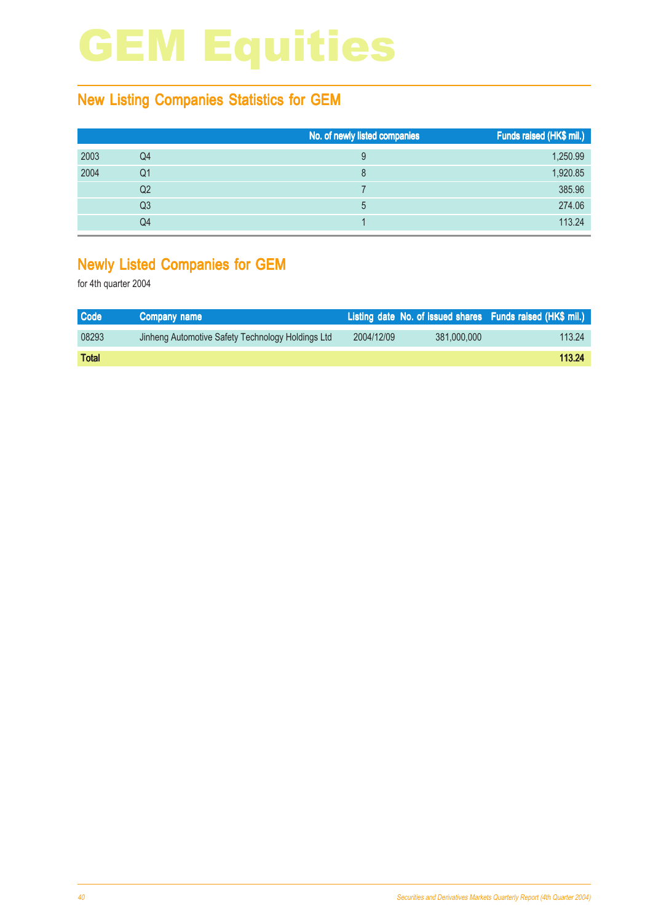#### New Listing Companies Statistics for GEM

|      |    | No. of newly listed companies | Funds raised (HK\$ mil.) |
|------|----|-------------------------------|--------------------------|
| 2003 | Q4 | 9                             | 1,250.99                 |
| 2004 | Q1 | 8                             | 1,920.85                 |
|      | Q2 |                               | 385.96                   |
|      | Q3 | 5                             | 274.06                   |
|      | Q4 |                               | 113.24                   |

#### Newly Listed Companies for GEM

| <b>Code</b>  | Company name                                      |            |             | Listing date No. of issued shares Funds raised (HK\$ mil.) |
|--------------|---------------------------------------------------|------------|-------------|------------------------------------------------------------|
| 08293        | Jinheng Automotive Safety Technology Holdings Ltd | 2004/12/09 | 381,000,000 | 113.24                                                     |
| <b>Total</b> |                                                   |            |             | 113.24                                                     |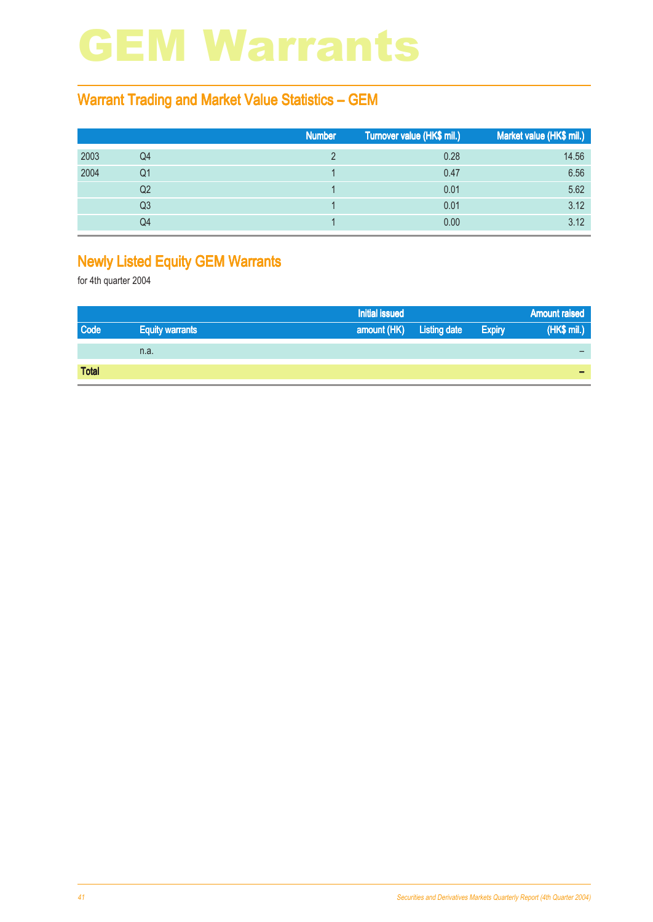### GEM Warrants

#### Warrant Trading and Market Value Statistics – GEM

|      |    | <b>Number</b> | Turnover value (HK\$ mil.) | Market value (HK\$ mil.) |
|------|----|---------------|----------------------------|--------------------------|
| 2003 | Q4 |               | 0.28                       | 14.56                    |
| 2004 | Q1 |               | 0.47                       | 6.56                     |
|      | Q2 |               | 0.01                       | 5.62                     |
|      | Q3 |               | 0.01                       | 3.12                     |
|      | Q4 |               | 0.00                       | 3.12                     |

#### Newly Listed Equity GEM Warrants

|              |                        | <b>Initial issued</b>    |               | <b>Amount raised</b> |
|--------------|------------------------|--------------------------|---------------|----------------------|
| <b>Code</b>  | <b>Equity warrants</b> | amount (HK) Listing date | <b>Expiry</b> | (HK\$ mil.)          |
|              | n.a.                   |                          |               |                      |
| <b>Total</b> |                        |                          |               | -                    |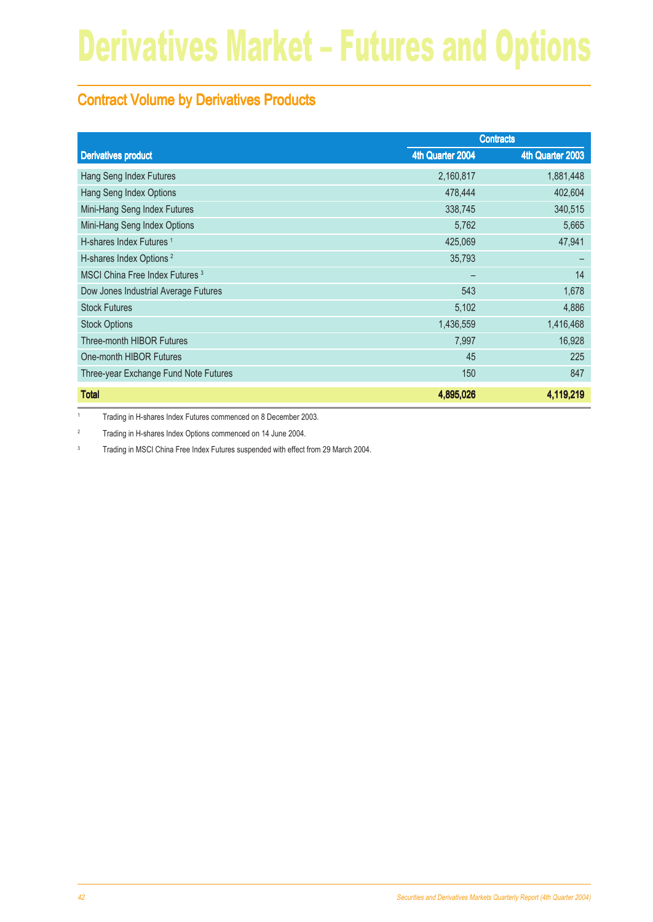#### Contract Volume by Derivatives Products

|                                            | <b>Contracts</b> |                  |
|--------------------------------------------|------------------|------------------|
| <b>Derivatives product</b>                 | 4th Quarter 2004 | 4th Quarter 2003 |
| Hang Seng Index Futures                    | 2,160,817        | 1,881,448        |
| Hang Seng Index Options                    | 478,444          | 402,604          |
| Mini-Hang Seng Index Futures               | 338,745          | 340,515          |
| Mini-Hang Seng Index Options               | 5,762            | 5,665            |
| H-shares Index Futures <sup>1</sup>        | 425,069          | 47,941           |
| H-shares Index Options <sup>2</sup>        | 35,793           |                  |
| MSCI China Free Index Futures <sup>3</sup> |                  | 14               |
| Dow Jones Industrial Average Futures       | 543              | 1,678            |
| <b>Stock Futures</b>                       | 5,102            | 4,886            |
| <b>Stock Options</b>                       | 1,436,559        | 1,416,468        |
| Three-month HIBOR Futures                  | 7,997            | 16,928           |
| One-month HIBOR Futures                    | 45               | 225              |
| Three-year Exchange Fund Note Futures      | 150              | 847              |
| <b>Total</b>                               | 4,895,026        | 4,119,219        |

1 Trading in H-shares Index Futures commenced on 8 December 2003.

<sup>2</sup> Trading in H-shares Index Options commenced on 14 June 2004.

<sup>3</sup> Trading in MSCI China Free Index Futures suspended with effect from 29 March 2004.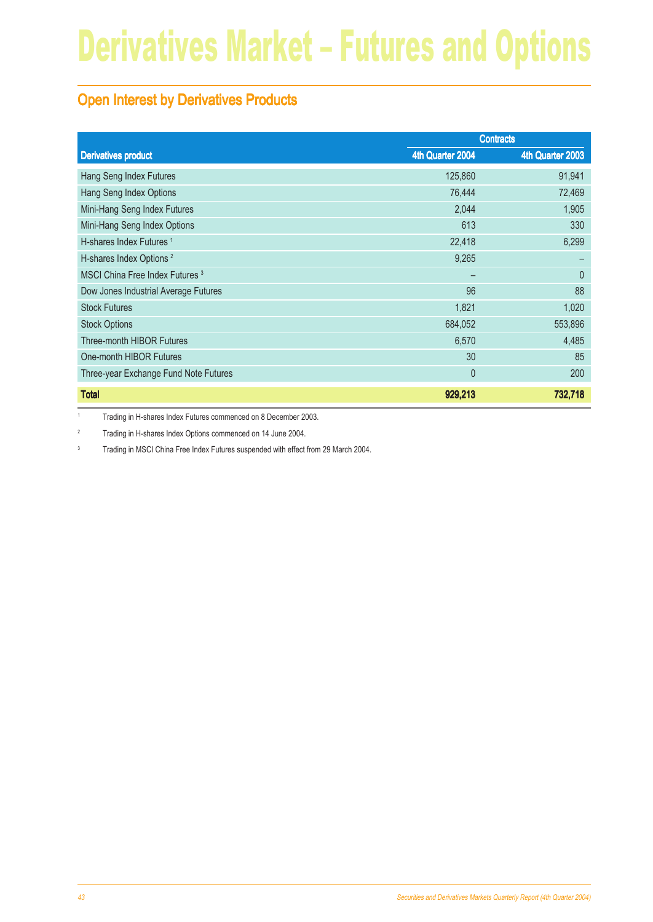#### **Open Interest by Derivatives Products**

|                                            | <b>Contracts</b> |                  |
|--------------------------------------------|------------------|------------------|
| <b>Derivatives product</b>                 | 4th Quarter 2004 | 4th Quarter 2003 |
| Hang Seng Index Futures                    | 125,860          | 91,941           |
| Hang Seng Index Options                    | 76,444           | 72,469           |
| Mini-Hang Seng Index Futures               | 2,044            | 1,905            |
| Mini-Hang Seng Index Options               | 613              | 330              |
| H-shares Index Futures <sup>1</sup>        | 22,418           | 6,299            |
| H-shares Index Options <sup>2</sup>        | 9,265            |                  |
| MSCI China Free Index Futures <sup>3</sup> |                  | $\mathbf{0}$     |
| Dow Jones Industrial Average Futures       | 96               | 88               |
| <b>Stock Futures</b>                       | 1,821            | 1,020            |
| <b>Stock Options</b>                       | 684,052          | 553,896          |
| Three-month HIBOR Futures                  | 6,570            | 4,485            |
| One-month HIBOR Futures                    | 30               | 85               |
| Three-year Exchange Fund Note Futures      | $\theta$         | 200              |
| <b>Total</b>                               | 929,213          | 732,718          |

1 Trading in H-shares Index Futures commenced on 8 December 2003.

<sup>2</sup> Trading in H-shares Index Options commenced on 14 June 2004.

<sup>3</sup> Trading in MSCI China Free Index Futures suspended with effect from 29 March 2004.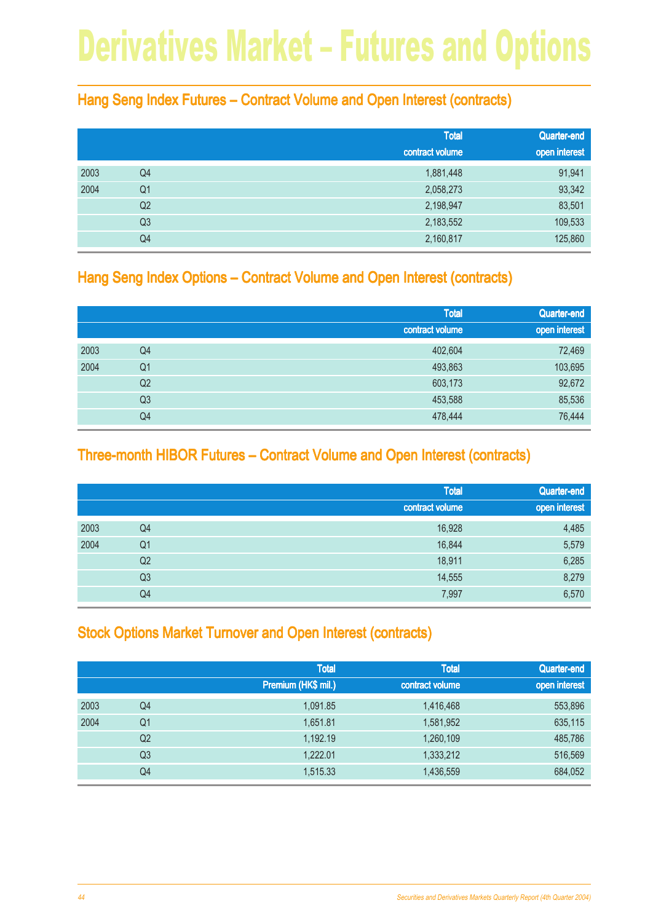#### Hang Seng Index Futures – Contract Volume and Open Interest (contracts)

|      |                | <b>Total</b>    | Quarter-end   |
|------|----------------|-----------------|---------------|
|      |                | contract volume | open interest |
| 2003 | Q4             | 1,881,448       | 91,941        |
| 2004 | Q <sub>1</sub> | 2,058,273       | 93,342        |
|      | Q <sub>2</sub> | 2,198,947       | 83,501        |
|      | Q <sub>3</sub> | 2,183,552       | 109,533       |
|      | Q4             | 2,160,817       | 125,860       |

#### Hang Seng Index Options – Contract Volume and Open Interest (contracts)

|      |                | <b>Total</b><br>contract volume | Quarter-end   |
|------|----------------|---------------------------------|---------------|
|      |                |                                 | open interest |
| 2003 | Q4             | 402,604                         | 72,469        |
| 2004 | Q <sub>1</sub> | 493,863                         | 103,695       |
|      | Q <sub>2</sub> | 603,173                         | 92,672        |
|      | Q <sub>3</sub> | 453,588                         | 85,536        |
|      | Q4             | 478,444                         | 76,444        |

#### Three-month HIBOR Futures – Contract Volume and Open Interest (contracts)

|      |                | <b>Total</b>    | Quarter-end   |
|------|----------------|-----------------|---------------|
|      |                | contract volume | open interest |
| 2003 | Q4             | 16,928          | 4,485         |
| 2004 | Q <sub>1</sub> | 16,844          | 5,579         |
|      | Q <sub>2</sub> | 18,911          | 6,285         |
|      | Q <sub>3</sub> | 14,555          | 8,279         |
|      | Q4             | 7,997           | 6,570         |

#### **Stock Options Market Turnover and Open Interest (contracts)**

|      |                | <b>Total</b><br>Premium (HK\$ mil.) | <b>Total</b><br>contract volume | Quarter-end<br>open interest |
|------|----------------|-------------------------------------|---------------------------------|------------------------------|
| 2003 | Q4             | 1,091.85                            | 1,416,468                       | 553,896                      |
| 2004 | Q1             | 1,651.81                            | 1,581,952                       | 635,115                      |
|      | Q <sub>2</sub> | 1,192.19                            | 1,260,109                       | 485,786                      |
|      | Q <sub>3</sub> | 1,222.01                            | 1,333,212                       | 516,569                      |
|      | Q4             | 1,515.33                            | 1,436,559                       | 684,052                      |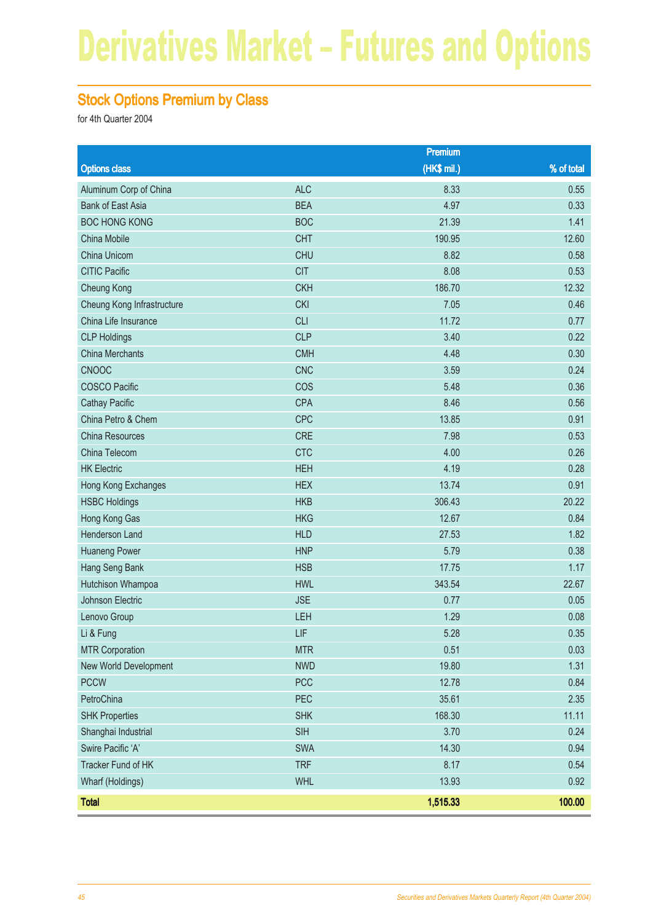#### Stock Options Premium by Class

|                            |            | Premium     |            |
|----------------------------|------------|-------------|------------|
| <b>Options class</b>       |            | (HK\$ mil.) | % of total |
| Aluminum Corp of China     | <b>ALC</b> | 8.33        | 0.55       |
| <b>Bank of East Asia</b>   | <b>BEA</b> | 4.97        | 0.33       |
| <b>BOC HONG KONG</b>       | <b>BOC</b> | 21.39       | 1.41       |
| China Mobile               | <b>CHT</b> | 190.95      | 12.60      |
| China Unicom               | <b>CHU</b> | 8.82        | 0.58       |
| <b>CITIC Pacific</b>       | <b>CIT</b> | 8.08        | 0.53       |
| Cheung Kong                | <b>CKH</b> | 186.70      | 12.32      |
| Cheung Kong Infrastructure | <b>CKI</b> | 7.05        | 0.46       |
| China Life Insurance       | <b>CLI</b> | 11.72       | 0.77       |
| <b>CLP Holdings</b>        | <b>CLP</b> | 3.40        | 0.22       |
| <b>China Merchants</b>     | <b>CMH</b> | 4.48        | 0.30       |
| <b>CNOOC</b>               | <b>CNC</b> | 3.59        | 0.24       |
| <b>COSCO Pacific</b>       | COS        | 5.48        | 0.36       |
| <b>Cathay Pacific</b>      | <b>CPA</b> | 8.46        | 0.56       |
| China Petro & Chem         | <b>CPC</b> | 13.85       | 0.91       |
| <b>China Resources</b>     | <b>CRE</b> | 7.98        | 0.53       |
| China Telecom              | <b>CTC</b> | 4.00        | 0.26       |
| <b>HK Electric</b>         | <b>HEH</b> | 4.19        | 0.28       |
| Hong Kong Exchanges        | <b>HEX</b> | 13.74       | 0.91       |
| <b>HSBC Holdings</b>       | <b>HKB</b> | 306.43      | 20.22      |
| Hong Kong Gas              | <b>HKG</b> | 12.67       | 0.84       |
| Henderson Land             | <b>HLD</b> | 27.53       | 1.82       |
| <b>Huaneng Power</b>       | <b>HNP</b> | 5.79        | 0.38       |
| Hang Seng Bank             | <b>HSB</b> | 17.75       | 1.17       |
| Hutchison Whampoa          | <b>HWL</b> | 343.54      | 22.67      |
| Johnson Electric           | <b>JSE</b> | 0.77        | 0.05       |
| Lenovo Group               | LEH        | 1.29        | 0.08       |
| Li & Fung                  | LIF        | 5.28        | 0.35       |
| <b>MTR Corporation</b>     | <b>MTR</b> | 0.51        | 0.03       |
| New World Development      | <b>NWD</b> | 19.80       | 1.31       |
| <b>PCCW</b>                | <b>PCC</b> | 12.78       | 0.84       |
| PetroChina                 | PEC        | 35.61       | 2.35       |
| <b>SHK Properties</b>      | <b>SHK</b> | 168.30      | 11.11      |
| Shanghai Industrial        | <b>SIH</b> | 3.70        | 0.24       |
| Swire Pacific 'A'          | <b>SWA</b> | 14.30       | 0.94       |
| Tracker Fund of HK         | <b>TRF</b> | 8.17        | 0.54       |
| Wharf (Holdings)           | <b>WHL</b> | 13.93       | 0.92       |
| <b>Total</b>               |            | 1,515.33    | 100.00     |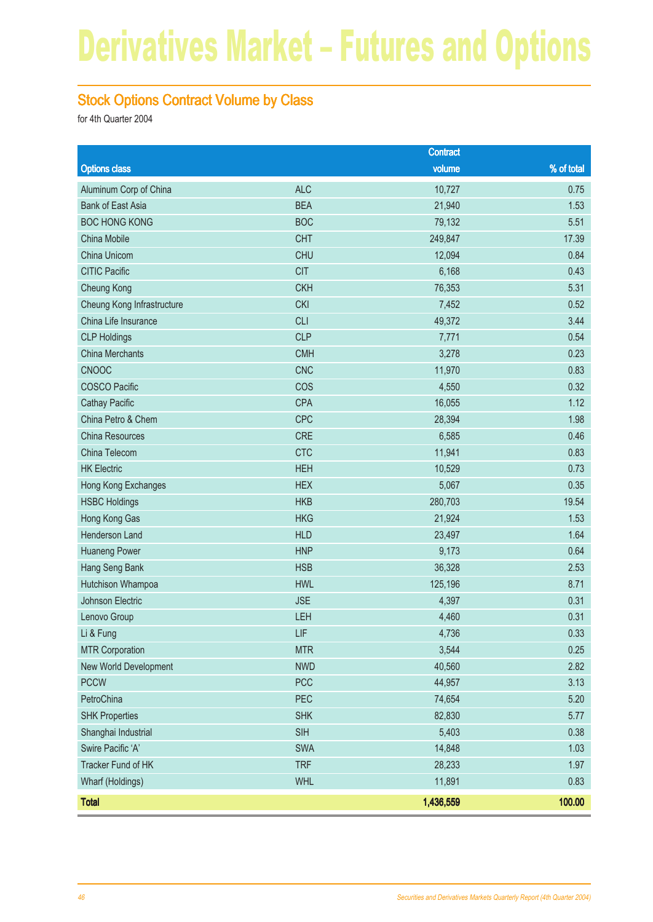#### Stock Options Contract Volume by Class

|                            |            | <b>Contract</b> |            |
|----------------------------|------------|-----------------|------------|
| <b>Options class</b>       |            | volume          | % of total |
| Aluminum Corp of China     | <b>ALC</b> | 10,727          | 0.75       |
| <b>Bank of East Asia</b>   | <b>BEA</b> | 21,940          | 1.53       |
| <b>BOC HONG KONG</b>       | <b>BOC</b> | 79,132          | 5.51       |
| China Mobile               | <b>CHT</b> | 249,847         | 17.39      |
| China Unicom               | <b>CHU</b> | 12,094          | 0.84       |
| <b>CITIC Pacific</b>       | <b>CIT</b> | 6,168           | 0.43       |
| Cheung Kong                | <b>CKH</b> | 76,353          | 5.31       |
| Cheung Kong Infrastructure | <b>CKI</b> | 7,452           | 0.52       |
| China Life Insurance       | <b>CLI</b> | 49,372          | 3.44       |
| <b>CLP Holdings</b>        | <b>CLP</b> | 7,771           | 0.54       |
| <b>China Merchants</b>     | <b>CMH</b> | 3,278           | 0.23       |
| <b>CNOOC</b>               | <b>CNC</b> | 11,970          | 0.83       |
| <b>COSCO Pacific</b>       | COS        | 4,550           | 0.32       |
| <b>Cathay Pacific</b>      | <b>CPA</b> | 16,055          | 1.12       |
| China Petro & Chem         | CPC        | 28,394          | 1.98       |
| <b>China Resources</b>     | <b>CRE</b> | 6,585           | 0.46       |
| China Telecom              | <b>CTC</b> | 11,941          | 0.83       |
| <b>HK Electric</b>         | <b>HEH</b> | 10,529          | 0.73       |
| Hong Kong Exchanges        | <b>HEX</b> | 5,067           | 0.35       |
| <b>HSBC Holdings</b>       | <b>HKB</b> | 280,703         | 19.54      |
| Hong Kong Gas              | <b>HKG</b> | 21,924          | 1.53       |
| Henderson Land             | <b>HLD</b> | 23,497          | 1.64       |
| <b>Huaneng Power</b>       | <b>HNP</b> | 9,173           | 0.64       |
| Hang Seng Bank             | <b>HSB</b> | 36,328          | 2.53       |
| Hutchison Whampoa          | <b>HWL</b> | 125,196         | 8.71       |
| Johnson Electric           | <b>JSE</b> | 4,397           | 0.31       |
| Lenovo Group               | LEH        | 4,460           | 0.31       |
| Li & Fung                  | LIF        | 4,736           | 0.33       |
| <b>MTR Corporation</b>     | <b>MTR</b> | 3,544           | 0.25       |
| New World Development      | <b>NWD</b> | 40,560          | 2.82       |
| <b>PCCW</b>                | PCC        | 44,957          | 3.13       |
| PetroChina                 | PEC        | 74,654          | 5.20       |
| <b>SHK Properties</b>      | <b>SHK</b> | 82,830          | 5.77       |
| Shanghai Industrial        | <b>SIH</b> | 5,403           | 0.38       |
| Swire Pacific 'A'          | SWA        | 14,848          | 1.03       |
| Tracker Fund of HK         | <b>TRF</b> | 28,233          | 1.97       |
| Wharf (Holdings)           | <b>WHL</b> | 11,891          | 0.83       |
| <b>Total</b>               |            | 1,436,559       | 100.00     |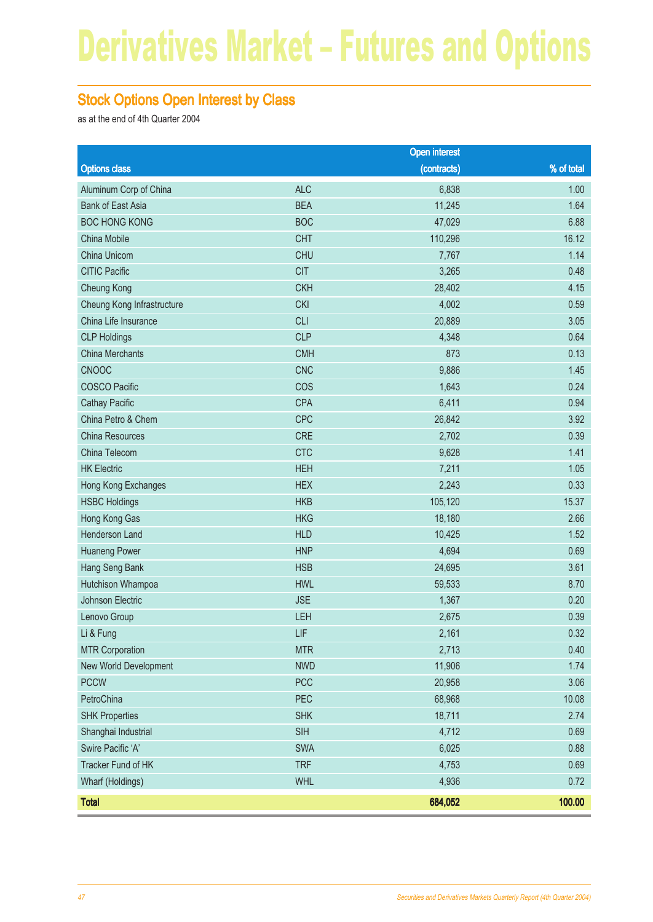#### Stock Options Open Interest by Class

as at the end of 4th Quarter 2004

|                            |            | <b>Open interest</b> |            |
|----------------------------|------------|----------------------|------------|
| <b>Options class</b>       |            | (contracts)          | % of total |
| Aluminum Corp of China     | <b>ALC</b> | 6,838                | 1.00       |
| <b>Bank of East Asia</b>   | <b>BEA</b> | 11,245               | 1.64       |
| <b>BOC HONG KONG</b>       | <b>BOC</b> | 47,029               | 6.88       |
| China Mobile               | <b>CHT</b> | 110,296              | 16.12      |
| China Unicom               | <b>CHU</b> | 7,767                | 1.14       |
| <b>CITIC Pacific</b>       | <b>CIT</b> | 3,265                | 0.48       |
| Cheung Kong                | <b>CKH</b> | 28,402               | 4.15       |
| Cheung Kong Infrastructure | <b>CKI</b> | 4,002                | 0.59       |
| China Life Insurance       | <b>CLI</b> | 20,889               | 3.05       |
| <b>CLP Holdings</b>        | <b>CLP</b> | 4,348                | 0.64       |
| <b>China Merchants</b>     | <b>CMH</b> | 873                  | 0.13       |
| <b>CNOOC</b>               | <b>CNC</b> | 9,886                | 1.45       |
| <b>COSCO Pacific</b>       | COS        | 1,643                | 0.24       |
| <b>Cathay Pacific</b>      | CPA        | 6,411                | 0.94       |
| China Petro & Chem         | CPC        | 26,842               | 3.92       |
| China Resources            | <b>CRE</b> | 2,702                | 0.39       |
| China Telecom              | <b>CTC</b> | 9,628                | 1.41       |
| <b>HK Electric</b>         | <b>HEH</b> | 7,211                | 1.05       |
| Hong Kong Exchanges        | <b>HEX</b> | 2,243                | 0.33       |
| <b>HSBC Holdings</b>       | <b>HKB</b> | 105,120              | 15.37      |
| Hong Kong Gas              | <b>HKG</b> | 18,180               | 2.66       |
| Henderson Land             | <b>HLD</b> | 10,425               | 1.52       |
| <b>Huaneng Power</b>       | <b>HNP</b> | 4,694                | 0.69       |
| Hang Seng Bank             | <b>HSB</b> | 24,695               | 3.61       |
| Hutchison Whampoa          | <b>HWL</b> | 59,533               | 8.70       |
| Johnson Electric           | <b>JSE</b> | 1,367                | 0.20       |
| Lenovo Group               | LEH        | 2,675                | 0.39       |
| Li & Fung                  | LIF        | 2,161                | 0.32       |
| <b>MTR Corporation</b>     | <b>MTR</b> | 2,713                | 0.40       |
| New World Development      | <b>NWD</b> | 11,906               | 1.74       |
| <b>PCCW</b>                | <b>PCC</b> | 20,958               | 3.06       |
| PetroChina                 | PEC        | 68,968               | 10.08      |
| <b>SHK Properties</b>      | <b>SHK</b> | 18,711               | 2.74       |
| Shanghai Industrial        | <b>SIH</b> | 4,712                | 0.69       |
| Swire Pacific 'A'          | SWA        | 6,025                | 0.88       |
| Tracker Fund of HK         | <b>TRF</b> | 4,753                | 0.69       |
| Wharf (Holdings)           | <b>WHL</b> | 4,936                | 0.72       |
| <b>Total</b>               |            | 684,052              | 100.00     |